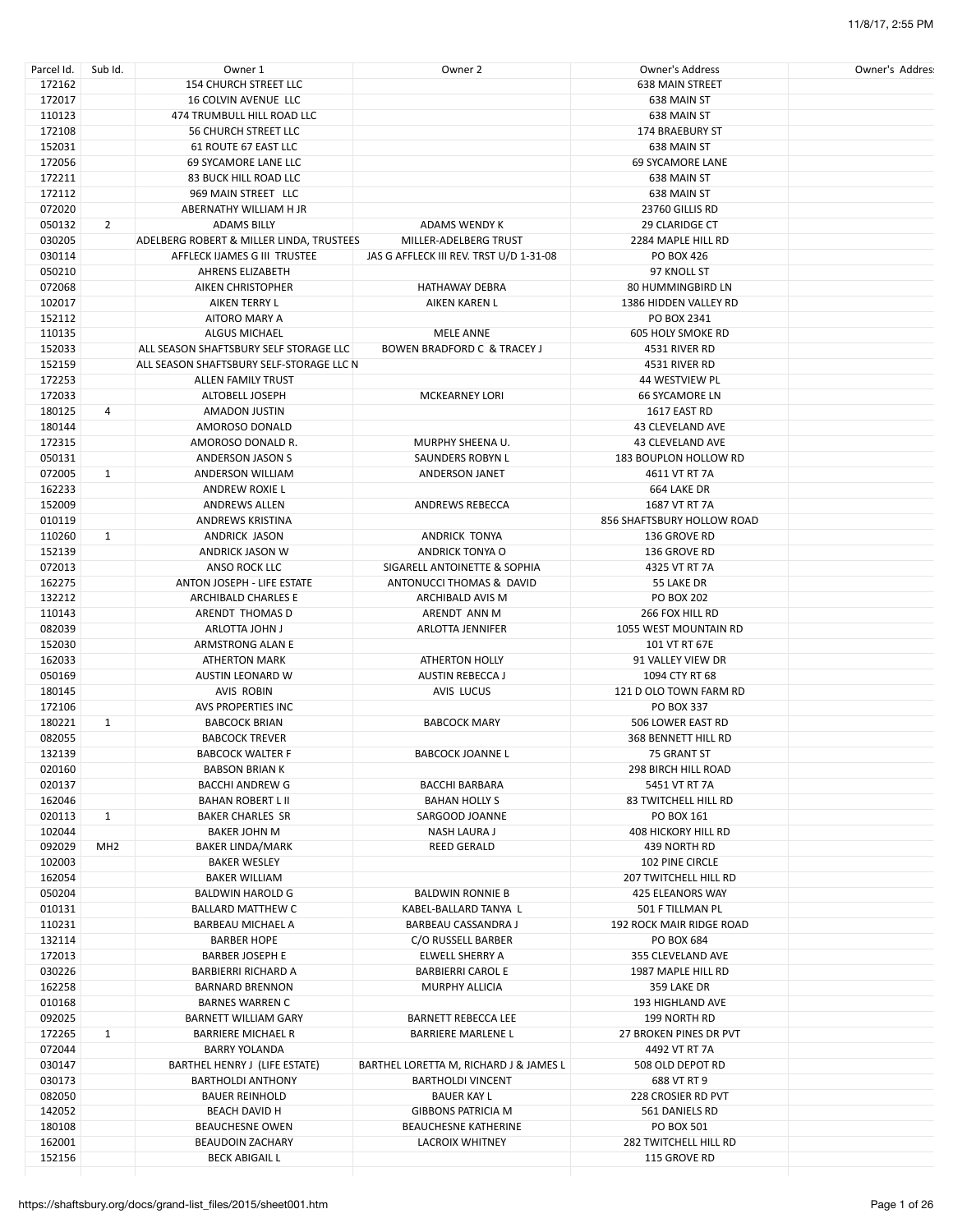| Parcel Id. | Sub Id.         | Owner 1                                  | Owner 2                                 | <b>Owner's Address</b>      | Owner's Addres |
|------------|-----------------|------------------------------------------|-----------------------------------------|-----------------------------|----------------|
| 172162     |                 | <b>154 CHURCH STREET LLC</b>             |                                         | <b>638 MAIN STREET</b>      |                |
| 172017     |                 | 16 COLVIN AVENUE LLC                     |                                         | 638 MAIN ST                 |                |
| 110123     |                 | 474 TRUMBULL HILL ROAD LLC               |                                         | 638 MAIN ST                 |                |
| 172108     |                 | <b>56 CHURCH STREET LLC</b>              |                                         | 174 BRAEBURY ST             |                |
| 152031     |                 | 61 ROUTE 67 EAST LLC                     |                                         | 638 MAIN ST                 |                |
| 172056     |                 | 69 SYCAMORE LANE LLC                     |                                         | <b>69 SYCAMORE LANE</b>     |                |
|            |                 |                                          |                                         |                             |                |
| 172211     |                 | <b>83 BUCK HILL ROAD LLC</b>             |                                         | 638 MAIN ST                 |                |
| 172112     |                 | 969 MAIN STREET LLC                      |                                         | 638 MAIN ST                 |                |
| 072020     |                 | ABERNATHY WILLIAM H JR                   |                                         | 23760 GILLIS RD             |                |
| 050132     | $\overline{2}$  | <b>ADAMS BILLY</b>                       | <b>ADAMS WENDY K</b>                    | <b>29 CLARIDGE CT</b>       |                |
| 030205     |                 | ADELBERG ROBERT & MILLER LINDA, TRUSTEES | MILLER-ADELBERG TRUST                   | 2284 MAPLE HILL RD          |                |
| 030114     |                 | AFFLECK IJAMES G III TRUSTEE             | JAS G AFFLECK III REV. TRST U/D 1-31-08 | PO BOX 426                  |                |
| 050210     |                 | AHRENS ELIZABETH                         |                                         | 97 KNOLL ST                 |                |
| 072068     |                 | <b>AIKEN CHRISTOPHER</b>                 | <b>HATHAWAY DEBRA</b>                   | <b>80 HUMMINGBIRD LN</b>    |                |
| 102017     |                 | AIKEN TERRY L                            | AIKEN KAREN L                           | 1386 HIDDEN VALLEY RD       |                |
|            |                 |                                          |                                         |                             |                |
| 152112     |                 | AITORO MARY A                            |                                         | PO BOX 2341                 |                |
| 110135     |                 | <b>ALGUS MICHAEL</b>                     | <b>MELE ANNE</b>                        | <b>605 HOLY SMOKE RD</b>    |                |
| 152033     |                 | ALL SEASON SHAFTSBURY SELF STORAGE LLC   | <b>BOWEN BRADFORD C &amp; TRACEY J</b>  | 4531 RIVER RD               |                |
| 152159     |                 | ALL SEASON SHAFTSBURY SELF-STORAGE LLC N |                                         | 4531 RIVER RD               |                |
| 172253     |                 | <b>ALLEN FAMILY TRUST</b>                |                                         | 44 WESTVIEW PL              |                |
| 172033     |                 | ALTOBELL JOSEPH                          | <b>MCKEARNEY LORI</b>                   | <b>66 SYCAMORE LN</b>       |                |
| 180125     | 4               | AMADON JUSTIN                            |                                         | 1617 EAST RD                |                |
| 180144     |                 | AMOROSO DONALD                           |                                         | <b>43 CLEVELAND AVE</b>     |                |
|            |                 |                                          |                                         |                             |                |
| 172315     |                 | AMOROSO DONALD R.                        | MURPHY SHEENA U.                        | 43 CLEVELAND AVE            |                |
| 050131     |                 | ANDERSON JASON S                         | <b>SAUNDERS ROBYN L</b>                 | 183 BOUPLON HOLLOW RD       |                |
| 072005     | $\mathbf{1}$    | <b>ANDERSON WILLIAM</b>                  | <b>ANDERSON JANET</b>                   | 4611 VT RT 7A               |                |
| 162233     |                 | ANDREW ROXIE L                           |                                         | 664 LAKE DR                 |                |
| 152009     |                 | <b>ANDREWS ALLEN</b>                     | <b>ANDREWS REBECCA</b>                  | 1687 VT RT 7A               |                |
| 010119     |                 | ANDREWS KRISTINA                         |                                         | 856 SHAFTSBURY HOLLOW ROAD  |                |
| 110260     | $\mathbf{1}$    | ANDRICK JASON                            | ANDRICK TONYA                           | 136 GROVE RD                |                |
| 152139     |                 | ANDRICK JASON W                          | <b>ANDRICK TONYA O</b>                  | 136 GROVE RD                |                |
|            |                 |                                          |                                         |                             |                |
| 072013     |                 | ANSO ROCK LLC                            | SIGARELL ANTOINETTE & SOPHIA            | 4325 VT RT 7A               |                |
| 162275     |                 | ANTON JOSEPH - LIFE ESTATE               | ANTONUCCI THOMAS & DAVID                | 55 LAKE DR                  |                |
| 132212     |                 | ARCHIBALD CHARLES E                      | ARCHIBALD AVIS M                        | PO BOX 202                  |                |
| 110143     |                 | ARENDT THOMAS D                          | ARENDT ANN M                            | 266 FOX HILL RD             |                |
| 082039     |                 | ARLOTTA JOHN J                           | ARLOTTA JENNIFER                        | 1055 WEST MOUNTAIN RD       |                |
| 152030     |                 | ARMSTRONG ALAN E                         |                                         | 101 VT RT 67E               |                |
| 162033     |                 | <b>ATHERTON MARK</b>                     | <b>ATHERTON HOLLY</b>                   | 91 VALLEY VIEW DR           |                |
| 050169     |                 | AUSTIN LEONARD W                         | <b>AUSTIN REBECCA J</b>                 | 1094 CTY RT 68              |                |
|            |                 |                                          |                                         |                             |                |
| 180145     |                 | AVIS ROBIN                               | AVIS LUCUS                              | 121 D OLO TOWN FARM RD      |                |
| 172106     |                 | AVS PROPERTIES INC                       |                                         | <b>PO BOX 337</b>           |                |
| 180221     | $\mathbf{1}$    | <b>BABCOCK BRIAN</b>                     | <b>BABCOCK MARY</b>                     | 506 LOWER EAST RD           |                |
| 082055     |                 | <b>BABCOCK TREVER</b>                    |                                         | 368 BENNETT HILL RD         |                |
| 132139     |                 | <b>BABCOCK WALTER F</b>                  | <b>BABCOCK JOANNE L</b>                 | 75 GRANT ST                 |                |
| 020160     |                 | <b>BABSON BRIAN K</b>                    |                                         | 298 BIRCH HILL ROAD         |                |
| 020137     |                 | <b>BACCHI ANDREW G</b>                   | <b>BACCHI BARBARA</b>                   | 5451 VT RT 7A               |                |
| 162046     |                 | <b>BAHAN ROBERT L II</b>                 | <b>BAHAN HOLLY S</b>                    | <b>83 TWITCHELL HILL RD</b> |                |
| 020113     | $\mathbf{1}$    | <b>BAKER CHARLES SR</b>                  |                                         |                             |                |
|            |                 |                                          | SARGOOD JOANNE                          | PO BOX 161                  |                |
| 102044     |                 | <b>BAKER JOHN M</b>                      | NASH LAURA J                            | 408 HICKORY HILL RD         |                |
| 092029     | MH <sub>2</sub> | <b>BAKER LINDA/MARK</b>                  | <b>REED GERALD</b>                      | 439 NORTH RD                |                |
| 102003     |                 | <b>BAKER WESLEY</b>                      |                                         | 102 PINE CIRCLE             |                |
| 162054     |                 | <b>BAKER WILLIAM</b>                     |                                         | 207 TWITCHELL HILL RD       |                |
| 050204     |                 | <b>BALDWIN HAROLD G</b>                  | <b>BALDWIN RONNIE B</b>                 | 425 ELEANORS WAY            |                |
| 010131     |                 | <b>BALLARD MATTHEW C</b>                 | KABEL-BALLARD TANYA L                   | 501 F TILLMAN PL            |                |
| 110231     |                 | BARBEAU MICHAEL A                        | <b>BARBEAU CASSANDRA J</b>              | 192 ROCK MAIR RIDGE ROAD    |                |
| 132114     |                 | <b>BARBER HOPE</b>                       | C/O RUSSELL BARBER                      | PO BOX 684                  |                |
| 172013     |                 | <b>BARBER JOSEPH E</b>                   | <b>ELWELL SHERRY A</b>                  | 355 CLEVELAND AVE           |                |
|            |                 |                                          |                                         |                             |                |
| 030226     |                 | <b>BARBIERRI RICHARD A</b>               | <b>BARBIERRI CAROL E</b>                | 1987 MAPLE HILL RD          |                |
| 162258     |                 | <b>BARNARD BRENNON</b>                   | MURPHY ALLICIA                          | 359 LAKE DR                 |                |
| 010168     |                 | <b>BARNES WARREN C</b>                   |                                         | 193 HIGHLAND AVE            |                |
| 092025     |                 | <b>BARNETT WILLIAM GARY</b>              | BARNETT REBECCA LEE                     | 199 NORTH RD                |                |
| 172265     | $\mathbf{1}$    | <b>BARRIERE MICHAEL R</b>                | <b>BARRIERE MARLENE L</b>               | 27 BROKEN PINES DR PVT      |                |
| 072044     |                 | <b>BARRY YOLANDA</b>                     |                                         | 4492 VT RT 7A               |                |
| 030147     |                 | BARTHEL HENRY J (LIFE ESTATE)            | BARTHEL LORETTA M, RICHARD J & JAMES L  | 508 OLD DEPOT RD            |                |
| 030173     |                 | <b>BARTHOLDI ANTHONY</b>                 | <b>BARTHOLDI VINCENT</b>                | 688 VT RT 9                 |                |
| 082050     |                 | <b>BAUER REINHOLD</b>                    | <b>BAUER KAY L</b>                      | 228 CROSIER RD PVT          |                |
|            |                 |                                          |                                         |                             |                |
| 142052     |                 | <b>BEACH DAVID H</b>                     | GIBBONS PATRICIA M                      | 561 DANIELS RD              |                |
| 180108     |                 | <b>BEAUCHESNE OWEN</b>                   | <b>BEAUCHESNE KATHERINE</b>             | PO BOX 501                  |                |
| 162001     |                 | <b>BEAUDOIN ZACHARY</b>                  | <b>LACROIX WHITNEY</b>                  | 282 TWITCHELL HILL RD       |                |
| 152156     |                 | <b>BECK ABIGAIL L</b>                    |                                         | 115 GROVE RD                |                |
|            |                 |                                          |                                         |                             |                |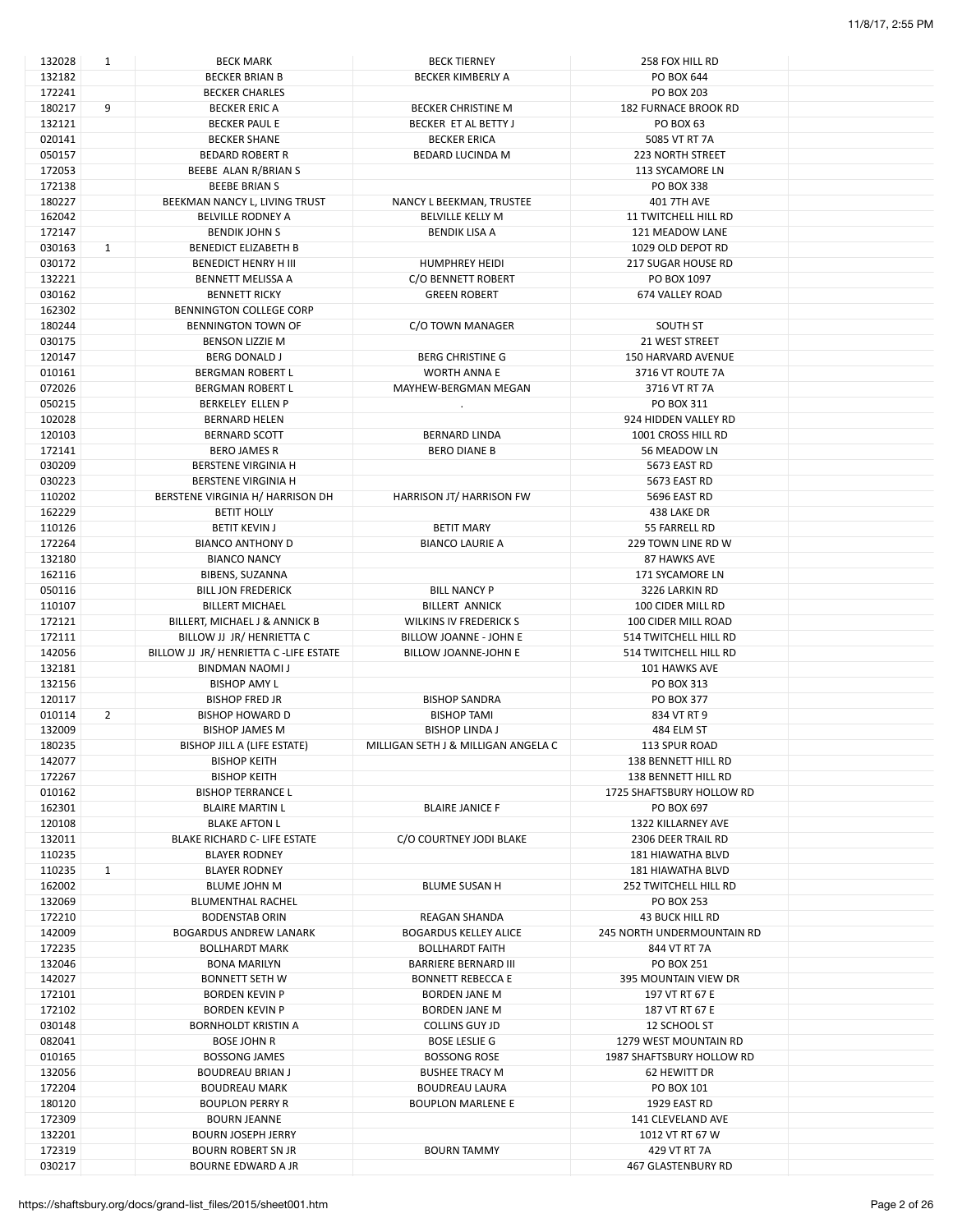| 132028 | $\mathbf{1}$   | <b>BECK MARK</b>                       | <b>BECK TIERNEY</b>                 | 258 FOX HILL RD                   |  |
|--------|----------------|----------------------------------------|-------------------------------------|-----------------------------------|--|
| 132182 |                | <b>BECKER BRIAN B</b>                  | <b>BECKER KIMBERLY A</b>            | PO BOX 644                        |  |
| 172241 |                | <b>BECKER CHARLES</b>                  |                                     | <b>PO BOX 203</b>                 |  |
| 180217 | 9              | <b>BECKER ERIC A</b>                   | <b>BECKER CHRISTINE M</b>           | <b>182 FURNACE BROOK RD</b>       |  |
| 132121 |                | <b>BECKER PAUL E</b>                   | BECKER ET AL BETTY J                | <b>PO BOX 63</b>                  |  |
| 020141 |                | <b>BECKER SHANE</b>                    | <b>BECKER ERICA</b>                 | 5085 VT RT 7A                     |  |
| 050157 |                | <b>BEDARD ROBERT R</b>                 | <b>BEDARD LUCINDA M</b>             | <b>223 NORTH STREET</b>           |  |
| 172053 |                | BEEBE ALAN R/BRIAN S                   |                                     | <b>113 SYCAMORE LN</b>            |  |
| 172138 |                | <b>BEEBE BRIANS</b>                    |                                     | <b>PO BOX 338</b>                 |  |
|        |                |                                        |                                     |                                   |  |
| 180227 |                | BEEKMAN NANCY L, LIVING TRUST          | NANCY L BEEKMAN, TRUSTEE            | <b>401 7TH AVE</b>                |  |
| 162042 |                | <b>BELVILLE RODNEY A</b>               | <b>BELVILLE KELLY M</b>             | <b>11 TWITCHELL HILL RD</b>       |  |
| 172147 |                | <b>BENDIK JOHN S</b>                   | <b>BENDIK LISA A</b>                | 121 MEADOW LANE                   |  |
| 030163 | $\mathbf{1}$   | <b>BENEDICT ELIZABETH B</b>            |                                     | 1029 OLD DEPOT RD                 |  |
| 030172 |                | <b>BENEDICT HENRY H III</b>            | <b>HUMPHREY HEIDI</b>               | <b>217 SUGAR HOUSE RD</b>         |  |
| 132221 |                | <b>BENNETT MELISSA A</b>               | C/O BENNETT ROBERT                  | PO BOX 1097                       |  |
| 030162 |                | <b>BENNETT RICKY</b>                   | <b>GREEN ROBERT</b>                 | 674 VALLEY ROAD                   |  |
| 162302 |                | BENNINGTON COLLEGE CORP                |                                     |                                   |  |
| 180244 |                | BENNINGTON TOWN OF                     | C/O TOWN MANAGER                    | SOUTH ST                          |  |
| 030175 |                | <b>BENSON LIZZIE M</b>                 |                                     | 21 WEST STREET                    |  |
| 120147 |                | <b>BERG DONALD J</b>                   | <b>BERG CHRISTINE G</b>             | 150 HARVARD AVENUE                |  |
|        |                |                                        |                                     |                                   |  |
| 010161 |                | <b>BERGMAN ROBERT L</b>                | <b>WORTH ANNA E</b>                 | 3716 VT ROUTE 7A                  |  |
| 072026 |                | BERGMAN ROBERT L                       | MAYHEW-BERGMAN MEGAN                | 3716 VT RT 7A                     |  |
| 050215 |                | <b>BERKELEY ELLEN P</b>                |                                     | PO BOX 311                        |  |
| 102028 |                | <b>BERNARD HELEN</b>                   |                                     | 924 HIDDEN VALLEY RD              |  |
| 120103 |                | <b>BERNARD SCOTT</b>                   | <b>BERNARD LINDA</b>                | 1001 CROSS HILL RD                |  |
| 172141 |                | <b>BERO JAMES R</b>                    | <b>BERO DIANE B</b>                 | 56 MEADOW LN                      |  |
| 030209 |                | <b>BERSTENE VIRGINIA H</b>             |                                     | 5673 EAST RD                      |  |
| 030223 |                | <b>BERSTENE VIRGINIA H</b>             |                                     | 5673 EAST RD                      |  |
| 110202 |                | BERSTENE VIRGINIA H/ HARRISON DH       | HARRISON JT/ HARRISON FW            | 5696 EAST RD                      |  |
| 162229 |                | <b>BETIT HOLLY</b>                     |                                     | 438 LAKE DR                       |  |
|        |                |                                        |                                     |                                   |  |
| 110126 |                | <b>BETIT KEVIN J</b>                   | <b>BETIT MARY</b>                   | 55 FARRELL RD                     |  |
| 172264 |                | <b>BIANCO ANTHONY D</b>                | <b>BIANCO LAURIE A</b>              | 229 TOWN LINE RD W                |  |
| 132180 |                | <b>BIANCO NANCY</b>                    |                                     | 87 HAWKS AVE                      |  |
| 162116 |                | BIBENS, SUZANNA                        |                                     | 171 SYCAMORE LN                   |  |
| 050116 |                | <b>BILL JON FREDERICK</b>              | <b>BILL NANCY P</b>                 | 3226 LARKIN RD                    |  |
| 110107 |                | <b>BILLERT MICHAEL</b>                 | <b>BILLERT ANNICK</b>               | 100 CIDER MILL RD                 |  |
| 172121 |                | BILLERT, MICHAEL J & ANNICK B          | <b>WILKINS IV FREDERICK S</b>       | 100 CIDER MILL ROAD               |  |
| 172111 |                | BILLOW JJ JR/ HENRIETTA C              | BILLOW JOANNE - JOHN E              | 514 TWITCHELL HILL RD             |  |
| 142056 |                | BILLOW JJ JR/ HENRIETTA C -LIFE ESTATE | BILLOW JOANNE-JOHN E                | 514 TWITCHELL HILL RD             |  |
| 132181 |                | BINDMAN NAOMI J                        |                                     | 101 HAWKS AVE                     |  |
| 132156 |                | <b>BISHOP AMY L</b>                    |                                     | PO BOX 313                        |  |
|        |                | <b>BISHOP FRED JR</b>                  | <b>BISHOP SANDRA</b>                |                                   |  |
| 120117 |                |                                        |                                     | PO BOX 377                        |  |
| 010114 | $\overline{2}$ | <b>BISHOP HOWARD D</b>                 | <b>BISHOP TAMI</b>                  | 834 VT RT 9                       |  |
| 132009 |                | <b>BISHOP JAMES M</b>                  | <b>BISHOP LINDA J</b>               | 484 ELM ST                        |  |
| 180235 |                | BISHOP JILL A (LIFE ESTATE)            | MILLIGAN SETH J & MILLIGAN ANGELA C | 113 SPUR ROAD                     |  |
| 142077 |                | <b>BISHOP KEITH</b>                    |                                     | 138 BENNETT HILL RD               |  |
| 172267 |                | <b>BISHOP KEITH</b>                    |                                     | 138 BENNETT HILL RD               |  |
| 010162 |                | <b>BISHOP TERRANCE L</b>               |                                     | 1725 SHAFTSBURY HOLLOW RD         |  |
| 162301 |                | <b>BLAIRE MARTIN L</b>                 | <b>BLAIRE JANICE F</b>              | PO BOX 697                        |  |
| 120108 |                | <b>BLAKE AFTON L</b>                   |                                     | 1322 KILLARNEY AVE                |  |
| 132011 |                | BLAKE RICHARD C- LIFE ESTATE           | C/O COURTNEY JODI BLAKE             | 2306 DEER TRAIL RD                |  |
| 110235 |                | <b>BLAYER RODNEY</b>                   |                                     | <b>181 HIAWATHA BLVD</b>          |  |
|        |                |                                        |                                     |                                   |  |
| 110235 | 1              | <b>BLAYER RODNEY</b>                   |                                     | <b>181 HIAWATHA BLVD</b>          |  |
| 162002 |                | <b>BLUME JOHN M</b>                    | <b>BLUME SUSAN H</b>                | <b>252 TWITCHELL HILL RD</b>      |  |
| 132069 |                | <b>BLUMENTHAL RACHEL</b>               |                                     | <b>PO BOX 253</b>                 |  |
| 172210 |                | <b>BODENSTAB ORIN</b>                  | <b>REAGAN SHANDA</b>                | <b>43 BUCK HILL RD</b>            |  |
| 142009 |                | <b>BOGARDUS ANDREW LANARK</b>          | <b>BOGARDUS KELLEY ALICE</b>        | <b>245 NORTH UNDERMOUNTAIN RD</b> |  |
| 172235 |                | <b>BOLLHARDT MARK</b>                  | <b>BOLLHARDT FAITH</b>              | 844 VT RT 7A                      |  |
| 132046 |                | <b>BONA MARILYN</b>                    | <b>BARRIERE BERNARD III</b>         | PO BOX 251                        |  |
| 142027 |                | <b>BONNETT SETH W</b>                  | <b>BONNETT REBECCA E</b>            | 395 MOUNTAIN VIEW DR              |  |
| 172101 |                | <b>BORDEN KEVIN P</b>                  | <b>BORDEN JANE M</b>                | 197 VT RT 67 E                    |  |
| 172102 |                | <b>BORDEN KEVIN P</b>                  | <b>BORDEN JANE M</b>                | 187 VT RT 67 E                    |  |
| 030148 |                | <b>BORNHOLDT KRISTIN A</b>             | <b>COLLINS GUY JD</b>               | 12 SCHOOL ST                      |  |
|        |                |                                        |                                     |                                   |  |
| 082041 |                | <b>BOSE JOHN R</b>                     | <b>BOSE LESLIE G</b>                | 1279 WEST MOUNTAIN RD             |  |
| 010165 |                | <b>BOSSONG JAMES</b>                   | <b>BOSSONG ROSE</b>                 | 1987 SHAFTSBURY HOLLOW RD         |  |
| 132056 |                | <b>BOUDREAU BRIAN J</b>                | <b>BUSHEE TRACY M</b>               | 62 HEWITT DR                      |  |
| 172204 |                | <b>BOUDREAU MARK</b>                   | <b>BOUDREAU LAURA</b>               | PO BOX 101                        |  |
| 180120 |                | <b>BOUPLON PERRY R</b>                 | <b>BOUPLON MARLENE E</b>            | 1929 EAST RD                      |  |
| 172309 |                | <b>BOURN JEANNE</b>                    |                                     | 141 CLEVELAND AVE                 |  |
| 132201 |                | <b>BOURN JOSEPH JERRY</b>              |                                     | 1012 VT RT 67 W                   |  |
| 172319 |                | <b>BOURN ROBERT SN JR</b>              | <b>BOURN TAMMY</b>                  | 429 VT RT 7A                      |  |
| 030217 |                | <b>BOURNE EDWARD A JR</b>              |                                     | <b>467 GLASTENBURY RD</b>         |  |
|        |                |                                        |                                     |                                   |  |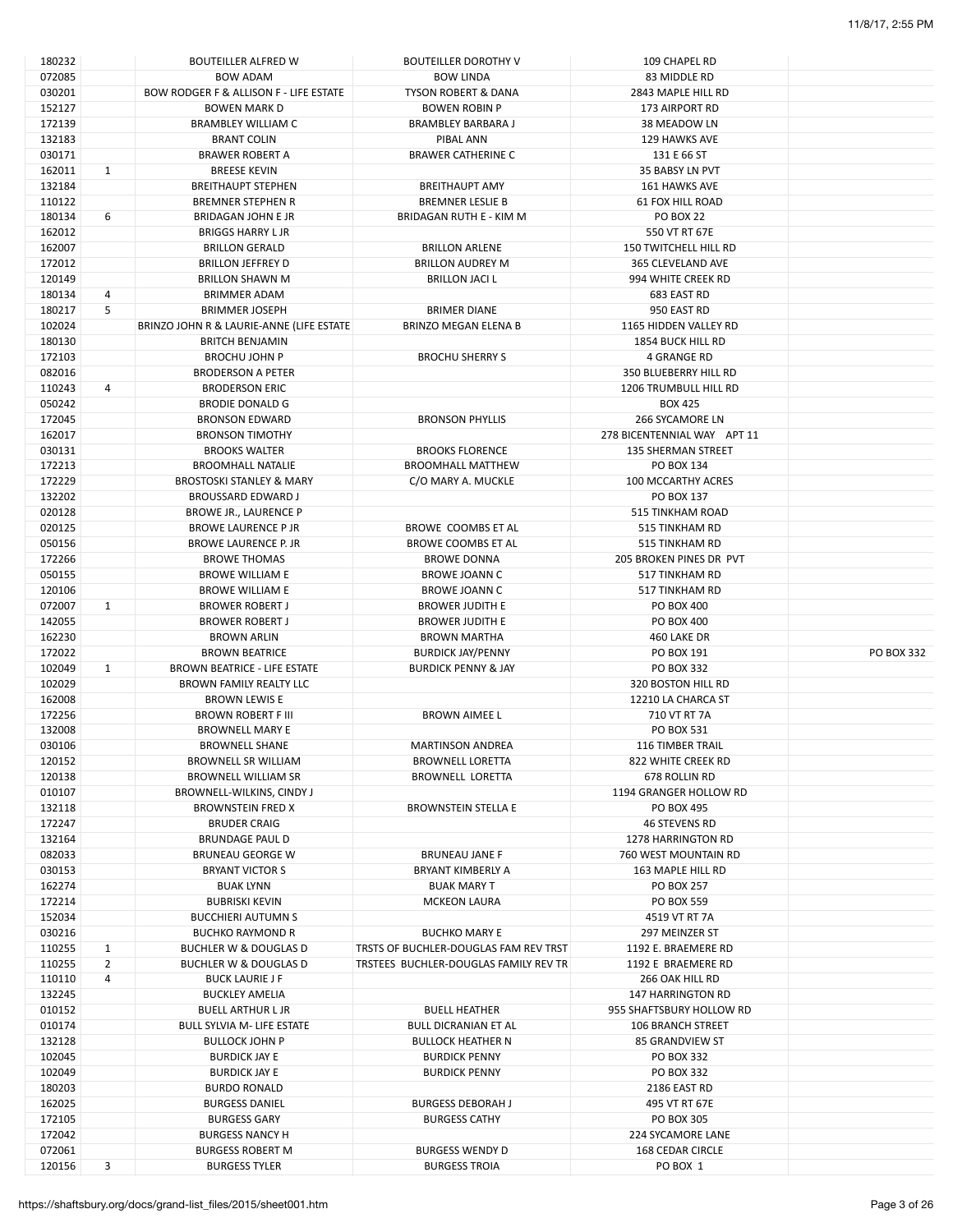| 180232           |                | <b>BOUTEILLER ALFRED W</b>                         | <b>BOUTEILLER DOROTHY V</b>                      | 109 CHAPEL RD                                     |                   |
|------------------|----------------|----------------------------------------------------|--------------------------------------------------|---------------------------------------------------|-------------------|
| 072085           |                | <b>BOW ADAM</b>                                    | <b>BOW LINDA</b>                                 | 83 MIDDLE RD                                      |                   |
| 030201           |                | BOW RODGER F & ALLISON F - LIFE ESTATE             | TYSON ROBERT & DANA                              | 2843 MAPLE HILL RD                                |                   |
| 152127           |                | <b>BOWEN MARK D</b>                                | <b>BOWEN ROBIN P</b>                             | 173 AIRPORT RD                                    |                   |
| 172139           |                | <b>BRAMBLEY WILLIAM C</b>                          | <b>BRAMBLEY BARBARA J</b>                        | 38 MEADOW LN                                      |                   |
| 132183           |                | <b>BRANT COLIN</b>                                 | PIBAL ANN                                        | 129 HAWKS AVE                                     |                   |
| 030171           |                | <b>BRAWER ROBERT A</b>                             | <b>BRAWER CATHERINE C</b>                        | 131 E 66 ST                                       |                   |
| 162011           | $\mathbf{1}$   | <b>BREESE KEVIN</b>                                |                                                  | 35 BABSY LN PVT                                   |                   |
| 132184           |                | <b>BREITHAUPT STEPHEN</b>                          | <b>BREITHAUPT AMY</b>                            | 161 HAWKS AVE                                     |                   |
| 110122           |                | <b>BREMNER STEPHEN R</b>                           | <b>BREMNER LESLIE B</b>                          | 61 FOX HILL ROAD                                  |                   |
| 180134           | 6              | <b>BRIDAGAN JOHN E JR</b>                          | <b>BRIDAGAN RUTH E - KIM M</b>                   | <b>PO BOX 22</b>                                  |                   |
| 162012           |                | <b>BRIGGS HARRY L JR</b>                           |                                                  | 550 VT RT 67E                                     |                   |
| 162007<br>172012 |                | <b>BRILLON GERALD</b>                              | <b>BRILLON ARLENE</b>                            | <b>150 TWITCHELL HILL RD</b><br>365 CLEVELAND AVE |                   |
| 120149           |                | <b>BRILLON JEFFREY D</b><br><b>BRILLON SHAWN M</b> | <b>BRILLON AUDREY M</b><br><b>BRILLON JACI L</b> | 994 WHITE CREEK RD                                |                   |
| 180134           | 4              | <b>BRIMMER ADAM</b>                                |                                                  | 683 EAST RD                                       |                   |
| 180217           | 5              | <b>BRIMMER JOSEPH</b>                              | <b>BRIMER DIANE</b>                              | 950 EAST RD                                       |                   |
| 102024           |                | BRINZO JOHN R & LAURIE-ANNE (LIFE ESTATE           | BRINZO MEGAN ELENA B                             | 1165 HIDDEN VALLEY RD                             |                   |
| 180130           |                | <b>BRITCH BENJAMIN</b>                             |                                                  | <b>1854 BUCK HILL RD</b>                          |                   |
| 172103           |                | <b>BROCHU JOHN P</b>                               | <b>BROCHU SHERRY S</b>                           | <b>4 GRANGE RD</b>                                |                   |
| 082016           |                | <b>BRODERSON A PETER</b>                           |                                                  | 350 BLUEBERRY HILL RD                             |                   |
| 110243           | 4              | <b>BRODERSON ERIC</b>                              |                                                  | <b>1206 TRUMBULL HILL RD</b>                      |                   |
| 050242           |                | <b>BRODIE DONALD G</b>                             |                                                  | <b>BOX 425</b>                                    |                   |
| 172045           |                | <b>BRONSON EDWARD</b>                              | <b>BRONSON PHYLLIS</b>                           | 266 SYCAMORE LN                                   |                   |
| 162017           |                | <b>BRONSON TIMOTHY</b>                             |                                                  | 278 BICENTENNIAL WAY APT 11                       |                   |
| 030131           |                | <b>BROOKS WALTER</b>                               | <b>BROOKS FLORENCE</b>                           | <b>135 SHERMAN STREET</b>                         |                   |
| 172213           |                | <b>BROOMHALL NATALIE</b>                           | <b>BROOMHALL MATTHEW</b>                         | PO BOX 134                                        |                   |
| 172229           |                | <b>BROSTOSKI STANLEY &amp; MARY</b>                | C/O MARY A. MUCKLE                               | 100 MCCARTHY ACRES                                |                   |
| 132202           |                | <b>BROUSSARD EDWARD J</b>                          |                                                  | PO BOX 137                                        |                   |
| 020128           |                | BROWE JR., LAURENCE P                              |                                                  | 515 TINKHAM ROAD                                  |                   |
| 020125           |                | <b>BROWE LAURENCE P JR</b>                         | BROWE COOMBS ET AL                               | 515 TINKHAM RD                                    |                   |
| 050156           |                | <b>BROWE LAURENCE P. JR</b>                        | BROWE COOMBS ET AL                               | 515 TINKHAM RD                                    |                   |
| 172266           |                | <b>BROWE THOMAS</b>                                | <b>BROWE DONNA</b>                               | 205 BROKEN PINES DR PVT                           |                   |
| 050155           |                | <b>BROWE WILLIAM E</b>                             | <b>BROWE JOANN C</b>                             | 517 TINKHAM RD                                    |                   |
| 120106           |                | <b>BROWE WILLIAM E</b>                             | <b>BROWE JOANN C</b>                             | 517 TINKHAM RD                                    |                   |
| 072007           | $\mathbf{1}$   | <b>BROWER ROBERT J</b>                             | <b>BROWER JUDITH E</b>                           | PO BOX 400                                        |                   |
| 142055           |                | <b>BROWER ROBERT J</b>                             | <b>BROWER JUDITH E</b>                           | <b>PO BOX 400</b>                                 |                   |
| 162230           |                | <b>BROWN ARLIN</b>                                 | <b>BROWN MARTHA</b>                              | 460 LAKE DR                                       |                   |
| 172022           |                | <b>BROWN BEATRICE</b>                              | <b>BURDICK JAY/PENNY</b>                         | PO BOX 191                                        | <b>PO BOX 332</b> |
| 102049           | 1              | BROWN BEATRICE - LIFE ESTATE                       | <b>BURDICK PENNY &amp; JAY</b>                   | <b>PO BOX 332</b>                                 |                   |
| 102029           |                | BROWN FAMILY REALTY LLC                            |                                                  | 320 BOSTON HILL RD                                |                   |
| 162008           |                | <b>BROWN LEWIS E</b>                               |                                                  | 12210 LA CHARCA ST                                |                   |
| 172256           |                | <b>BROWN ROBERT F III</b>                          | <b>BROWN AIMEE L</b>                             | 710 VT RT 7A<br>PO BOX 531                        |                   |
| 132008<br>030106 |                | <b>BROWNELL MARY E</b><br><b>BROWNELL SHANE</b>    | <b>MARTINSON ANDREA</b>                          | <b>116 TIMBER TRAIL</b>                           |                   |
| 120152           |                | <b>BROWNELL SR WILLIAM</b>                         | <b>BROWNELL LORETTA</b>                          | 822 WHITE CREEK RD                                |                   |
| 120138           |                | <b>BROWNELL WILLIAM SR</b>                         | <b>BROWNELL LORETTA</b>                          | 678 ROLLIN RD                                     |                   |
| 010107           |                | BROWNELL-WILKINS, CINDY J                          |                                                  | 1194 GRANGER HOLLOW RD                            |                   |
| 132118           |                | <b>BROWNSTEIN FRED X</b>                           | <b>BROWNSTEIN STELLA E</b>                       | PO BOX 495                                        |                   |
| 172247           |                | <b>BRUDER CRAIG</b>                                |                                                  | <b>46 STEVENS RD</b>                              |                   |
| 132164           |                | <b>BRUNDAGE PAUL D</b>                             |                                                  | 1278 HARRINGTON RD                                |                   |
| 082033           |                | <b>BRUNEAU GEORGE W</b>                            | <b>BRUNEAU JANE F</b>                            | 760 WEST MOUNTAIN RD                              |                   |
| 030153           |                | <b>BRYANT VICTOR S</b>                             | BRYANT KIMBERLY A                                | 163 MAPLE HILL RD                                 |                   |
| 162274           |                | <b>BUAK LYNN</b>                                   | <b>BUAK MARY T</b>                               | <b>PO BOX 257</b>                                 |                   |
| 172214           |                | <b>BUBRISKI KEVIN</b>                              | <b>MCKEON LAURA</b>                              | <b>PO BOX 559</b>                                 |                   |
| 152034           |                | <b>BUCCHIERI AUTUMN S</b>                          |                                                  | 4519 VT RT 7A                                     |                   |
| 030216           |                | <b>BUCHKO RAYMOND R</b>                            | <b>BUCHKO MARY E</b>                             | 297 MEINZER ST                                    |                   |
| 110255           | $\mathbf{1}$   | <b>BUCHLER W &amp; DOUGLAS D</b>                   | TRSTS OF BUCHLER-DOUGLAS FAM REV TRST            | 1192 E. BRAEMERE RD                               |                   |
| 110255           | $\overline{2}$ | <b>BUCHLER W &amp; DOUGLAS D</b>                   | TRSTEES BUCHLER-DOUGLAS FAMILY REV TR            | 1192 E BRAEMERE RD                                |                   |
| 110110           | $\overline{4}$ | <b>BUCK LAURIE J F</b>                             |                                                  | 266 OAK HILL RD                                   |                   |
| 132245           |                | <b>BUCKLEY AMELIA</b>                              |                                                  | <b>147 HARRINGTON RD</b>                          |                   |
| 010152           |                | <b>BUELL ARTHUR L JR</b>                           | <b>BUELL HEATHER</b>                             | 955 SHAFTSBURY HOLLOW RD                          |                   |
| 010174           |                | <b>BULL SYLVIA M- LIFE ESTATE</b>                  | <b>BULL DICRANIAN ET AL</b>                      | <b>106 BRANCH STREET</b>                          |                   |
| 132128           |                | <b>BULLOCK JOHN P</b>                              | <b>BULLOCK HEATHER N</b>                         | <b>85 GRANDVIEW ST</b>                            |                   |
| 102045           |                | <b>BURDICK JAY E</b>                               | <b>BURDICK PENNY</b>                             | PO BOX 332                                        |                   |
| 102049           |                | <b>BURDICK JAY E</b>                               | <b>BURDICK PENNY</b>                             | PO BOX 332                                        |                   |
| 180203           |                | <b>BURDO RONALD</b>                                |                                                  | 2186 EAST RD                                      |                   |
| 162025<br>172105 |                | <b>BURGESS DANIEL</b>                              | <b>BURGESS DEBORAH J</b><br><b>BURGESS CATHY</b> | 495 VT RT 67E                                     |                   |
| 172042           |                | <b>BURGESS GARY</b><br><b>BURGESS NANCY H</b>      |                                                  | PO BOX 305<br>224 SYCAMORE LANE                   |                   |
|                  |                |                                                    |                                                  |                                                   |                   |
|                  |                |                                                    |                                                  |                                                   |                   |
| 072061<br>120156 | 3              | <b>BURGESS ROBERT M</b><br><b>BURGESS TYLER</b>    | <b>BURGESS WENDY D</b><br><b>BURGESS TROIA</b>   | 168 CEDAR CIRCLE<br>PO BOX 1                      |                   |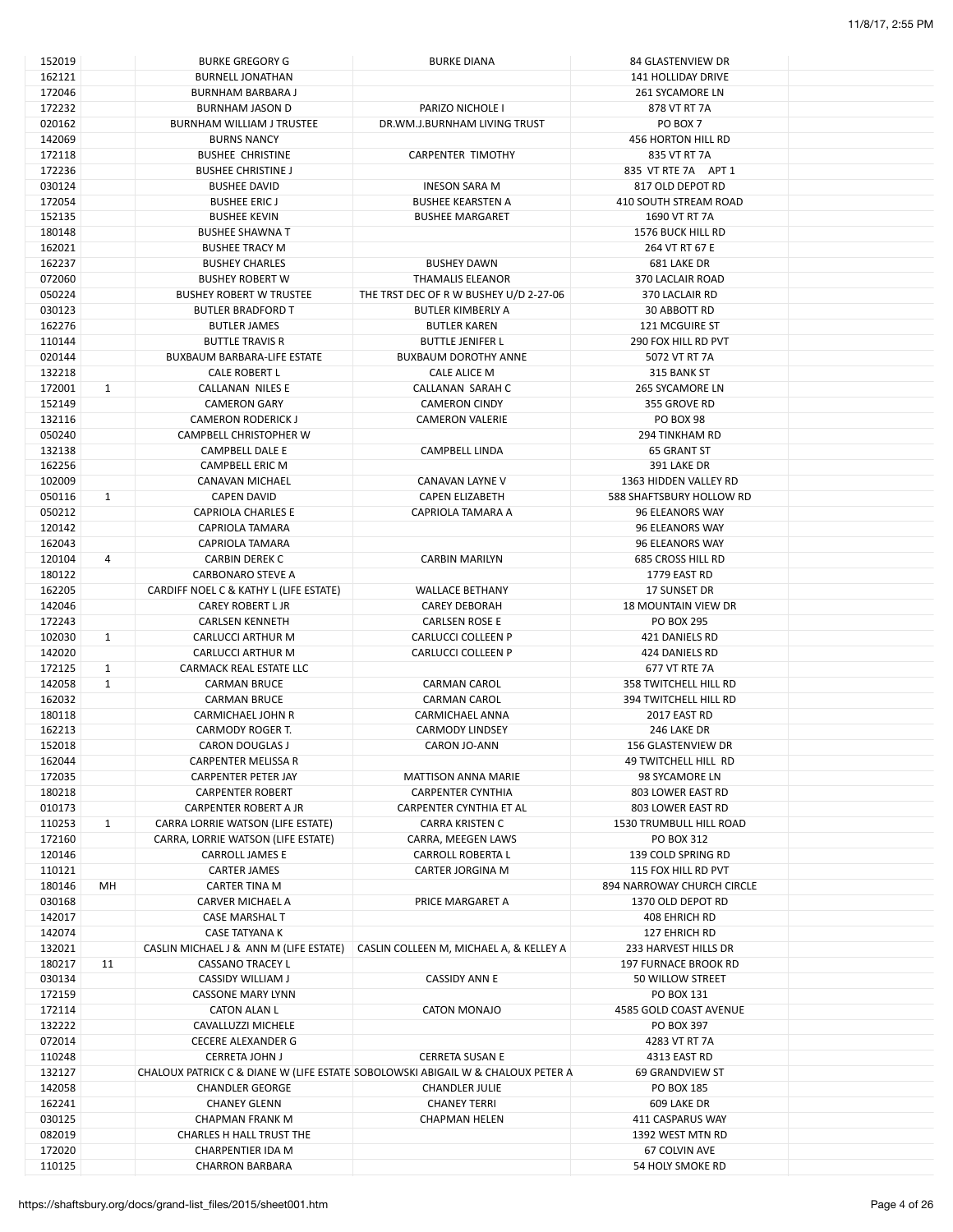| 152019 |              | <b>BURKE GREGORY G</b>                 | <b>BURKE DIANA</b>                                                              | 84 GLASTENVIEW DR              |  |
|--------|--------------|----------------------------------------|---------------------------------------------------------------------------------|--------------------------------|--|
| 162121 |              | <b>BURNELL JONATHAN</b>                |                                                                                 | 141 HOLLIDAY DRIVE             |  |
| 172046 |              | <b>BURNHAM BARBARA J</b>               |                                                                                 | 261 SYCAMORE LN                |  |
| 172232 |              | <b>BURNHAM JASON D</b>                 | PARIZO NICHOLE I                                                                | 878 VT RT 7A                   |  |
| 020162 |              | <b>BURNHAM WILLIAM J TRUSTEE</b>       | DR.WM.J.BURNHAM LIVING TRUST                                                    | PO BOX 7                       |  |
|        |              |                                        |                                                                                 |                                |  |
| 142069 |              | <b>BURNS NANCY</b>                     |                                                                                 | 456 HORTON HILL RD             |  |
| 172118 |              | <b>BUSHEE CHRISTINE</b>                | <b>CARPENTER TIMOTHY</b>                                                        | 835 VT RT 7A                   |  |
| 172236 |              | <b>BUSHEE CHRISTINE J</b>              |                                                                                 | 835 VT RTE 7A APT 1            |  |
| 030124 |              | <b>BUSHEE DAVID</b>                    | <b>INESON SARA M</b>                                                            | 817 OLD DEPOT RD               |  |
| 172054 |              | <b>BUSHEE ERICJ</b>                    | <b>BUSHEE KEARSTEN A</b>                                                        | 410 SOUTH STREAM ROAD          |  |
| 152135 |              | <b>BUSHEE KEVIN</b>                    | <b>BUSHEE MARGARET</b>                                                          | 1690 VT RT 7A                  |  |
| 180148 |              | <b>BUSHEE SHAWNA T</b>                 |                                                                                 | <b>1576 BUCK HILL RD</b>       |  |
| 162021 |              | <b>BUSHEE TRACY M</b>                  |                                                                                 | 264 VT RT 67 E                 |  |
|        |              |                                        |                                                                                 |                                |  |
| 162237 |              | <b>BUSHEY CHARLES</b>                  | <b>BUSHEY DAWN</b>                                                              | 681 LAKE DR                    |  |
| 072060 |              | <b>BUSHEY ROBERT W</b>                 | <b>THAMALIS ELEANOR</b>                                                         | 370 LACLAIR ROAD               |  |
| 050224 |              | <b>BUSHEY ROBERT W TRUSTEE</b>         | THE TRST DEC OF R W BUSHEY U/D 2-27-06                                          | 370 LACLAIR RD                 |  |
| 030123 |              | <b>BUTLER BRADFORD T</b>               | <b>BUTLER KIMBERLY A</b>                                                        | 30 ABBOTT RD                   |  |
| 162276 |              | <b>BUTLER JAMES</b>                    | <b>BUTLER KAREN</b>                                                             | <b>121 MCGUIRE ST</b>          |  |
| 110144 |              | <b>BUTTLE TRAVIS R</b>                 | <b>BUTTLE JENIFER L</b>                                                         | 290 FOX HILL RD PVT            |  |
| 020144 |              | <b>BUXBAUM BARBARA-LIFE ESTATE</b>     | <b>BUXBAUM DOROTHY ANNE</b>                                                     | 5072 VT RT 7A                  |  |
| 132218 |              | <b>CALE ROBERT L</b>                   | CALE ALICE M                                                                    | 315 BANK ST                    |  |
|        |              |                                        |                                                                                 |                                |  |
| 172001 | $\mathbf{1}$ | CALLANAN NILES E                       | CALLANAN SARAH C                                                                | 265 SYCAMORE LN                |  |
| 152149 |              | <b>CAMERON GARY</b>                    | <b>CAMERON CINDY</b>                                                            | 355 GROVE RD                   |  |
| 132116 |              | <b>CAMERON RODERICK J</b>              | <b>CAMERON VALERIE</b>                                                          | <b>PO BOX 98</b>               |  |
| 050240 |              | CAMPBELL CHRISTOPHER W                 |                                                                                 | <b>294 TINKHAM RD</b>          |  |
| 132138 |              | CAMPBELL DALE E                        | <b>CAMPBELL LINDA</b>                                                           | <b>65 GRANT ST</b>             |  |
| 162256 |              | <b>CAMPBELL ERIC M</b>                 |                                                                                 | 391 LAKE DR                    |  |
| 102009 |              | CANAVAN MICHAEL                        | CANAVAN LAYNE V                                                                 | 1363 HIDDEN VALLEY RD          |  |
| 050116 | $\mathbf{1}$ | <b>CAPEN DAVID</b>                     | <b>CAPEN ELIZABETH</b>                                                          | 588 SHAFTSBURY HOLLOW RD       |  |
|        |              |                                        |                                                                                 |                                |  |
| 050212 |              | <b>CAPRIOLA CHARLES E</b>              | CAPRIOLA TAMARA A                                                               | 96 ELEANORS WAY                |  |
| 120142 |              | CAPRIOLA TAMARA                        |                                                                                 | 96 ELEANORS WAY                |  |
| 162043 |              | CAPRIOLA TAMARA                        |                                                                                 | 96 ELEANORS WAY                |  |
| 120104 | 4            | <b>CARBIN DEREK C</b>                  | <b>CARBIN MARILYN</b>                                                           | <b>685 CROSS HILL RD</b>       |  |
| 180122 |              | <b>CARBONARO STEVE A</b>               |                                                                                 | 1779 EAST RD                   |  |
| 162205 |              | CARDIFF NOEL C & KATHY L (LIFE ESTATE) | <b>WALLACE BETHANY</b>                                                          | 17 SUNSET DR                   |  |
| 142046 |              | <b>CAREY ROBERT L JR</b>               | <b>CAREY DEBORAH</b>                                                            | <b>18 MOUNTAIN VIEW DR</b>     |  |
|        |              |                                        |                                                                                 |                                |  |
| 172243 |              | <b>CARLSEN KENNETH</b>                 | <b>CARLSEN ROSE E</b>                                                           | <b>PO BOX 295</b>              |  |
| 102030 | $\mathbf{1}$ | CARLUCCI ARTHUR M                      | CARLUCCI COLLEEN P                                                              | 421 DANIELS RD                 |  |
| 142020 |              | CARLUCCI ARTHUR M                      | <b>CARLUCCI COLLEEN P</b>                                                       | 424 DANIELS RD                 |  |
| 172125 | $\mathbf{1}$ | CARMACK REAL ESTATE LLC                |                                                                                 | 677 VT RTE 7A                  |  |
| 142058 | $\mathbf{1}$ | <b>CARMAN BRUCE</b>                    | <b>CARMAN CAROL</b>                                                             | <b>358 TWITCHELL HILL RD</b>   |  |
| 162032 |              | <b>CARMAN BRUCE</b>                    | <b>CARMAN CAROL</b>                                                             | 394 TWITCHELL HILL RD          |  |
| 180118 |              | <b>CARMICHAEL JOHN R</b>               | CARMICHAEL ANNA                                                                 | 2017 EAST RD                   |  |
| 162213 |              | CARMODY ROGER T.                       | <b>CARMODY LINDSEY</b>                                                          | 246 LAKE DR                    |  |
| 152018 |              | <b>CARON DOUGLAS J</b>                 | CARON JO-ANN                                                                    | 156 GLASTENVIEW DR             |  |
|        |              |                                        |                                                                                 |                                |  |
| 162044 |              | CARPENTER MELISSA R                    |                                                                                 | 49 TWITCHELL HILL RD           |  |
| 172035 |              | <b>CARPENTER PETER JAY</b>             | <b>MATTISON ANNA MARIE</b>                                                      | 98 SYCAMORE LN                 |  |
| 180218 |              | <b>CARPENTER ROBERT</b>                | <b>CARPENTER CYNTHIA</b>                                                        | 803 LOWER EAST RD              |  |
| 010173 |              | <b>CARPENTER ROBERT A JR</b>           | CARPENTER CYNTHIA ET AL                                                         | 803 LOWER EAST RD              |  |
| 110253 | $\mathbf{1}$ | CARRA LORRIE WATSON (LIFE ESTATE)      | <b>CARRA KRISTEN C</b>                                                          | <b>1530 TRUMBULL HILL ROAD</b> |  |
| 172160 |              | CARRA, LORRIE WATSON (LIFE ESTATE)     | CARRA, MEEGEN LAWS                                                              | PO BOX 312                     |  |
| 120146 |              | <b>CARROLL JAMES E</b>                 | <b>CARROLL ROBERTA L</b>                                                        | 139 COLD SPRING RD             |  |
| 110121 |              | <b>CARTER JAMES</b>                    | <b>CARTER JORGINA M</b>                                                         | 115 FOX HILL RD PVT            |  |
| 180146 | MH           |                                        |                                                                                 | 894 NARROWAY CHURCH CIRCLE     |  |
|        |              | CARTER TINA M                          |                                                                                 |                                |  |
| 030168 |              | CARVER MICHAEL A                       | PRICE MARGARET A                                                                | 1370 OLD DEPOT RD              |  |
| 142017 |              | CASE MARSHAL T                         |                                                                                 | 408 EHRICH RD                  |  |
| 142074 |              | CASE TATYANA K                         |                                                                                 | 127 EHRICH RD                  |  |
| 132021 |              | CASLIN MICHAEL J & ANN M (LIFE ESTATE) | CASLIN COLLEEN M, MICHAEL A, & KELLEY A                                         | 233 HARVEST HILLS DR           |  |
| 180217 | 11           | <b>CASSANO TRACEY L</b>                |                                                                                 | <b>197 FURNACE BROOK RD</b>    |  |
| 030134 |              | CASSIDY WILLIAM J                      | <b>CASSIDY ANN E</b>                                                            | 50 WILLOW STREET               |  |
| 172159 |              | <b>CASSONE MARY LYNN</b>               |                                                                                 | PO BOX 131                     |  |
| 172114 |              | <b>CATON ALAN L</b>                    | CATON MONAJO                                                                    | 4585 GOLD COAST AVENUE         |  |
|        |              |                                        |                                                                                 |                                |  |
| 132222 |              | CAVALLUZZI MICHELE                     |                                                                                 | PO BOX 397                     |  |
| 072014 |              | <b>CECERE ALEXANDER G</b>              |                                                                                 | 4283 VT RT 7A                  |  |
| 110248 |              | <b>CERRETA JOHN J</b>                  | <b>CERRETA SUSAN E</b>                                                          | 4313 EAST RD                   |  |
| 132127 |              |                                        | CHALOUX PATRICK C & DIANE W (LIFE ESTATE SOBOLOWSKI ABIGAIL W & CHALOUX PETER A | 69 GRANDVIEW ST                |  |
| 142058 |              | <b>CHANDLER GEORGE</b>                 | <b>CHANDLER JULIE</b>                                                           | PO BOX 185                     |  |
| 162241 |              | <b>CHANEY GLENN</b>                    | <b>CHANEY TERRI</b>                                                             | 609 LAKE DR                    |  |
| 030125 |              | <b>CHAPMAN FRANK M</b>                 | <b>CHAPMAN HELEN</b>                                                            | 411 CASPARUS WAY               |  |
| 082019 |              | CHARLES H HALL TRUST THE               |                                                                                 |                                |  |
|        |              |                                        |                                                                                 | 1392 WEST MTN RD               |  |
| 172020 |              | CHARPENTIER IDA M                      |                                                                                 | 67 COLVIN AVE                  |  |
| 110125 |              | <b>CHARRON BARBARA</b>                 |                                                                                 | 54 HOLY SMOKE RD               |  |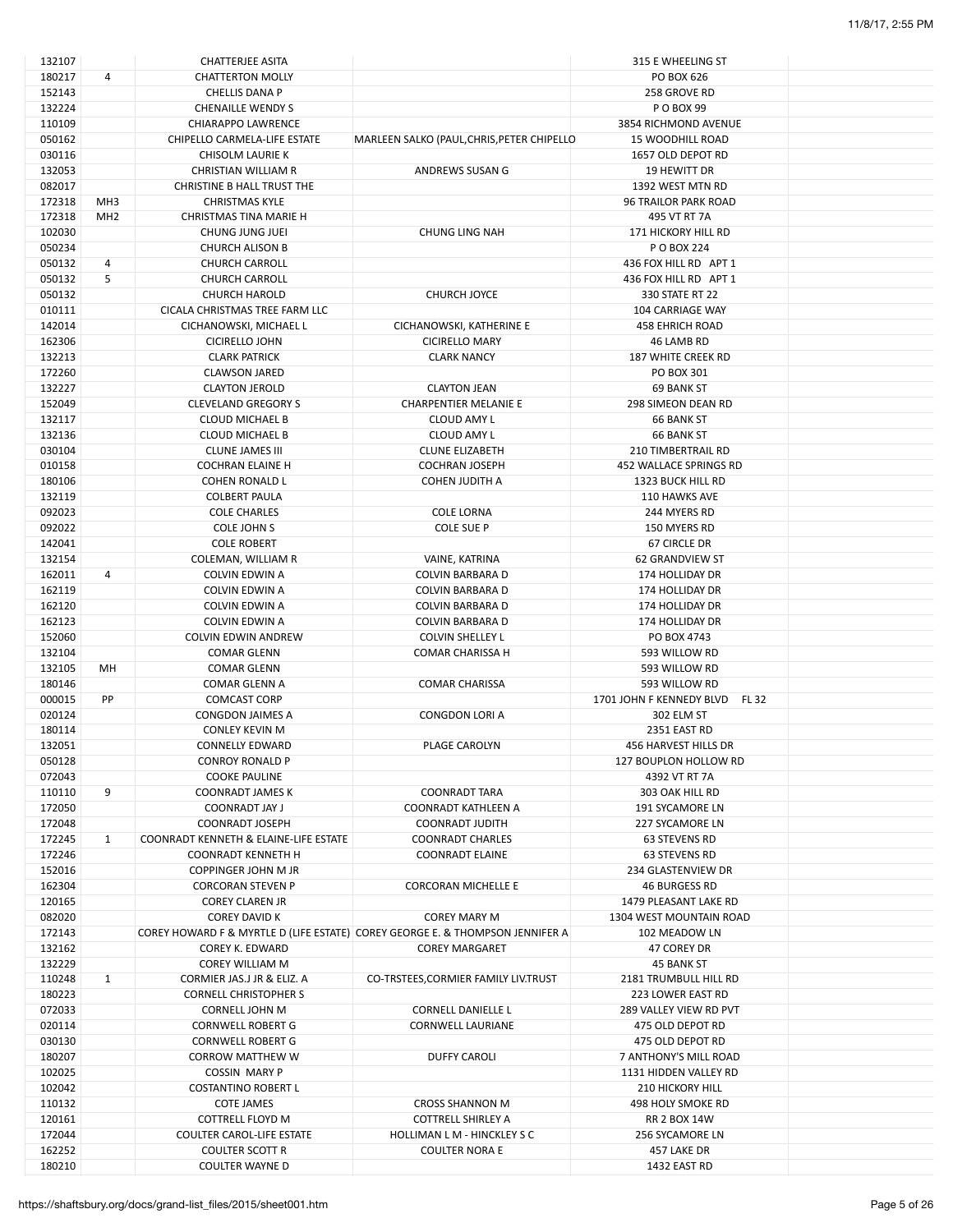| 132107 |                 | <b>CHATTERJEE ASITA</b>               |                                                                               | 315 E WHEELING ST                        |  |
|--------|-----------------|---------------------------------------|-------------------------------------------------------------------------------|------------------------------------------|--|
| 180217 | 4               | <b>CHATTERTON MOLLY</b>               |                                                                               | PO BOX 626                               |  |
| 152143 |                 | <b>CHELLIS DANA P</b>                 |                                                                               | 258 GROVE RD                             |  |
| 132224 |                 | <b>CHENAILLE WENDY S</b>              |                                                                               | P O BOX 99                               |  |
| 110109 |                 | <b>CHIARAPPO LAWRENCE</b>             |                                                                               |                                          |  |
|        |                 |                                       |                                                                               | 3854 RICHMOND AVENUE                     |  |
| 050162 |                 | CHIPELLO CARMELA-LIFE ESTATE          | MARLEEN SALKO (PAUL, CHRIS, PETER CHIPELLO                                    | <b>15 WOODHILL ROAD</b>                  |  |
| 030116 |                 | CHISOLM LAURIE K                      |                                                                               | 1657 OLD DEPOT RD                        |  |
| 132053 |                 | <b>CHRISTIAN WILLIAM R</b>            | ANDREWS SUSAN G                                                               | 19 HEWITT DR                             |  |
| 082017 |                 | CHRISTINE B HALL TRUST THE            |                                                                               | 1392 WEST MTN RD                         |  |
| 172318 | MH <sub>3</sub> | <b>CHRISTMAS KYLE</b>                 |                                                                               | 96 TRAILOR PARK ROAD                     |  |
| 172318 | MH <sub>2</sub> | CHRISTMAS TINA MARIE H                |                                                                               | 495 VT RT 7A                             |  |
| 102030 |                 | CHUNG JUNG JUEI                       | <b>CHUNG LING NAH</b>                                                         | 171 HICKORY HILL RD                      |  |
| 050234 |                 | <b>CHURCH ALISON B</b>                |                                                                               | P O BOX 224                              |  |
|        |                 |                                       |                                                                               |                                          |  |
| 050132 | 4               | <b>CHURCH CARROLL</b>                 |                                                                               | 436 FOX HILL RD APT 1                    |  |
| 050132 | 5               | <b>CHURCH CARROLL</b>                 |                                                                               | 436 FOX HILL RD APT 1                    |  |
| 050132 |                 | <b>CHURCH HAROLD</b>                  | <b>CHURCH JOYCE</b>                                                           | 330 STATE RT 22                          |  |
| 010111 |                 | CICALA CHRISTMAS TREE FARM LLC        |                                                                               | 104 CARRIAGE WAY                         |  |
| 142014 |                 | CICHANOWSKI, MICHAEL L                | CICHANOWSKI, KATHERINE E                                                      | <b>458 EHRICH ROAD</b>                   |  |
| 162306 |                 | <b>CICIRELLO JOHN</b>                 | <b>CICIRELLO MARY</b>                                                         | 46 LAMB RD                               |  |
| 132213 |                 | <b>CLARK PATRICK</b>                  | <b>CLARK NANCY</b>                                                            | <b>187 WHITE CREEK RD</b>                |  |
| 172260 |                 | <b>CLAWSON JARED</b>                  |                                                                               | PO BOX 301                               |  |
|        |                 |                                       |                                                                               |                                          |  |
| 132227 |                 | <b>CLAYTON JEROLD</b>                 | <b>CLAYTON JEAN</b>                                                           | 69 BANK ST                               |  |
| 152049 |                 | <b>CLEVELAND GREGORY S</b>            | <b>CHARPENTIER MELANIE E</b>                                                  | 298 SIMEON DEAN RD                       |  |
| 132117 |                 | <b>CLOUD MICHAEL B</b>                | <b>CLOUD AMY L</b>                                                            | <b>66 BANK ST</b>                        |  |
| 132136 |                 | <b>CLOUD MICHAEL B</b>                | CLOUD AMY L                                                                   | 66 BANK ST                               |  |
| 030104 |                 | <b>CLUNE JAMES III</b>                | <b>CLUNE ELIZABETH</b>                                                        | <b>210 TIMBERTRAIL RD</b>                |  |
| 010158 |                 | <b>COCHRAN ELAINE H</b>               | <b>COCHRAN JOSEPH</b>                                                         | 452 WALLACE SPRINGS RD                   |  |
| 180106 |                 | <b>COHEN RONALD L</b>                 | <b>COHEN JUDITH A</b>                                                         | 1323 BUCK HILL RD                        |  |
| 132119 |                 | <b>COLBERT PAULA</b>                  |                                                                               | 110 HAWKS AVE                            |  |
|        |                 |                                       |                                                                               |                                          |  |
| 092023 |                 | <b>COLE CHARLES</b>                   | <b>COLE LORNA</b>                                                             | 244 MYERS RD                             |  |
| 092022 |                 | COLE JOHN S                           | COLE SUE P                                                                    | 150 MYERS RD                             |  |
| 142041 |                 | <b>COLE ROBERT</b>                    |                                                                               | 67 CIRCLE DR                             |  |
| 132154 |                 | COLEMAN, WILLIAM R                    | VAINE, KATRINA                                                                | <b>62 GRANDVIEW ST</b>                   |  |
| 162011 | 4               | COLVIN EDWIN A                        | COLVIN BARBARA D                                                              | 174 HOLLIDAY DR                          |  |
| 162119 |                 | COLVIN EDWIN A                        | COLVIN BARBARA D                                                              | 174 HOLLIDAY DR                          |  |
| 162120 |                 | COLVIN EDWIN A                        | COLVIN BARBARA D                                                              | 174 HOLLIDAY DR                          |  |
|        |                 |                                       |                                                                               |                                          |  |
| 162123 |                 | COLVIN EDWIN A                        | COLVIN BARBARA D                                                              | 174 HOLLIDAY DR                          |  |
| 152060 |                 | COLVIN EDWIN ANDREW                   | <b>COLVIN SHELLEY L</b>                                                       | PO BOX 4743                              |  |
| 132104 |                 | <b>COMAR GLENN</b>                    | <b>COMAR CHARISSA H</b>                                                       | 593 WILLOW RD                            |  |
| 132105 | MН              | <b>COMAR GLENN</b>                    |                                                                               | 593 WILLOW RD                            |  |
| 180146 |                 | COMAR GLENN A                         | <b>COMAR CHARISSA</b>                                                         | 593 WILLOW RD                            |  |
| 000015 | PP              | <b>COMCAST CORP</b>                   |                                                                               | <b>FL 32</b><br>1701 JOHN F KENNEDY BLVD |  |
| 020124 |                 | CONGDON JAIMES A                      | CONGDON LORI A                                                                | 302 ELM ST                               |  |
| 180114 |                 | <b>CONLEY KEVIN M</b>                 |                                                                               | 2351 EAST RD                             |  |
| 132051 |                 | <b>CONNELLY EDWARD</b>                | PLAGE CAROLYN                                                                 | 456 HARVEST HILLS DR                     |  |
|        |                 |                                       |                                                                               |                                          |  |
| 050128 |                 | <b>CONROY RONALD P</b>                |                                                                               | 127 BOUPLON HOLLOW RD                    |  |
| 072043 |                 | <b>COOKE PAULINE</b>                  |                                                                               | 4392 VT RT 7A                            |  |
| 110110 | 9               | <b>COONRADT JAMES K</b>               | <b>COONRADT TARA</b>                                                          | 303 OAK HILL RD                          |  |
| 172050 |                 | <b>COONRADT JAY J</b>                 | COONRADT KATHLEEN A                                                           | 191 SYCAMORE LN                          |  |
| 172048 |                 | COONRADT JOSEPH                       | COONRADT JUDITH                                                               | 227 SYCAMORE LN                          |  |
| 172245 | $\mathbf{1}$    | COONRADT KENNETH & ELAINE-LIFE ESTATE | <b>COONRADT CHARLES</b>                                                       | <b>63 STEVENS RD</b>                     |  |
| 172246 |                 | <b>COONRADT KENNETH H</b>             | <b>COONRADT ELAINE</b>                                                        | 63 STEVENS RD                            |  |
| 152016 |                 | COPPINGER JOHN M JR                   |                                                                               | 234 GLASTENVIEW DR                       |  |
| 162304 |                 | <b>CORCORAN STEVEN P</b>              | <b>CORCORAN MICHELLE E</b>                                                    | <b>46 BURGESS RD</b>                     |  |
|        |                 |                                       |                                                                               |                                          |  |
| 120165 |                 | <b>COREY CLAREN JR</b>                |                                                                               | 1479 PLEASANT LAKE RD                    |  |
| 082020 |                 | COREY DAVID K                         | <b>COREY MARY M</b>                                                           | 1304 WEST MOUNTAIN ROAD                  |  |
| 172143 |                 |                                       | COREY HOWARD F & MYRTLE D (LIFE ESTATE) COREY GEORGE E. & THOMPSON JENNIFER A | 102 MEADOW LN                            |  |
| 132162 |                 | <b>COREY K. EDWARD</b>                | <b>COREY MARGARET</b>                                                         | 47 COREY DR                              |  |
| 132229 |                 | COREY WILLIAM M                       |                                                                               | 45 BANK ST                               |  |
| 110248 | $\mathbf{1}$    | CORMIER JAS.J JR & ELIZ. A            | CO-TRSTEES, CORMIER FAMILY LIV.TRUST                                          | 2181 TRUMBULL HILL RD                    |  |
| 180223 |                 | <b>CORNELL CHRISTOPHER S</b>          |                                                                               | 223 LOWER EAST RD                        |  |
| 072033 |                 | <b>CORNELL JOHN M</b>                 | <b>CORNELL DANIELLE L</b>                                                     | 289 VALLEY VIEW RD PVT                   |  |
|        |                 |                                       |                                                                               |                                          |  |
| 020114 |                 | <b>CORNWELL ROBERT G</b>              | <b>CORNWELL LAURIANE</b>                                                      | 475 OLD DEPOT RD                         |  |
| 030130 |                 | <b>CORNWELL ROBERT G</b>              |                                                                               | 475 OLD DEPOT RD                         |  |
| 180207 |                 | <b>CORROW MATTHEW W</b>               | <b>DUFFY CAROLI</b>                                                           | 7 ANTHONY'S MILL ROAD                    |  |
| 102025 |                 | <b>COSSIN MARY P</b>                  |                                                                               | 1131 HIDDEN VALLEY RD                    |  |
| 102042 |                 | <b>COSTANTINO ROBERT L</b>            |                                                                               | <b>210 HICKORY HILL</b>                  |  |
| 110132 |                 | <b>COTE JAMES</b>                     | <b>CROSS SHANNON M</b>                                                        | 498 HOLY SMOKE RD                        |  |
| 120161 |                 | COTTRELL FLOYD M                      | <b>COTTRELL SHIRLEY A</b>                                                     | <b>RR 2 BOX 14W</b>                      |  |
| 172044 |                 | COULTER CAROL-LIFE ESTATE             | HOLLIMAN L M - HINCKLEY S C                                                   | 256 SYCAMORE LN                          |  |
|        |                 |                                       |                                                                               |                                          |  |
| 162252 |                 | <b>COULTER SCOTT R</b>                | <b>COULTER NORA E</b>                                                         | 457 LAKE DR                              |  |
| 180210 |                 | COULTER WAYNE D                       |                                                                               | 1432 EAST RD                             |  |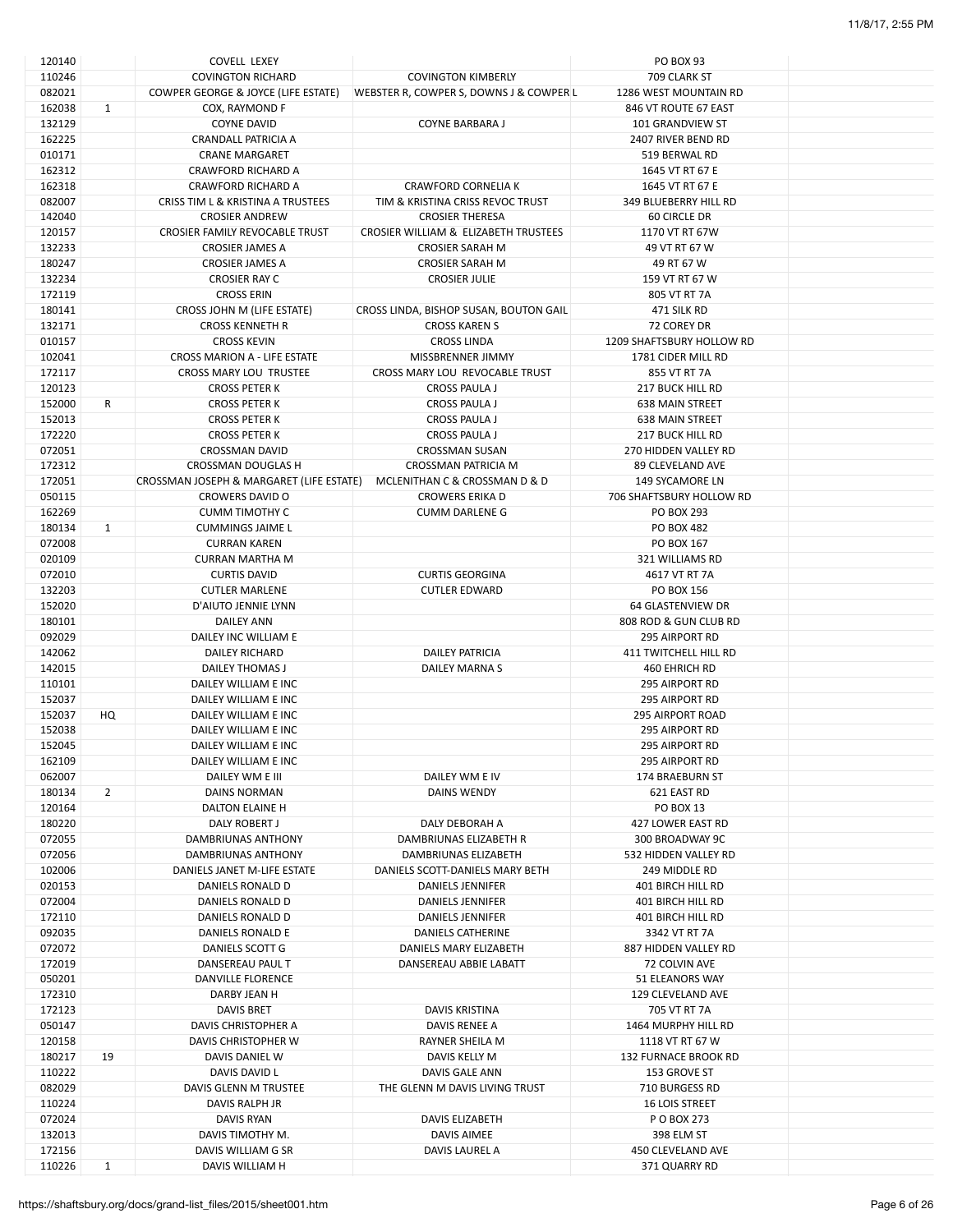| 110246           |              | <b>COVELL LEXEY</b>                      |                                         | PO BOX 93                   |  |
|------------------|--------------|------------------------------------------|-----------------------------------------|-----------------------------|--|
|                  |              | <b>COVINGTON RICHARD</b>                 | <b>COVINGTON KIMBERLY</b>               | 709 CLARK ST                |  |
| 082021           |              | COWPER GEORGE & JOYCE (LIFE ESTATE)      | WEBSTER R, COWPER S, DOWNS J & COWPER L | 1286 WEST MOUNTAIN RD       |  |
| 162038           | 1            | COX, RAYMOND F                           |                                         | 846 VT ROUTE 67 EAST        |  |
| 132129           |              | <b>COYNE DAVID</b>                       | COYNE BARBARA J                         | 101 GRANDVIEW ST            |  |
| 162225           |              | CRANDALL PATRICIA A                      |                                         | 2407 RIVER BEND RD          |  |
| 010171           |              | <b>CRANE MARGARET</b>                    |                                         | 519 BERWAL RD               |  |
|                  |              |                                          |                                         | 1645 VT RT 67 E             |  |
| 162312           |              | <b>CRAWFORD RICHARD A</b>                |                                         |                             |  |
| 162318           |              | <b>CRAWFORD RICHARD A</b>                | <b>CRAWFORD CORNELIA K</b>              | 1645 VT RT 67 E             |  |
| 082007           |              | CRISS TIM L & KRISTINA A TRUSTEES        | TIM & KRISTINA CRISS REVOC TRUST        | 349 BLUEBERRY HILL RD       |  |
| 142040           |              | <b>CROSIER ANDREW</b>                    | <b>CROSIER THERESA</b>                  | <b>60 CIRCLE DR</b>         |  |
| 120157           |              | CROSIER FAMILY REVOCABLE TRUST           | CROSIER WILLIAM & ELIZABETH TRUSTEES    | 1170 VT RT 67W              |  |
| 132233           |              | <b>CROSIER JAMES A</b>                   | <b>CROSIER SARAH M</b>                  | 49 VT RT 67 W               |  |
| 180247           |              | <b>CROSIER JAMES A</b>                   | <b>CROSIER SARAH M</b>                  | 49 RT 67 W                  |  |
| 132234           |              | <b>CROSIER RAY C</b>                     | <b>CROSIER JULIE</b>                    | 159 VT RT 67 W              |  |
| 172119           |              | <b>CROSS ERIN</b>                        |                                         | 805 VT RT 7A                |  |
| 180141           |              |                                          |                                         | 471 SILK RD                 |  |
|                  |              | CROSS JOHN M (LIFE ESTATE)               | CROSS LINDA, BISHOP SUSAN, BOUTON GAIL  |                             |  |
| 132171           |              | <b>CROSS KENNETH R</b>                   | <b>CROSS KAREN S</b>                    | 72 COREY DR                 |  |
| 010157           |              | <b>CROSS KEVIN</b>                       | <b>CROSS LINDA</b>                      | 1209 SHAFTSBURY HOLLOW RD   |  |
| 102041           |              | CROSS MARION A - LIFE ESTATE             | MISSBRENNER JIMMY                       | 1781 CIDER MILL RD          |  |
| 172117           |              | CROSS MARY LOU TRUSTEE                   | CROSS MARY LOU REVOCABLE TRUST          | 855 VT RT 7A                |  |
| 120123           |              | <b>CROSS PETER K</b>                     | <b>CROSS PAULA J</b>                    | <b>217 BUCK HILL RD</b>     |  |
| 152000           | R            | <b>CROSS PETER K</b>                     | <b>CROSS PAULA J</b>                    | <b>638 MAIN STREET</b>      |  |
| 152013           |              | <b>CROSS PETER K</b>                     | <b>CROSS PAULA J</b>                    | <b>638 MAIN STREET</b>      |  |
| 172220           |              | <b>CROSS PETER K</b>                     | <b>CROSS PAULA J</b>                    | <b>217 BUCK HILL RD</b>     |  |
|                  |              |                                          |                                         |                             |  |
| 072051           |              | <b>CROSSMAN DAVID</b>                    | <b>CROSSMAN SUSAN</b>                   | 270 HIDDEN VALLEY RD        |  |
| 172312           |              | CROSSMAN DOUGLAS H                       | CROSSMAN PATRICIA M                     | 89 CLEVELAND AVE            |  |
| 172051           |              | CROSSMAN JOSEPH & MARGARET (LIFE ESTATE) | MCLENITHAN C & CROSSMAN D & D           | 149 SYCAMORE LN             |  |
| 050115           |              | <b>CROWERS DAVID O</b>                   | <b>CROWERS ERIKA D</b>                  | 706 SHAFTSBURY HOLLOW RD    |  |
| 162269           |              | <b>CUMM TIMOTHY C</b>                    | <b>CUMM DARLENE G</b>                   | <b>PO BOX 293</b>           |  |
| 180134           | 1            | <b>CUMMINGS JAIME L</b>                  |                                         | <b>PO BOX 482</b>           |  |
| 072008           |              | <b>CURRAN KAREN</b>                      |                                         | PO BOX 167                  |  |
| 020109           |              | <b>CURRAN MARTHA M</b>                   |                                         | 321 WILLIAMS RD             |  |
|                  |              |                                          |                                         |                             |  |
| 072010           |              | <b>CURTIS DAVID</b>                      | <b>CURTIS GEORGINA</b>                  | 4617 VT RT 7A               |  |
| 132203           |              | <b>CUTLER MARLENE</b>                    | <b>CUTLER EDWARD</b>                    | PO BOX 156                  |  |
| 152020           |              | D'AIUTO JENNIE LYNN                      |                                         | 64 GLASTENVIEW DR           |  |
| 180101           |              | <b>DAILEY ANN</b>                        |                                         | 808 ROD & GUN CLUB RD       |  |
| 092029           |              | DAILEY INC WILLIAM E                     |                                         | 295 AIRPORT RD              |  |
| 142062           |              | DAILEY RICHARD                           | <b>DAILEY PATRICIA</b>                  | 411 TWITCHELL HILL RD       |  |
| 142015           |              | DAILEY THOMAS J                          | DAILEY MARNA S                          | 460 EHRICH RD               |  |
| 110101           |              |                                          |                                         | 295 AIRPORT RD              |  |
|                  |              |                                          |                                         |                             |  |
|                  |              | DAILEY WILLIAM E INC                     |                                         |                             |  |
| 152037           |              | DAILEY WILLIAM E INC                     |                                         | <b>295 AIRPORT RD</b>       |  |
| 152037           | HQ           | DAILEY WILLIAM E INC                     |                                         | <b>295 AIRPORT ROAD</b>     |  |
| 152038           |              | DAILEY WILLIAM E INC                     |                                         | 295 AIRPORT RD              |  |
| 152045           |              | DAILEY WILLIAM E INC                     |                                         | <b>295 AIRPORT RD</b>       |  |
| 162109           |              | DAILEY WILLIAM E INC                     |                                         | <b>295 AIRPORT RD</b>       |  |
| 062007           |              | DAILEY WM E III                          | DAILEY WM E IV                          | 174 BRAEBURN ST             |  |
| 180134           | $2^{\circ}$  | DAINS NORMAN                             | DAINS WENDY                             | 621 EAST RD                 |  |
|                  |              |                                          |                                         |                             |  |
| 120164           |              | DALTON ELAINE H                          |                                         | PO BOX 13                   |  |
| 180220           |              | DALY ROBERT J                            | DALY DEBORAH A                          | 427 LOWER EAST RD           |  |
| 072055           |              | DAMBRIUNAS ANTHONY                       | DAMBRIUNAS ELIZABETH R                  | 300 BROADWAY 9C             |  |
| 072056           |              | DAMBRIUNAS ANTHONY                       | DAMBRIUNAS ELIZABETH                    | 532 HIDDEN VALLEY RD        |  |
| 102006           |              | DANIELS JANET M-LIFE ESTATE              | DANIELS SCOTT-DANIELS MARY BETH         | 249 MIDDLE RD               |  |
| 020153           |              | DANIELS RONALD D                         | DANIELS JENNIFER                        | <b>401 BIRCH HILL RD</b>    |  |
| 072004           |              | DANIELS RONALD D                         | <b>DANIELS JENNIFER</b>                 | 401 BIRCH HILL RD           |  |
| 172110           |              | DANIELS RONALD D                         | DANIELS JENNIFER                        | 401 BIRCH HILL RD           |  |
| 092035           |              | <b>DANIELS RONALD E</b>                  | DANIELS CATHERINE                       | 3342 VT RT 7A               |  |
|                  |              | DANIELS SCOTT G                          | DANIELS MARY ELIZABETH                  | 887 HIDDEN VALLEY RD        |  |
| 072072           |              |                                          |                                         |                             |  |
| 172019           |              | DANSEREAU PAUL T                         | DANSEREAU ABBIE LABATT                  | 72 COLVIN AVE               |  |
| 050201           |              | DANVILLE FLORENCE                        |                                         | 51 ELEANORS WAY             |  |
| 172310           |              | DARBY JEAN H                             |                                         | 129 CLEVELAND AVE           |  |
| 172123           |              | <b>DAVIS BRET</b>                        | <b>DAVIS KRISTINA</b>                   | 705 VT RT 7A                |  |
| 050147           |              | DAVIS CHRISTOPHER A                      | DAVIS RENEE A                           | 1464 MURPHY HILL RD         |  |
| 120158           |              | DAVIS CHRISTOPHER W                      | RAYNER SHEILA M                         | 1118 VT RT 67 W             |  |
| 180217           | 19           | DAVIS DANIEL W                           | DAVIS KELLY M                           | <b>132 FURNACE BROOK RD</b> |  |
| 110222           |              | DAVIS DAVID L                            | DAVIS GALE ANN                          | 153 GROVE ST                |  |
|                  |              |                                          |                                         |                             |  |
| 082029           |              | DAVIS GLENN M TRUSTEE                    | THE GLENN M DAVIS LIVING TRUST          | 710 BURGESS RD              |  |
| 110224           |              | DAVIS RALPH JR                           |                                         | <b>16 LOIS STREET</b>       |  |
| 072024           |              | DAVIS RYAN                               | DAVIS ELIZABETH                         | P O BOX 273                 |  |
| 132013           |              | DAVIS TIMOTHY M.                         | DAVIS AIMEE                             | 398 ELM ST                  |  |
| 172156<br>110226 | $\mathbf{1}$ | DAVIS WILLIAM G SR                       | DAVIS LAUREL A                          | 450 CLEVELAND AVE           |  |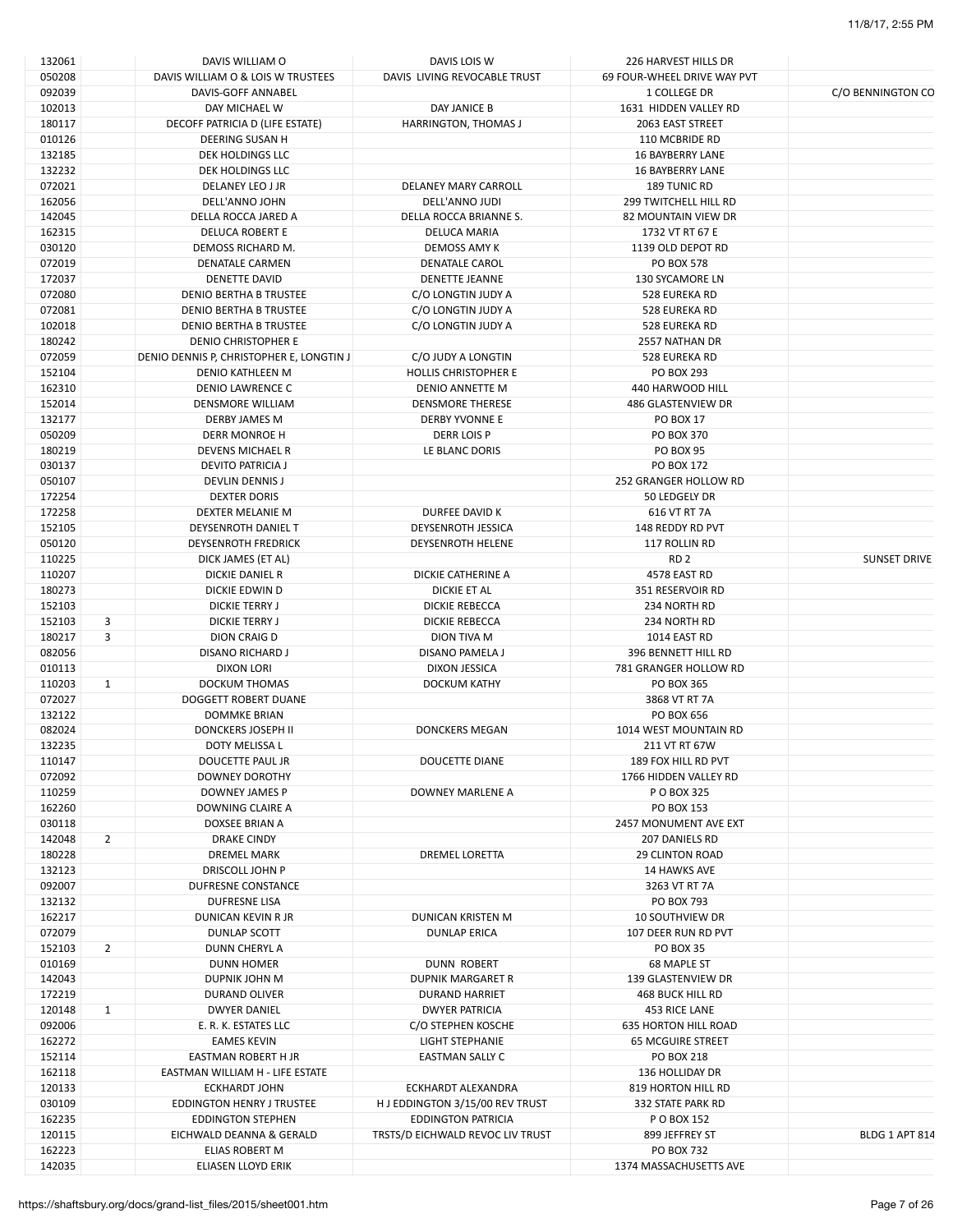| 132061 |                | DAVIS WILLIAM O                          | DAVIS LOIS W                     | 226 HARVEST HILLS DR         |                     |
|--------|----------------|------------------------------------------|----------------------------------|------------------------------|---------------------|
| 050208 |                | DAVIS WILLIAM O & LOIS W TRUSTEES        | DAVIS LIVING REVOCABLE TRUST     | 69 FOUR-WHEEL DRIVE WAY PVT  |                     |
| 092039 |                | DAVIS-GOFF ANNABEL                       |                                  | 1 COLLEGE DR                 | C/O BENNINGTON CO   |
| 102013 |                | DAY MICHAEL W                            | DAY JANICE B                     | 1631 HIDDEN VALLEY RD        |                     |
| 180117 |                | DECOFF PATRICIA D (LIFE ESTATE)          | HARRINGTON, THOMAS J             | 2063 EAST STREET             |                     |
| 010126 |                | DEERING SUSAN H                          |                                  | 110 MCBRIDE RD               |                     |
| 132185 |                | DEK HOLDINGS LLC                         |                                  | <b>16 BAYBERRY LANE</b>      |                     |
| 132232 |                | DEK HOLDINGS LLC                         |                                  | <b>16 BAYBERRY LANE</b>      |                     |
| 072021 |                | DELANEY LEO J JR                         | DELANEY MARY CARROLL             | <b>189 TUNIC RD</b>          |                     |
| 162056 |                | DELL'ANNO JOHN                           | DELL'ANNO JUDI                   | <b>299 TWITCHELL HILL RD</b> |                     |
| 142045 |                | DELLA ROCCA JARED A                      | DELLA ROCCA BRIANNE S.           | <b>82 MOUNTAIN VIEW DR</b>   |                     |
| 162315 |                | <b>DELUCA ROBERT E</b>                   | <b>DELUCA MARIA</b>              | 1732 VT RT 67 E              |                     |
|        |                |                                          |                                  |                              |                     |
| 030120 |                | DEMOSS RICHARD M.                        | DEMOSS AMY K                     | 1139 OLD DEPOT RD            |                     |
| 072019 |                | DENATALE CARMEN                          | <b>DENATALE CAROL</b>            | <b>PO BOX 578</b>            |                     |
| 172037 |                | DENETTE DAVID                            | DENETTE JEANNE                   | <b>130 SYCAMORE LN</b>       |                     |
| 072080 |                | DENIO BERTHA B TRUSTEE                   | C/O LONGTIN JUDY A               | 528 EUREKA RD                |                     |
| 072081 |                | DENIO BERTHA B TRUSTEE                   | C/O LONGTIN JUDY A               | 528 EUREKA RD                |                     |
| 102018 |                | <b>DENIO BERTHA B TRUSTEE</b>            | C/O LONGTIN JUDY A               | 528 EUREKA RD                |                     |
| 180242 |                | DENIO CHRISTOPHER E                      |                                  | 2557 NATHAN DR               |                     |
| 072059 |                | DENIO DENNIS P, CHRISTOPHER E, LONGTIN J | C/O JUDY A LONGTIN               | 528 EUREKA RD                |                     |
| 152104 |                | <b>DENIO KATHLEEN M</b>                  | <b>HOLLIS CHRISTOPHER E</b>      | PO BOX 293                   |                     |
| 162310 |                | DENIO LAWRENCE C                         | DENIO ANNETTE M                  | 440 HARWOOD HILL             |                     |
| 152014 |                | DENSMORE WILLIAM                         | <b>DENSMORE THERESE</b>          | 486 GLASTENVIEW DR           |                     |
|        |                |                                          |                                  |                              |                     |
| 132177 |                | DERBY JAMES M                            | DERBY YVONNE E                   | <b>PO BOX 17</b>             |                     |
| 050209 |                | DERR MONROE H                            | DERR LOIS P                      | PO BOX 370                   |                     |
| 180219 |                | <b>DEVENS MICHAEL R</b>                  | LE BLANC DORIS                   | <b>PO BOX 95</b>             |                     |
| 030137 |                | DEVITO PATRICIA J                        |                                  | PO BOX 172                   |                     |
| 050107 |                | DEVLIN DENNIS J                          |                                  | 252 GRANGER HOLLOW RD        |                     |
| 172254 |                | <b>DEXTER DORIS</b>                      |                                  | 50 LEDGELY DR                |                     |
| 172258 |                | DEXTER MELANIE M                         | DURFEE DAVID K                   | 616 VT RT 7A                 |                     |
| 152105 |                | DEYSENROTH DANIEL T                      | DEYSENROTH JESSICA               | 148 REDDY RD PVT             |                     |
| 050120 |                | <b>DEYSENROTH FREDRICK</b>               | DEYSENROTH HELENE                | 117 ROLLIN RD                |                     |
| 110225 |                | DICK JAMES (ET AL)                       |                                  | RD <sub>2</sub>              | <b>SUNSET DRIVE</b> |
|        |                |                                          |                                  |                              |                     |
| 110207 |                | DICKIE DANIEL R                          | DICKIE CATHERINE A               | 4578 EAST RD                 |                     |
| 180273 |                | DICKIE EDWIN D                           | DICKIE ET AL                     | 351 RESERVOIR RD             |                     |
| 152103 |                | <b>DICKIE TERRY J</b>                    | DICKIE REBECCA                   | 234 NORTH RD                 |                     |
| 152103 | 3              | DICKIE TERRY J                           | DICKIE REBECCA                   | 234 NORTH RD                 |                     |
| 180217 | 3              | DION CRAIG D                             | DION TIVA M                      | 1014 EAST RD                 |                     |
| 082056 |                | <b>DISANO RICHARD J</b>                  | DISANO PAMELA J                  | 396 BENNETT HILL RD          |                     |
| 010113 |                | <b>DIXON LORI</b>                        | DIXON JESSICA                    | 781 GRANGER HOLLOW RD        |                     |
| 110203 | $\mathbf{1}$   | <b>DOCKUM THOMAS</b>                     | <b>DOCKUM KATHY</b>              | PO BOX 365                   |                     |
| 072027 |                | <b>DOGGETT ROBERT DUANE</b>              |                                  | 3868 VT RT 7A                |                     |
| 132122 |                | <b>DOMMKE BRIAN</b>                      |                                  | PO BOX 656                   |                     |
| 082024 |                | <b>DONCKERS JOSEPH II</b>                | <b>DONCKERS MEGAN</b>            | 1014 WEST MOUNTAIN RD        |                     |
|        |                |                                          |                                  |                              |                     |
| 132235 |                | DOTY MELISSA L                           |                                  | 211 VT RT 67W                |                     |
| 110147 |                | DOUCETTE PAUL JR                         | DOUCETTE DIANE                   | 189 FOX HILL RD PVT          |                     |
| 072092 |                | DOWNEY DOROTHY                           |                                  | 1766 HIDDEN VALLEY RD        |                     |
| 110259 |                | DOWNEY JAMES P                           | DOWNEY MARLENE A                 | P O BOX 325                  |                     |
| 162260 |                | DOWNING CLAIRE A                         |                                  | PO BOX 153                   |                     |
| 030118 |                | DOXSEE BRIAN A                           |                                  | 2457 MONUMENT AVE EXT        |                     |
| 142048 | $\overline{2}$ | <b>DRAKE CINDY</b>                       |                                  | 207 DANIELS RD               |                     |
| 180228 |                | <b>DREMEL MARK</b>                       | DREMEL LORETTA                   | <b>29 CLINTON ROAD</b>       |                     |
| 132123 |                | DRISCOLL JOHN P                          |                                  | 14 HAWKS AVE                 |                     |
| 092007 |                | DUFRESNE CONSTANCE                       |                                  | 3263 VT RT 7A                |                     |
|        |                |                                          |                                  |                              |                     |
| 132132 |                | <b>DUFRESNE LISA</b>                     |                                  | PO BOX 793                   |                     |
| 162217 |                | DUNICAN KEVIN R JR                       | <b>DUNICAN KRISTEN M</b>         | <b>10 SOUTHVIEW DR</b>       |                     |
| 072079 |                | DUNLAP SCOTT                             | <b>DUNLAP ERICA</b>              | 107 DEER RUN RD PVT          |                     |
| 152103 | $\overline{2}$ | DUNN CHERYL A                            |                                  | <b>PO BOX 35</b>             |                     |
| 010169 |                | <b>DUNN HOMER</b>                        | <b>DUNN ROBERT</b>               | 68 MAPLE ST                  |                     |
| 142043 |                | DUPNIK JOHN M                            | DUPNIK MARGARET R                | 139 GLASTENVIEW DR           |                     |
| 172219 |                | DURAND OLIVER                            | <b>DURAND HARRIET</b>            | 468 BUCK HILL RD             |                     |
| 120148 | $\mathbf{1}$   | <b>DWYER DANIEL</b>                      | <b>DWYER PATRICIA</b>            | 453 RICE LANE                |                     |
| 092006 |                | E. R. K. ESTATES LLC                     | C/O STEPHEN KOSCHE               | <b>635 HORTON HILL ROAD</b>  |                     |
| 162272 |                | <b>EAMES KEVIN</b>                       | LIGHT STEPHANIE                  | <b>65 MCGUIRE STREET</b>     |                     |
|        |                |                                          |                                  |                              |                     |
| 152114 |                | EASTMAN ROBERT H JR                      | EASTMAN SALLY C                  | PO BOX 218                   |                     |
| 162118 |                | EASTMAN WILLIAM H - LIFE ESTATE          |                                  | 136 HOLLIDAY DR              |                     |
| 120133 |                | <b>ECKHARDT JOHN</b>                     | ECKHARDT ALEXANDRA               | 819 HORTON HILL RD           |                     |
| 030109 |                | <b>EDDINGTON HENRY J TRUSTEE</b>         | H J EDDINGTON 3/15/00 REV TRUST  | 332 STATE PARK RD            |                     |
| 162235 |                | <b>EDDINGTON STEPHEN</b>                 | <b>EDDINGTON PATRICIA</b>        | P O BOX 152                  |                     |
| 120115 |                | EICHWALD DEANNA & GERALD                 | TRSTS/D EICHWALD REVOC LIV TRUST | 899 JEFFREY ST               | BLDG 1 APT 814      |
| 162223 |                | ELIAS ROBERT M                           |                                  | PO BOX 732                   |                     |
| 142035 |                | ELIASEN LLOYD ERIK                       |                                  | 1374 MASSACHUSETTS AVE       |                     |
|        |                |                                          |                                  |                              |                     |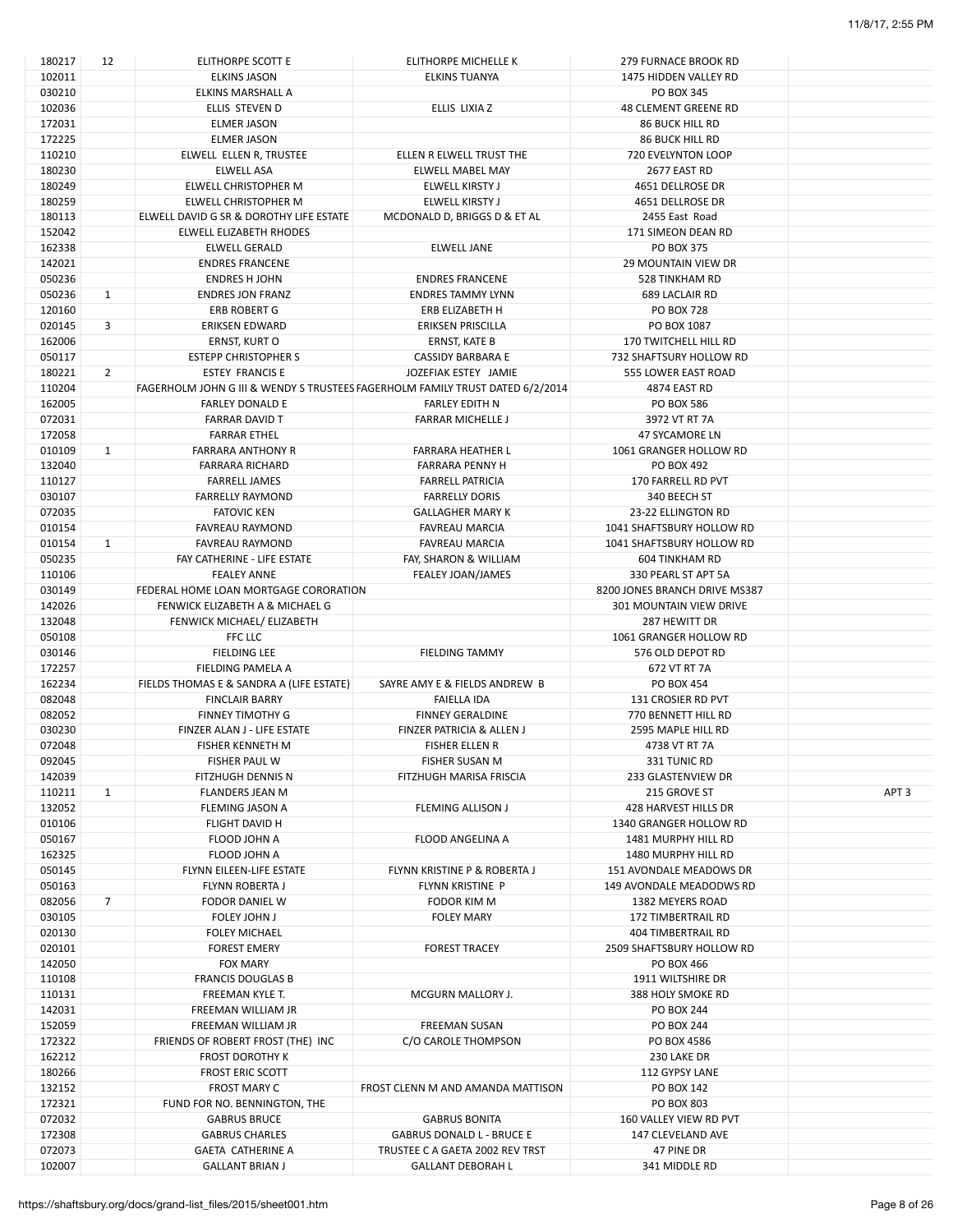| 180217           | 12             | ELITHORPE SCOTT E                                                             | ELITHORPE MICHELLE K                                     | <b>279 FURNACE BROOK RD</b>                     |                  |
|------------------|----------------|-------------------------------------------------------------------------------|----------------------------------------------------------|-------------------------------------------------|------------------|
| 102011           |                | <b>ELKINS JASON</b>                                                           | <b>ELKINS TUANYA</b>                                     | 1475 HIDDEN VALLEY RD                           |                  |
| 030210           |                | ELKINS MARSHALL A                                                             |                                                          | PO BOX 345                                      |                  |
| 102036           |                | ELLIS STEVEN D                                                                | ELLIS LIXIA Z                                            | 48 CLEMENT GREENE RD                            |                  |
| 172031           |                | <b>ELMER JASON</b>                                                            |                                                          | <b>86 BUCK HILL RD</b>                          |                  |
| 172225           |                | <b>ELMER JASON</b>                                                            |                                                          | <b>86 BUCK HILL RD</b>                          |                  |
| 110210           |                | ELWELL ELLEN R, TRUSTEE                                                       | ELLEN R ELWELL TRUST THE                                 | <b>720 EVELYNTON LOOP</b>                       |                  |
| 180230           |                | <b>ELWELL ASA</b>                                                             | <b>ELWELL MABEL MAY</b>                                  | 2677 EAST RD                                    |                  |
| 180249           |                | ELWELL CHRISTOPHER M                                                          | ELWELL KIRSTY J                                          | 4651 DELLROSE DR                                |                  |
| 180259           |                | ELWELL CHRISTOPHER M                                                          | ELWELL KIRSTY J                                          | 4651 DELLROSE DR                                |                  |
| 180113           |                | ELWELL DAVID G SR & DOROTHY LIFE ESTATE                                       | MCDONALD D, BRIGGS D & ET AL                             | 2455 East Road                                  |                  |
| 152042           |                | ELWELL ELIZABETH RHODES                                                       |                                                          | 171 SIMEON DEAN RD                              |                  |
| 162338           |                | <b>ELWELL GERALD</b>                                                          | <b>ELWELL JANE</b>                                       | PO BOX 375                                      |                  |
| 142021           |                | <b>ENDRES FRANCENE</b>                                                        |                                                          | <b>29 MOUNTAIN VIEW DR</b>                      |                  |
| 050236           |                | <b>ENDRES H JOHN</b>                                                          | <b>ENDRES FRANCENE</b>                                   | 528 TINKHAM RD                                  |                  |
| 050236           | $\mathbf{1}$   | <b>ENDRES JON FRANZ</b>                                                       | <b>ENDRES TAMMY LYNN</b>                                 | <b>689 LACLAIR RD</b>                           |                  |
| 120160           |                | ERB ROBERT G                                                                  | ERB ELIZABETH H                                          | <b>PO BOX 728</b>                               |                  |
| 020145           | 3              | ERIKSEN EDWARD                                                                | ERIKSEN PRISCILLA                                        | PO BOX 1087                                     |                  |
| 162006           |                | ERNST, KURT O                                                                 | ERNST, KATE B                                            | 170 TWITCHELL HILL RD                           |                  |
| 050117           |                | <b>ESTEPP CHRISTOPHER S</b>                                                   | <b>CASSIDY BARBARA E</b>                                 | 732 SHAFTSURY HOLLOW RD                         |                  |
| 180221           | $\overline{2}$ | <b>ESTEY FRANCIS E</b>                                                        | JOZEFIAK ESTEY JAMIE                                     | 555 LOWER EAST ROAD                             |                  |
| 110204           |                | FAGERHOLM JOHN G III & WENDY S TRUSTEES FAGERHOLM FAMILY TRUST DATED 6/2/2014 |                                                          | 4874 EAST RD                                    |                  |
| 162005           |                | <b>FARLEY DONALD E</b>                                                        | <b>FARLEY EDITH N</b>                                    | PO BOX 586                                      |                  |
| 072031           |                | <b>FARRAR DAVID T</b>                                                         | <b>FARRAR MICHELLE J</b>                                 | 3972 VT RT 7A                                   |                  |
| 172058           |                | <b>FARRAR ETHEL</b>                                                           |                                                          | 47 SYCAMORE LN                                  |                  |
| 010109           | $\mathbf{1}$   | <b>FARRARA ANTHONY R</b>                                                      | <b>FARRARA HEATHER L</b>                                 | 1061 GRANGER HOLLOW RD                          |                  |
| 132040           |                | <b>FARRARA RICHARD</b>                                                        | <b>FARRARA PENNY H</b>                                   | PO BOX 492                                      |                  |
| 110127           |                | <b>FARRELL JAMES</b>                                                          | <b>FARRELL PATRICIA</b>                                  | 170 FARRELL RD PVT                              |                  |
| 030107           |                | <b>FARRELLY RAYMOND</b><br><b>FATOVIC KEN</b>                                 | <b>FARRELLY DORIS</b>                                    | 340 BEECH ST                                    |                  |
| 072035<br>010154 |                | <b>FAVREAU RAYMOND</b>                                                        | <b>GALLAGHER MARY K</b><br><b>FAVREAU MARCIA</b>         | 23-22 ELLINGTON RD<br>1041 SHAFTSBURY HOLLOW RD |                  |
| 010154           | $\mathbf{1}$   | <b>FAVREAU RAYMOND</b>                                                        | <b>FAVREAU MARCIA</b>                                    | 1041 SHAFTSBURY HOLLOW RD                       |                  |
| 050235           |                | FAY CATHERINE - LIFE ESTATE                                                   | FAY, SHARON & WILLIAM                                    | 604 TINKHAM RD                                  |                  |
| 110106           |                | <b>FEALEY ANNE</b>                                                            | FEALEY JOAN/JAMES                                        | 330 PEARL ST APT 5A                             |                  |
| 030149           |                | FEDERAL HOME LOAN MORTGAGE CORORATION                                         |                                                          | 8200 JONES BRANCH DRIVE MS387                   |                  |
| 142026           |                | FENWICK ELIZABETH A & MICHAEL G                                               |                                                          | <b>301 MOUNTAIN VIEW DRIVE</b>                  |                  |
| 132048           |                | FENWICK MICHAEL/ ELIZABETH                                                    |                                                          | 287 HEWITT DR                                   |                  |
| 050108           |                | <b>FFC LLC</b>                                                                |                                                          | 1061 GRANGER HOLLOW RD                          |                  |
| 030146           |                | <b>FIELDING LEE</b>                                                           | <b>FIELDING TAMMY</b>                                    | 576 OLD DEPOT RD                                |                  |
| 172257           |                | FIELDING PAMELA A                                                             |                                                          | 672 VT RT 7A                                    |                  |
| 162234           |                | FIELDS THOMAS E & SANDRA A (LIFE ESTATE)                                      | SAYRE AMY E & FIELDS ANDREW B                            | PO BOX 454                                      |                  |
| 082048           |                | <b>FINCLAIR BARRY</b>                                                         | FAIELLA IDA                                              | 131 CROSIER RD PVT                              |                  |
| 082052           |                | <b>FINNEY TIMOTHY G</b>                                                       | <b>FINNEY GERALDINE</b>                                  | 770 BENNETT HILL RD                             |                  |
| 030230           |                | FINZER ALAN J - LIFE ESTATE                                                   | FINZER PATRICIA & ALLEN J                                | 2595 MAPLE HILL RD                              |                  |
| 072048           |                | FISHER KENNETH M                                                              | FISHER ELLEN R                                           | 4738 VT RT 7A                                   |                  |
| 092045           |                | FISHER PAUL W                                                                 | <b>FISHER SUSAN M</b>                                    | 331 TUNIC RD                                    |                  |
| 142039           |                | FITZHUGH DENNIS N                                                             | FITZHUGH MARISA FRISCIA                                  | 233 GLASTENVIEW DR                              |                  |
| 110211           | $\mathbf{1}$   | <b>FLANDERS JEAN M</b>                                                        |                                                          | 215 GROVE ST                                    | APT <sub>3</sub> |
| 132052           |                | FLEMING JASON A                                                               | <b>FLEMING ALLISON J</b>                                 | 428 HARVEST HILLS DR                            |                  |
| 010106           |                | FLIGHT DAVID H                                                                |                                                          | 1340 GRANGER HOLLOW RD                          |                  |
| 050167           |                | FLOOD JOHN A                                                                  | <b>FLOOD ANGELINA A</b>                                  | 1481 MURPHY HILL RD                             |                  |
| 162325           |                | FLOOD JOHN A                                                                  |                                                          | 1480 MURPHY HILL RD                             |                  |
| 050145           |                | FLYNN EILEEN-LIFE ESTATE                                                      | FLYNN KRISTINE P & ROBERTA J                             | 151 AVONDALE MEADOWS DR                         |                  |
| 050163           |                | FLYNN ROBERTA J                                                               | FLYNN KRISTINE P                                         | 149 AVONDALE MEADODWS RD                        |                  |
| 082056           | $\overline{7}$ | FODOR DANIEL W                                                                | FODOR KIM M                                              | 1382 MEYERS ROAD                                |                  |
| 030105           |                | <b>FOLEY JOHN J</b>                                                           | <b>FOLEY MARY</b>                                        | 172 TIMBERTRAIL RD                              |                  |
| 020130           |                | <b>FOLEY MICHAEL</b>                                                          |                                                          | 404 TIMBERTRAIL RD                              |                  |
| 020101           |                | <b>FOREST EMERY</b>                                                           | <b>FOREST TRACEY</b>                                     | 2509 SHAFTSBURY HOLLOW RD                       |                  |
| 142050           |                | <b>FOX MARY</b>                                                               |                                                          | PO BOX 466                                      |                  |
| 110108           |                | <b>FRANCIS DOUGLAS B</b>                                                      |                                                          | 1911 WILTSHIRE DR                               |                  |
| 110131           |                | FREEMAN KYLE T.                                                               | MCGURN MALLORY J.                                        | 388 HOLY SMOKE RD                               |                  |
| 142031           |                | FREEMAN WILLIAM JR                                                            |                                                          | <b>PO BOX 244</b>                               |                  |
| 152059           |                | FREEMAN WILLIAM JR                                                            | <b>FREEMAN SUSAN</b>                                     | <b>PO BOX 244</b>                               |                  |
| 172322           |                | FRIENDS OF ROBERT FROST (THE) INC                                             | C/O CAROLE THOMPSON                                      | PO BOX 4586                                     |                  |
| 162212           |                | <b>FROST DOROTHY K</b>                                                        |                                                          | 230 LAKE DR                                     |                  |
| 180266           |                | <b>FROST ERIC SCOTT</b>                                                       |                                                          | 112 GYPSY LANE                                  |                  |
| 132152           |                | FROST MARY C                                                                  | FROST CLENN M AND AMANDA MATTISON                        | PO BOX 142                                      |                  |
| 172321           |                | FUND FOR NO. BENNINGTON, THE                                                  |                                                          | <b>PO BOX 803</b>                               |                  |
| 072032<br>172308 |                | <b>GABRUS BRUCE</b><br><b>GABRUS CHARLES</b>                                  | <b>GABRUS BONITA</b><br><b>GABRUS DONALD L - BRUCE E</b> | 160 VALLEY VIEW RD PVT<br>147 CLEVELAND AVE     |                  |
| 072073           |                | <b>GAETA CATHERINE A</b>                                                      | TRUSTEE C A GAETA 2002 REV TRST                          | 47 PINE DR                                      |                  |
| 102007           |                | <b>GALLANT BRIAN J</b>                                                        | <b>GALLANT DEBORAH L</b>                                 | 341 MIDDLE RD                                   |                  |
|                  |                |                                                                               |                                                          |                                                 |                  |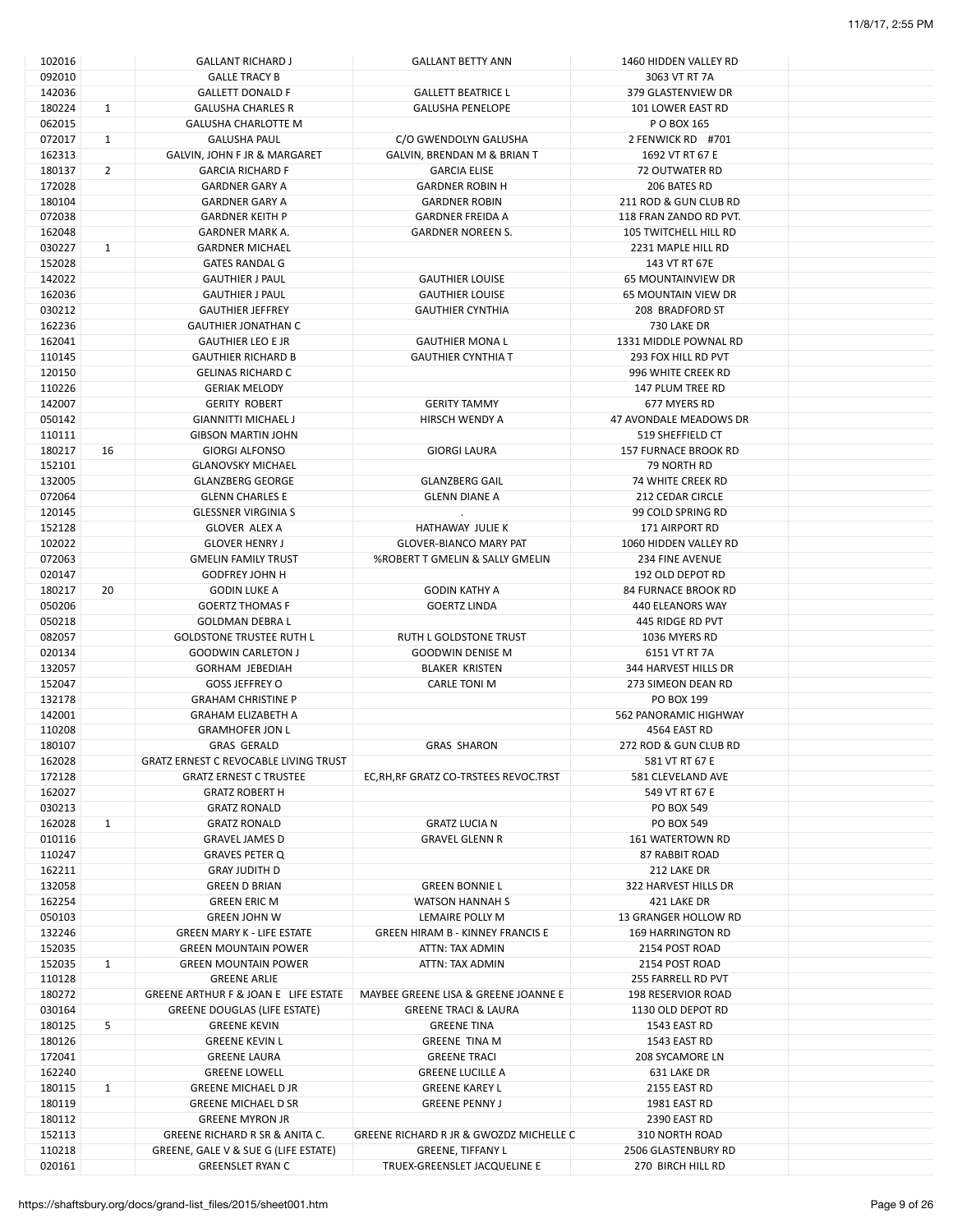| 102016 |              | <b>GALLANT RICHARD J</b>                     | <b>GALLANT BETTY ANN</b>                | 1460 HIDDEN VALLEY RD        |  |
|--------|--------------|----------------------------------------------|-----------------------------------------|------------------------------|--|
| 092010 |              | <b>GALLE TRACY B</b>                         |                                         | 3063 VT RT 7A                |  |
| 142036 |              | <b>GALLETT DONALD F</b>                      | <b>GALLETT BEATRICE L</b>               | 379 GLASTENVIEW DR           |  |
| 180224 | $\mathbf{1}$ | <b>GALUSHA CHARLES R</b>                     | <b>GALUSHA PENELOPE</b>                 | 101 LOWER EAST RD            |  |
| 062015 |              | <b>GALUSHA CHARLOTTE M</b>                   |                                         | P O BOX 165                  |  |
| 072017 | 1            | <b>GALUSHA PAUL</b>                          | C/O GWENDOLYN GALUSHA                   | 2 FENWICK RD #701            |  |
| 162313 |              | GALVIN, JOHN F JR & MARGARET                 | GALVIN, BRENDAN M & BRIAN T             | 1692 VT RT 67 E              |  |
| 180137 | 2            | <b>GARCIA RICHARD F</b>                      | <b>GARCIA ELISE</b>                     | 72 OUTWATER RD               |  |
| 172028 |              | <b>GARDNER GARY A</b>                        | <b>GARDNER ROBIN H</b>                  | 206 BATES RD                 |  |
| 180104 |              | <b>GARDNER GARY A</b>                        | <b>GARDNER ROBIN</b>                    | 211 ROD & GUN CLUB RD        |  |
| 072038 |              | <b>GARDNER KEITH P</b>                       | <b>GARDNER FREIDA A</b>                 | 118 FRAN ZANDO RD PVT.       |  |
| 162048 |              | GARDNER MARK A.                              | <b>GARDNER NOREEN S.</b>                | <b>105 TWITCHELL HILL RD</b> |  |
| 030227 | $\mathbf{1}$ | <b>GARDNER MICHAEL</b>                       |                                         | 2231 MAPLE HILL RD           |  |
| 152028 |              | <b>GATES RANDAL G</b>                        |                                         | 143 VT RT 67E                |  |
| 142022 |              | <b>GAUTHIER J PAUL</b>                       | <b>GAUTHIER LOUISE</b>                  | <b>65 MOUNTAINVIEW DR</b>    |  |
| 162036 |              | <b>GAUTHIER J PAUL</b>                       | <b>GAUTHIER LOUISE</b>                  | <b>65 MOUNTAIN VIEW DR</b>   |  |
| 030212 |              | <b>GAUTHIER JEFFREY</b>                      | <b>GAUTHIER CYNTHIA</b>                 | 208 BRADFORD ST              |  |
| 162236 |              | <b>GAUTHIER JONATHAN C</b>                   |                                         | 730 LAKE DR                  |  |
|        |              |                                              |                                         |                              |  |
| 162041 |              | <b>GAUTHIER LEO E JR</b>                     | <b>GAUTHIER MONA L</b>                  | 1331 MIDDLE POWNAL RD        |  |
| 110145 |              | <b>GAUTHIER RICHARD B</b>                    | <b>GAUTHIER CYNTHIA T</b>               | 293 FOX HILL RD PVT          |  |
| 120150 |              | <b>GELINAS RICHARD C</b>                     |                                         | 996 WHITE CREEK RD           |  |
| 110226 |              | <b>GERIAK MELODY</b>                         |                                         | 147 PLUM TREE RD             |  |
| 142007 |              | <b>GERITY ROBERT</b>                         | <b>GERITY TAMMY</b>                     | 677 MYERS RD                 |  |
| 050142 |              | <b>GIANNITTI MICHAEL J</b>                   | HIRSCH WENDY A                          | 47 AVONDALE MEADOWS DR       |  |
| 110111 |              | <b>GIBSON MARTIN JOHN</b>                    |                                         | 519 SHEFFIELD CT             |  |
| 180217 | 16           | <b>GIORGI ALFONSO</b>                        | <b>GIORGI LAURA</b>                     | <b>157 FURNACE BROOK RD</b>  |  |
| 152101 |              | <b>GLANOVSKY MICHAEL</b>                     |                                         | 79 NORTH RD                  |  |
| 132005 |              | <b>GLANZBERG GEORGE</b>                      | <b>GLANZBERG GAIL</b>                   | <b>74 WHITE CREEK RD</b>     |  |
| 072064 |              | <b>GLENN CHARLES E</b>                       | <b>GLENN DIANE A</b>                    | 212 CEDAR CIRCLE             |  |
| 120145 |              | <b>GLESSNER VIRGINIA S</b>                   |                                         | 99 COLD SPRING RD            |  |
| 152128 |              | <b>GLOVER ALEX A</b>                         | HATHAWAY JULIE K                        | 171 AIRPORT RD               |  |
| 102022 |              | <b>GLOVER HENRY J</b>                        | <b>GLOVER-BIANCO MARY PAT</b>           | 1060 HIDDEN VALLEY RD        |  |
| 072063 |              | <b>GMELIN FAMILY TRUST</b>                   | %ROBERT T GMELIN & SALLY GMELIN         | 234 FINE AVENUE              |  |
| 020147 |              | <b>GODFREY JOHN H</b>                        |                                         | 192 OLD DEPOT RD             |  |
| 180217 | 20           | <b>GODIN LUKE A</b>                          | <b>GODIN KATHY A</b>                    | <b>84 FURNACE BROOK RD</b>   |  |
| 050206 |              | <b>GOERTZ THOMAS F</b>                       | <b>GOERTZ LINDA</b>                     | 440 ELEANORS WAY             |  |
| 050218 |              | <b>GOLDMAN DEBRA L</b>                       |                                         | 445 RIDGE RD PVT             |  |
| 082057 |              | <b>GOLDSTONE TRUSTEE RUTH L</b>              | RUTH L GOLDSTONE TRUST                  | 1036 MYERS RD                |  |
| 020134 |              | <b>GOODWIN CARLETON J</b>                    | <b>GOODWIN DENISE M</b>                 | 6151 VT RT 7A                |  |
| 132057 |              | <b>GORHAM JEBEDIAH</b>                       | <b>BLAKER KRISTEN</b>                   | 344 HARVEST HILLS DR         |  |
| 152047 |              | <b>GOSS JEFFREY O</b>                        | CARLE TONI M                            | 273 SIMEON DEAN RD           |  |
| 132178 |              | <b>GRAHAM CHRISTINE P</b>                    |                                         | PO BOX 199                   |  |
|        |              |                                              |                                         | 562 PANORAMIC HIGHWAY        |  |
| 142001 |              | <b>GRAHAM ELIZABETH A</b>                    |                                         |                              |  |
| 110208 |              | <b>GRAMHOFER JON L</b>                       |                                         | 4564 EAST RD                 |  |
| 180107 |              | <b>GRAS GERALD</b>                           | <b>GRAS SHARON</b>                      | 272 ROD & GUN CLUB RD        |  |
| 162028 |              | <b>GRATZ ERNEST C REVOCABLE LIVING TRUST</b> |                                         | 581 VT RT 67 E               |  |
| 172128 |              | <b>GRATZ ERNEST C TRUSTEE</b>                | EC, RH, RF GRATZ CO-TRSTEES REVOC.TRST  | 581 CLEVELAND AVE            |  |
| 162027 |              | <b>GRATZ ROBERT H</b>                        |                                         | 549 VT RT 67 E               |  |
| 030213 |              | <b>GRATZ RONALD</b>                          |                                         | PO BOX 549                   |  |
| 162028 | $\mathbf{1}$ | <b>GRATZ RONALD</b>                          | <b>GRATZ LUCIA N</b>                    | PO BOX 549                   |  |
| 010116 |              | <b>GRAVEL JAMES D</b>                        | <b>GRAVEL GLENN R</b>                   | 161 WATERTOWN RD             |  |
| 110247 |              | <b>GRAVES PETER Q</b>                        |                                         | <b>87 RABBIT ROAD</b>        |  |
| 162211 |              | <b>GRAY JUDITH D</b>                         |                                         | 212 LAKE DR                  |  |
| 132058 |              | <b>GREEN D BRIAN</b>                         | <b>GREEN BONNIE L</b>                   | 322 HARVEST HILLS DR         |  |
| 162254 |              | <b>GREEN ERIC M</b>                          | WATSON HANNAH S                         | 421 LAKE DR                  |  |
| 050103 |              | <b>GREEN JOHN W</b>                          | LEMAIRE POLLY M                         | 13 GRANGER HOLLOW RD         |  |
| 132246 |              | <b>GREEN MARY K - LIFE ESTATE</b>            | <b>GREEN HIRAM B - KINNEY FRANCIS E</b> | <b>169 HARRINGTON RD</b>     |  |
| 152035 |              | <b>GREEN MOUNTAIN POWER</b>                  | ATTN: TAX ADMIN                         | 2154 POST ROAD               |  |
| 152035 | $\mathbf{1}$ | <b>GREEN MOUNTAIN POWER</b>                  | ATTN: TAX ADMIN                         | 2154 POST ROAD               |  |
| 110128 |              | <b>GREENE ARLIE</b>                          |                                         | 255 FARRELL RD PVT           |  |
| 180272 |              | GREENE ARTHUR F & JOAN E LIFE ESTATE         | MAYBEE GREENE LISA & GREENE JOANNE E    | <b>198 RESERVIOR ROAD</b>    |  |
| 030164 |              | <b>GREENE DOUGLAS (LIFE ESTATE)</b>          | <b>GREENE TRACI &amp; LAURA</b>         | 1130 OLD DEPOT RD            |  |
| 180125 | 5            | <b>GREENE KEVIN</b>                          | <b>GREENE TINA</b>                      | 1543 EAST RD                 |  |
| 180126 |              | <b>GREENE KEVIN L</b>                        | <b>GREENE TINA M</b>                    | 1543 EAST RD                 |  |
| 172041 |              | <b>GREENE LAURA</b>                          | <b>GREENE TRACI</b>                     | 208 SYCAMORE LN              |  |
| 162240 |              | <b>GREENE LOWELL</b>                         | <b>GREENE LUCILLE A</b>                 | 631 LAKE DR                  |  |
| 180115 | $\mathbf{1}$ | <b>GREENE MICHAEL D JR</b>                   | <b>GREENE KAREY L</b>                   | 2155 EAST RD                 |  |
| 180119 |              | <b>GREENE MICHAEL D SR</b>                   | <b>GREENE PENNY J</b>                   | 1981 EAST RD                 |  |
| 180112 |              | <b>GREENE MYRON JR</b>                       |                                         | 2390 EAST RD                 |  |
| 152113 |              | GREENE RICHARD R SR & ANITA C.               | GREENE RICHARD R JR & GWOZDZ MICHELLE C | 310 NORTH ROAD               |  |
|        |              |                                              |                                         | 2506 GLASTENBURY RD          |  |
| 110218 |              | GREENE, GALE V & SUE G (LIFE ESTATE)         | <b>GREENE, TIFFANY L</b>                |                              |  |
| 020161 |              | <b>GREENSLET RYAN C</b>                      | TRUEX-GREENSLET JACQUELINE E            | 270 BIRCH HILL RD            |  |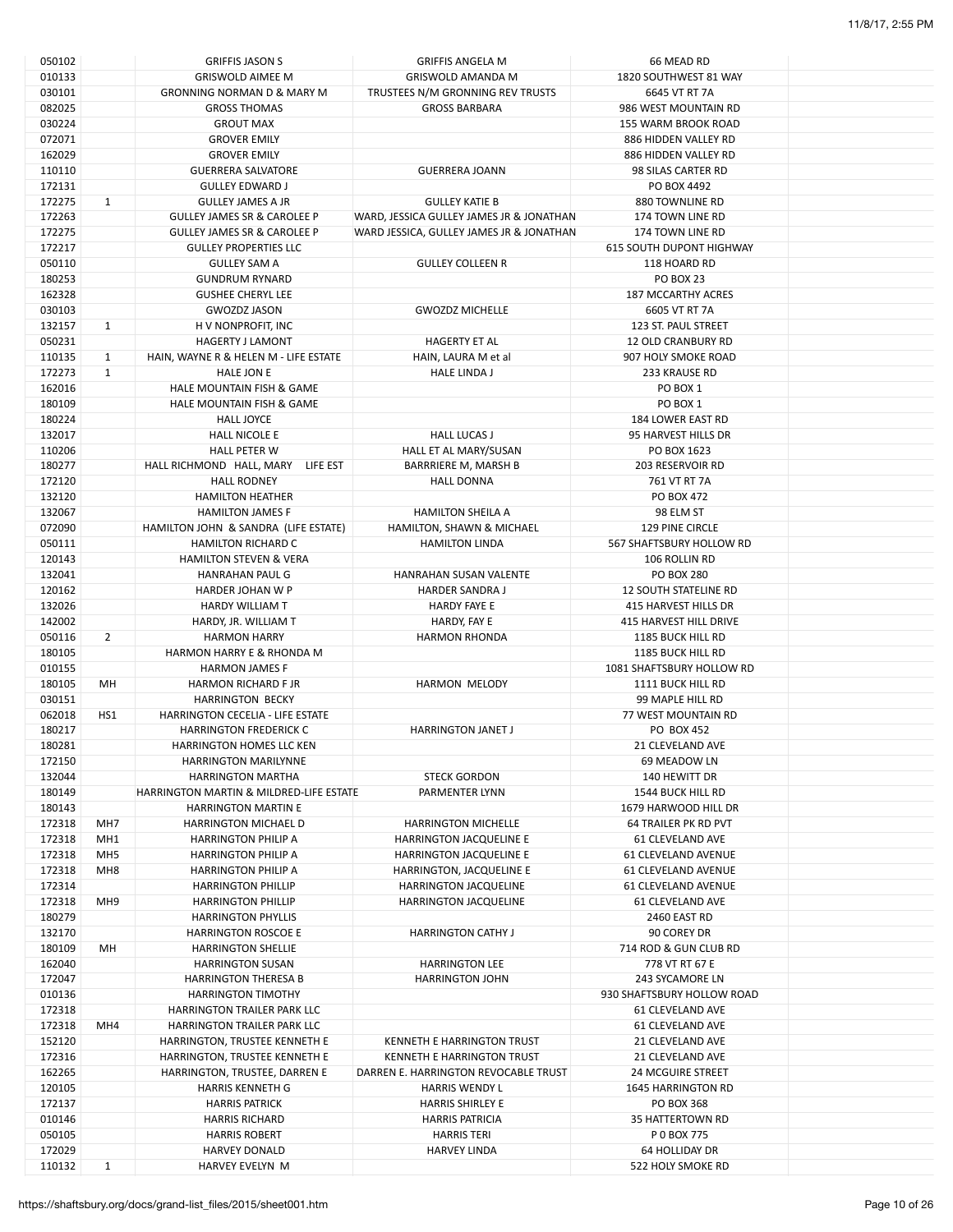| 050102 |                 | <b>GRIFFIS JASON S</b>                  | <b>GRIFFIS ANGELA M</b>                  | 66 MEAD RD                      |  |
|--------|-----------------|-----------------------------------------|------------------------------------------|---------------------------------|--|
| 010133 |                 | <b>GRISWOLD AIMEE M</b>                 | <b>GRISWOLD AMANDA M</b>                 | 1820 SOUTHWEST 81 WAY           |  |
| 030101 |                 | <b>GRONNING NORMAN D &amp; MARY M</b>   | TRUSTEES N/M GRONNING REV TRUSTS         | 6645 VT RT 7A                   |  |
| 082025 |                 | <b>GROSS THOMAS</b>                     | <b>GROSS BARBARA</b>                     | 986 WEST MOUNTAIN RD            |  |
|        |                 |                                         |                                          |                                 |  |
| 030224 |                 | <b>GROUT MAX</b>                        |                                          | 155 WARM BROOK ROAD             |  |
| 072071 |                 | <b>GROVER EMILY</b>                     |                                          | 886 HIDDEN VALLEY RD            |  |
| 162029 |                 | <b>GROVER EMILY</b>                     |                                          | 886 HIDDEN VALLEY RD            |  |
| 110110 |                 | <b>GUERRERA SALVATORE</b>               | <b>GUERRERA JOANN</b>                    | 98 SILAS CARTER RD              |  |
| 172131 |                 | <b>GULLEY EDWARD J</b>                  |                                          | PO BOX 4492                     |  |
| 172275 | $\mathbf{1}$    | <b>GULLEY JAMES A JR</b>                | <b>GULLEY KATIE B</b>                    | 880 TOWNLINE RD                 |  |
|        |                 |                                         |                                          |                                 |  |
| 172263 |                 | <b>GULLEY JAMES SR &amp; CAROLEE P</b>  | WARD, JESSICA GULLEY JAMES JR & JONATHAN | 174 TOWN LINE RD                |  |
| 172275 |                 | <b>GULLEY JAMES SR &amp; CAROLEE P</b>  | WARD JESSICA, GULLEY JAMES JR & JONATHAN | 174 TOWN LINE RD                |  |
| 172217 |                 | <b>GULLEY PROPERTIES LLC</b>            |                                          | <b>615 SOUTH DUPONT HIGHWAY</b> |  |
| 050110 |                 | <b>GULLEY SAM A</b>                     | <b>GULLEY COLLEEN R</b>                  | 118 HOARD RD                    |  |
| 180253 |                 | <b>GUNDRUM RYNARD</b>                   |                                          | <b>PO BOX 23</b>                |  |
| 162328 |                 | <b>GUSHEE CHERYL LEE</b>                |                                          | <b>187 MCCARTHY ACRES</b>       |  |
| 030103 |                 | <b>GWOZDZ JASON</b>                     |                                          | 6605 VT RT 7A                   |  |
|        |                 |                                         | <b>GWOZDZ MICHELLE</b>                   |                                 |  |
| 132157 | $\mathbf{1}$    | H V NONPROFIT, INC                      |                                          | 123 ST. PAUL STREET             |  |
| 050231 |                 | <b>HAGERTY J LAMONT</b>                 | <b>HAGERTY ET AL</b>                     | <b>12 OLD CRANBURY RD</b>       |  |
| 110135 | $\mathbf{1}$    | HAIN, WAYNE R & HELEN M - LIFE ESTATE   | HAIN, LAURA M et al                      | 907 HOLY SMOKE ROAD             |  |
| 172273 | $\mathbf{1}$    | <b>HALE JON E</b>                       | <b>HALE LINDA J</b>                      | 233 KRAUSE RD                   |  |
| 162016 |                 | HALE MOUNTAIN FISH & GAME               |                                          | PO BOX 1                        |  |
|        |                 |                                         |                                          |                                 |  |
| 180109 |                 | HALE MOUNTAIN FISH & GAME               |                                          | PO BOX 1                        |  |
| 180224 |                 | <b>HALL JOYCE</b>                       |                                          | 184 LOWER EAST RD               |  |
| 132017 |                 | <b>HALL NICOLE E</b>                    | <b>HALL LUCAS J</b>                      | 95 HARVEST HILLS DR             |  |
| 110206 |                 | <b>HALL PETER W</b>                     | HALL ET AL MARY/SUSAN                    | PO BOX 1623                     |  |
| 180277 |                 | HALL RICHMOND HALL, MARY<br>LIFE EST    | BARRRIERE M, MARSH B                     | 203 RESERVOIR RD                |  |
| 172120 |                 | <b>HALL RODNEY</b>                      | <b>HALL DONNA</b>                        | 761 VT RT 7A                    |  |
|        |                 |                                         |                                          |                                 |  |
| 132120 |                 | <b>HAMILTON HEATHER</b>                 |                                          | PO BOX 472                      |  |
| 132067 |                 | <b>HAMILTON JAMES F</b>                 | <b>HAMILTON SHEILA A</b>                 | 98 ELM ST                       |  |
| 072090 |                 | HAMILTON JOHN & SANDRA (LIFE ESTATE)    | HAMILTON, SHAWN & MICHAEL                | 129 PINE CIRCLE                 |  |
| 050111 |                 | <b>HAMILTON RICHARD C</b>               | <b>HAMILTON LINDA</b>                    | 567 SHAFTSBURY HOLLOW RD        |  |
| 120143 |                 | <b>HAMILTON STEVEN &amp; VERA</b>       |                                          | 106 ROLLIN RD                   |  |
|        |                 |                                         |                                          |                                 |  |
| 132041 |                 | HANRAHAN PAUL G                         | HANRAHAN SUSAN VALENTE                   | <b>PO BOX 280</b>               |  |
| 120162 |                 | <b>HARDER JOHAN W P</b>                 | <b>HARDER SANDRA J</b>                   | <b>12 SOUTH STATELINE RD</b>    |  |
| 132026 |                 | HARDY WILLIAM T                         | <b>HARDY FAYE E</b>                      | 415 HARVEST HILLS DR            |  |
| 142002 |                 | HARDY, JR. WILLIAM T                    | HARDY, FAY E                             | 415 HARVEST HILL DRIVE          |  |
| 050116 | $\overline{2}$  | <b>HARMON HARRY</b>                     | <b>HARMON RHONDA</b>                     | <b>1185 BUCK HILL RD</b>        |  |
| 180105 |                 | HARMON HARRY E & RHONDA M               |                                          | 1185 BUCK HILL RD               |  |
|        |                 |                                         |                                          | 1081 SHAFTSBURY HOLLOW RD       |  |
| 010155 |                 | <b>HARMON JAMES F</b>                   |                                          |                                 |  |
| 180105 | MH              | <b>HARMON RICHARD F JR</b>              | <b>HARMON MELODY</b>                     | 1111 BUCK HILL RD               |  |
| 030151 |                 | <b>HARRINGTON BECKY</b>                 |                                          | 99 MAPLE HILL RD                |  |
| 062018 | HS1             | HARRINGTON CECELIA - LIFE ESTATE        |                                          | 77 WEST MOUNTAIN RD             |  |
| 180217 |                 | <b>HARRINGTON FREDERICK C</b>           | <b>HARRINGTON JANET J</b>                | PO BOX 452                      |  |
| 180281 |                 | <b>HARRINGTON HOMES LLC KEN</b>         |                                          | 21 CLEVELAND AVE                |  |
|        |                 |                                         |                                          |                                 |  |
| 172150 |                 | <b>HARRINGTON MARILYNNE</b>             |                                          | 69 MEADOW LN                    |  |
| 132044 |                 | <b>HARRINGTON MARTHA</b>                | <b>STECK GORDON</b>                      | 140 HEWITT DR                   |  |
| 180149 |                 | HARRINGTON MARTIN & MILDRED-LIFE ESTATE | PARMENTER LYNN                           | 1544 BUCK HILL RD               |  |
| 180143 |                 | <b>HARRINGTON MARTIN E</b>              |                                          | 1679 HARWOOD HILL DR            |  |
| 172318 | MH7             | <b>HARRINGTON MICHAEL D</b>             | <b>HARRINGTON MICHELLE</b>               | <b>64 TRAILER PK RD PVT</b>     |  |
| 172318 | MH1             | <b>HARRINGTON PHILIP A</b>              | HARRINGTON JACQUELINE E                  | 61 CLEVELAND AVE                |  |
| 172318 | MH <sub>5</sub> |                                         | <b>HARRINGTON JACQUELINE E</b>           | <b>61 CLEVELAND AVENUE</b>      |  |
|        |                 | <b>HARRINGTON PHILIP A</b>              |                                          |                                 |  |
| 172318 | MH8             | <b>HARRINGTON PHILIP A</b>              | HARRINGTON, JACQUELINE E                 | <b>61 CLEVELAND AVENUE</b>      |  |
| 172314 |                 | <b>HARRINGTON PHILLIP</b>               | HARRINGTON JACQUELINE                    | 61 CLEVELAND AVENUE             |  |
| 172318 | MH <sub>9</sub> | <b>HARRINGTON PHILLIP</b>               | HARRINGTON JACQUELINE                    | 61 CLEVELAND AVE                |  |
| 180279 |                 | <b>HARRINGTON PHYLLIS</b>               |                                          | 2460 EAST RD                    |  |
| 132170 |                 | <b>HARRINGTON ROSCOE E</b>              | <b>HARRINGTON CATHY J</b>                | 90 COREY DR                     |  |
|        | MH              |                                         |                                          |                                 |  |
| 180109 |                 | <b>HARRINGTON SHELLIE</b>               |                                          | 714 ROD & GUN CLUB RD           |  |
| 162040 |                 | <b>HARRINGTON SUSAN</b>                 | <b>HARRINGTON LEE</b>                    | 778 VT RT 67 E                  |  |
| 172047 |                 | <b>HARRINGTON THERESA B</b>             | <b>HARRINGTON JOHN</b>                   | 243 SYCAMORE LN                 |  |
| 010136 |                 | <b>HARRINGTON TIMOTHY</b>               |                                          | 930 SHAFTSBURY HOLLOW ROAD      |  |
| 172318 |                 | HARRINGTON TRAILER PARK LLC             |                                          | 61 CLEVELAND AVE                |  |
| 172318 | MH4             | HARRINGTON TRAILER PARK LLC             |                                          | 61 CLEVELAND AVE                |  |
|        |                 |                                         |                                          |                                 |  |
| 152120 |                 | HARRINGTON, TRUSTEE KENNETH E           | KENNETH E HARRINGTON TRUST               | 21 CLEVELAND AVE                |  |
| 172316 |                 | HARRINGTON, TRUSTEE KENNETH E           | KENNETH E HARRINGTON TRUST               | 21 CLEVELAND AVE                |  |
| 162265 |                 | HARRINGTON, TRUSTEE, DARREN E           | DARREN E. HARRINGTON REVOCABLE TRUST     | <b>24 MCGUIRE STREET</b>        |  |
| 120105 |                 | <b>HARRIS KENNETH G</b>                 | <b>HARRIS WENDY L</b>                    | <b>1645 HARRINGTON RD</b>       |  |
| 172137 |                 | <b>HARRIS PATRICK</b>                   | <b>HARRIS SHIRLEY E</b>                  | PO BOX 368                      |  |
| 010146 |                 | <b>HARRIS RICHARD</b>                   | <b>HARRIS PATRICIA</b>                   | 35 HATTERTOWN RD                |  |
|        |                 |                                         |                                          |                                 |  |
| 050105 |                 | <b>HARRIS ROBERT</b>                    | <b>HARRIS TERI</b>                       | P 0 BOX 775                     |  |
| 172029 |                 | <b>HARVEY DONALD</b>                    | <b>HARVEY LINDA</b>                      | 64 HOLLIDAY DR                  |  |
| 110132 | $\mathbf{1}$    | HARVEY EVELYN M                         |                                          | 522 HOLY SMOKE RD               |  |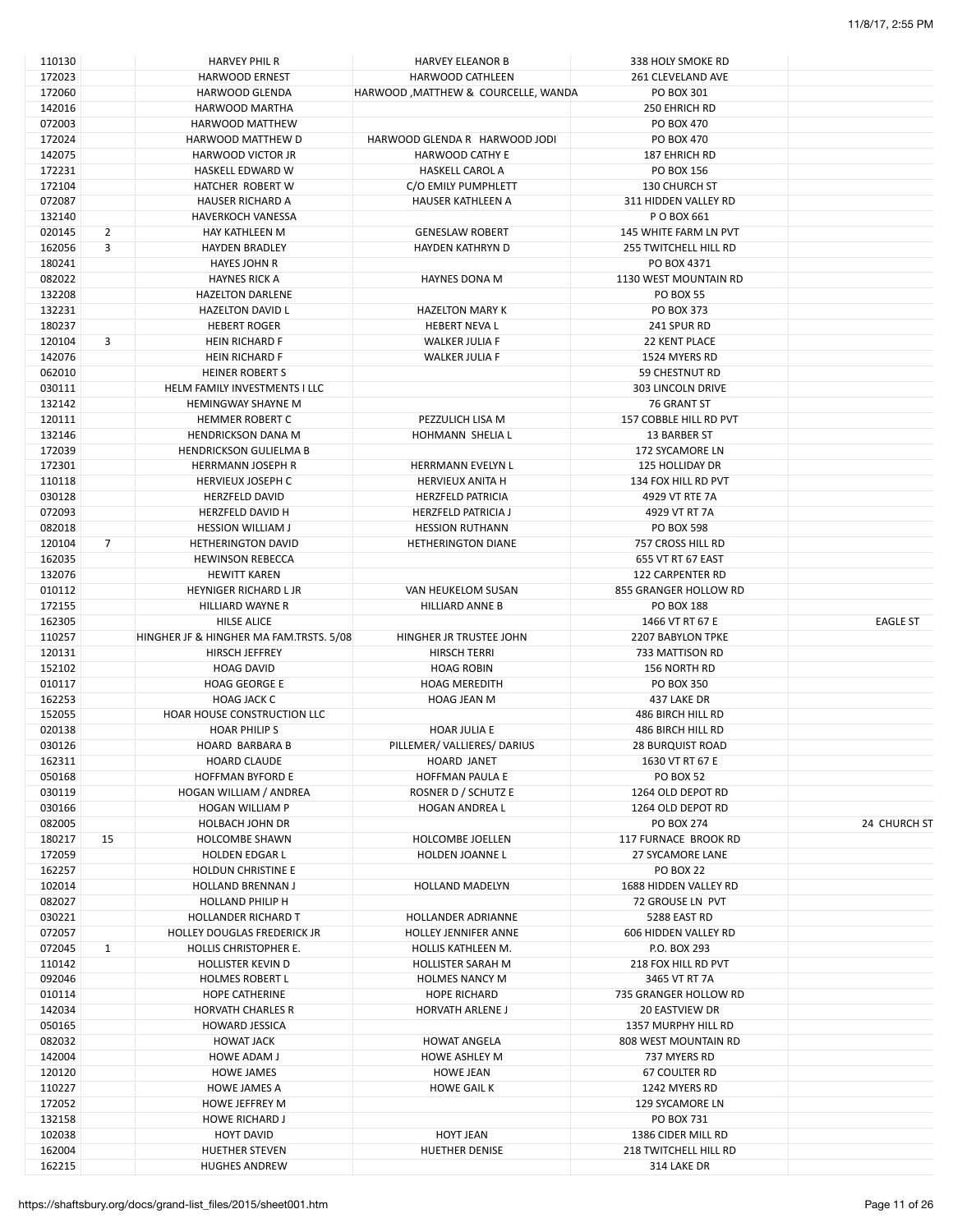| 110130           |                | <b>HARVEY PHIL R</b>                          | <b>HARVEY ELEANOR B</b>             | 338 HOLY SMOKE RD                    |                 |
|------------------|----------------|-----------------------------------------------|-------------------------------------|--------------------------------------|-----------------|
| 172023           |                | <b>HARWOOD ERNEST</b>                         | HARWOOD CATHLEEN                    | 261 CLEVELAND AVE                    |                 |
| 172060           |                | <b>HARWOOD GLENDA</b>                         | HARWOOD, MATTHEW & COURCELLE, WANDA | PO BOX 301                           |                 |
| 142016           |                | HARWOOD MARTHA                                |                                     | 250 EHRICH RD                        |                 |
|                  |                |                                               |                                     |                                      |                 |
| 072003           |                | <b>HARWOOD MATTHEW</b>                        |                                     | PO BOX 470                           |                 |
| 172024           |                | HARWOOD MATTHEW D                             | HARWOOD GLENDA R HARWOOD JODI       | PO BOX 470                           |                 |
| 142075           |                | <b>HARWOOD VICTOR JR</b>                      | HARWOOD CATHY E                     | 187 EHRICH RD                        |                 |
| 172231           |                | HASKELL EDWARD W                              | <b>HASKELL CAROL A</b>              | PO BOX 156                           |                 |
| 172104           |                | HATCHER ROBERT W                              | C/O EMILY PUMPHLETT                 | 130 CHURCH ST                        |                 |
| 072087           |                |                                               |                                     | 311 HIDDEN VALLEY RD                 |                 |
|                  |                | <b>HAUSER RICHARD A</b>                       | HAUSER KATHLEEN A                   |                                      |                 |
| 132140           |                | <b>HAVERKOCH VANESSA</b>                      |                                     | P O BOX 661                          |                 |
| 020145           | $\overline{2}$ | <b>HAY KATHLEEN M</b>                         | <b>GENESLAW ROBERT</b>              | 145 WHITE FARM LN PVT                |                 |
| 162056           | 3              | <b>HAYDEN BRADLEY</b>                         | HAYDEN KATHRYN D                    | 255 TWITCHELL HILL RD                |                 |
| 180241           |                | <b>HAYES JOHN R</b>                           |                                     | PO BOX 4371                          |                 |
| 082022           |                | <b>HAYNES RICK A</b>                          | <b>HAYNES DONA M</b>                | 1130 WEST MOUNTAIN RD                |                 |
|                  |                |                                               |                                     |                                      |                 |
| 132208           |                | <b>HAZELTON DARLENE</b>                       |                                     | <b>PO BOX 55</b>                     |                 |
| 132231           |                | <b>HAZELTON DAVID L</b>                       | <b>HAZELTON MARY K</b>              | PO BOX 373                           |                 |
| 180237           |                | <b>HEBERT ROGER</b>                           | HEBERT NEVA L                       | 241 SPUR RD                          |                 |
| 120104           | 3              | <b>HEIN RICHARD F</b>                         | <b>WALKER JULIA F</b>               | 22 KENT PLACE                        |                 |
| 142076           |                | <b>HEIN RICHARD F</b>                         | <b>WALKER JULIA F</b>               | 1524 MYERS RD                        |                 |
|                  |                |                                               |                                     |                                      |                 |
| 062010           |                | <b>HEINER ROBERT S</b>                        |                                     | <b>59 CHESTNUT RD</b>                |                 |
| 030111           |                | HELM FAMILY INVESTMENTS I LLC                 |                                     | <b>303 LINCOLN DRIVE</b>             |                 |
| 132142           |                | <b>HEMINGWAY SHAYNE M</b>                     |                                     | 76 GRANT ST                          |                 |
| 120111           |                | <b>HEMMER ROBERT C</b>                        | PEZZULICH LISA M                    | 157 COBBLE HILL RD PVT               |                 |
| 132146           |                | <b>HENDRICKSON DANA M</b>                     | <b>HOHMANN SHELIA L</b>             | 13 BARBER ST                         |                 |
|                  |                |                                               |                                     |                                      |                 |
| 172039           |                | <b>HENDRICKSON GULIELMA B</b>                 |                                     | 172 SYCAMORE LN                      |                 |
| 172301           |                | <b>HERRMANN JOSEPH R</b>                      | HERRMANN EVELYN L                   | 125 HOLLIDAY DR                      |                 |
| 110118           |                | <b>HERVIEUX JOSEPH C</b>                      | <b>HERVIEUX ANITA H</b>             | 134 FOX HILL RD PVT                  |                 |
| 030128           |                | <b>HERZFELD DAVID</b>                         | <b>HERZFELD PATRICIA</b>            | 4929 VT RTE 7A                       |                 |
| 072093           |                | <b>HERZFELD DAVID H</b>                       | <b>HERZFELD PATRICIA J</b>          | 4929 VT RT 7A                        |                 |
|                  |                |                                               |                                     |                                      |                 |
| 082018           |                | <b>HESSION WILLIAM J</b>                      | <b>HESSION RUTHANN</b>              | <b>PO BOX 598</b>                    |                 |
| 120104           | $\overline{7}$ | <b>HETHERINGTON DAVID</b>                     | <b>HETHERINGTON DIANE</b>           | 757 CROSS HILL RD                    |                 |
| 162035           |                | <b>HEWINSON REBECCA</b>                       |                                     | 655 VT RT 67 EAST                    |                 |
| 132076           |                | <b>HEWITT KAREN</b>                           |                                     | <b>122 CARPENTER RD</b>              |                 |
| 010112           |                | <b>HEYNIGER RICHARD LJR</b>                   | VAN HEUKELOM SUSAN                  | 855 GRANGER HOLLOW RD                |                 |
|                  |                |                                               |                                     |                                      |                 |
| 172155           |                | HILLIARD WAYNE R                              | <b>HILLIARD ANNE B</b>              | <b>PO BOX 188</b>                    |                 |
|                  |                |                                               |                                     |                                      |                 |
| 162305           |                | <b>HILSE ALICE</b>                            |                                     | 1466 VT RT 67 E                      | <b>EAGLE ST</b> |
| 110257           |                | HINGHER JF & HINGHER MA FAM.TRSTS. 5/08       | HINGHER JR TRUSTEE JOHN             | 2207 BABYLON TPKE                    |                 |
|                  |                |                                               |                                     |                                      |                 |
| 120131           |                | <b>HIRSCH JEFFREY</b>                         | HIRSCH TERRI                        | 733 MATTISON RD                      |                 |
| 152102           |                | <b>HOAG DAVID</b>                             | <b>HOAG ROBIN</b>                   | 156 NORTH RD                         |                 |
| 010117           |                | <b>HOAG GEORGE E</b>                          | <b>HOAG MEREDITH</b>                | PO BOX 350                           |                 |
| 162253           |                | <b>HOAG JACK C</b>                            | <b>HOAG JEAN M</b>                  | 437 LAKE DR                          |                 |
| 152055           |                | HOAR HOUSE CONSTRUCTION LLC                   |                                     | 486 BIRCH HILL RD                    |                 |
|                  |                | <b>HOAR PHILIPS</b>                           | <b>HOAR JULIA E</b>                 | 486 BIRCH HILL RD                    |                 |
| 020138           |                |                                               |                                     |                                      |                 |
| 030126           |                | <b>HOARD BARBARA B</b>                        | PILLEMER/VALLIERES/DARIUS           | <b>28 BURQUIST ROAD</b>              |                 |
| 162311           |                | <b>HOARD CLAUDE</b>                           | <b>HOARD JANET</b>                  | 1630 VT RT 67 E                      |                 |
| 050168           |                | <b>HOFFMAN BYFORD E</b>                       | <b>HOFFMAN PAULA E</b>              | PO BOX 52                            |                 |
| 030119           |                | HOGAN WILLIAM / ANDREA                        | ROSNER D / SCHUTZ E                 | 1264 OLD DEPOT RD                    |                 |
| 030166           |                | <b>HOGAN WILLIAM P</b>                        | <b>HOGAN ANDREA L</b>               | 1264 OLD DEPOT RD                    |                 |
|                  |                |                                               |                                     |                                      |                 |
| 082005           |                | <b>HOLBACH JOHN DR</b>                        |                                     | <b>PO BOX 274</b>                    | 24 CHURCH ST    |
| 180217           | 15             | <b>HOLCOMBE SHAWN</b>                         | <b>HOLCOMBE JOELLEN</b>             | 117 FURNACE BROOK RD                 |                 |
| 172059           |                | <b>HOLDEN EDGAR L</b>                         | HOLDEN JOANNE L                     | 27 SYCAMORE LANE                     |                 |
| 162257           |                | <b>HOLDUN CHRISTINE E</b>                     |                                     | PO BOX 22                            |                 |
| 102014           |                | <b>HOLLAND BRENNAN J</b>                      | <b>HOLLAND MADELYN</b>              | 1688 HIDDEN VALLEY RD                |                 |
| 082027           |                | HOLLAND PHILIP H                              |                                     | 72 GROUSE LN PVT                     |                 |
|                  |                |                                               |                                     |                                      |                 |
| 030221           |                | <b>HOLLANDER RICHARD T</b>                    | HOLLANDER ADRIANNE                  | 5288 EAST RD                         |                 |
| 072057           |                | <b>HOLLEY DOUGLAS FREDERICK JR</b>            | <b>HOLLEY JENNIFER ANNE</b>         | 606 HIDDEN VALLEY RD                 |                 |
| 072045           | $\mathbf{1}$   | <b>HOLLIS CHRISTOPHER E.</b>                  | HOLLIS KATHLEEN M.                  | P.O. BOX 293                         |                 |
| 110142           |                | <b>HOLLISTER KEVIN D</b>                      | <b>HOLLISTER SARAH M</b>            | 218 FOX HILL RD PVT                  |                 |
| 092046           |                | <b>HOLMES ROBERT L</b>                        | <b>HOLMES NANCY M</b>               | 3465 VT RT 7A                        |                 |
|                  |                |                                               |                                     |                                      |                 |
| 010114           |                | <b>HOPE CATHERINE</b>                         | <b>HOPE RICHARD</b>                 | 735 GRANGER HOLLOW RD                |                 |
| 142034           |                | <b>HORVATH CHARLES R</b>                      | <b>HORVATH ARLENE J</b>             | <b>20 EASTVIEW DR</b>                |                 |
| 050165           |                | <b>HOWARD JESSICA</b>                         |                                     | 1357 MURPHY HILL RD                  |                 |
| 082032           |                | <b>HOWAT JACK</b>                             | <b>HOWAT ANGELA</b>                 | 808 WEST MOUNTAIN RD                 |                 |
|                  |                | <b>HOWE ADAM J</b>                            | <b>HOWE ASHLEY M</b>                | 737 MYERS RD                         |                 |
| 142004           |                |                                               |                                     |                                      |                 |
| 120120           |                | <b>HOWE JAMES</b>                             | <b>HOWE JEAN</b>                    | <b>67 COULTER RD</b>                 |                 |
| 110227           |                | <b>HOWE JAMES A</b>                           | <b>HOWE GAIL K</b>                  | 1242 MYERS RD                        |                 |
| 172052           |                | <b>HOWE JEFFREY M</b>                         |                                     | 129 SYCAMORE LN                      |                 |
| 132158           |                | <b>HOWE RICHARD J</b>                         |                                     | PO BOX 731                           |                 |
| 102038           |                | <b>HOYT DAVID</b>                             | <b>HOYT JEAN</b>                    | 1386 CIDER MILL RD                   |                 |
|                  |                |                                               |                                     |                                      |                 |
| 162004<br>162215 |                | <b>HUETHER STEVEN</b><br><b>HUGHES ANDREW</b> | <b>HUETHER DENISE</b>               | 218 TWITCHELL HILL RD<br>314 LAKE DR |                 |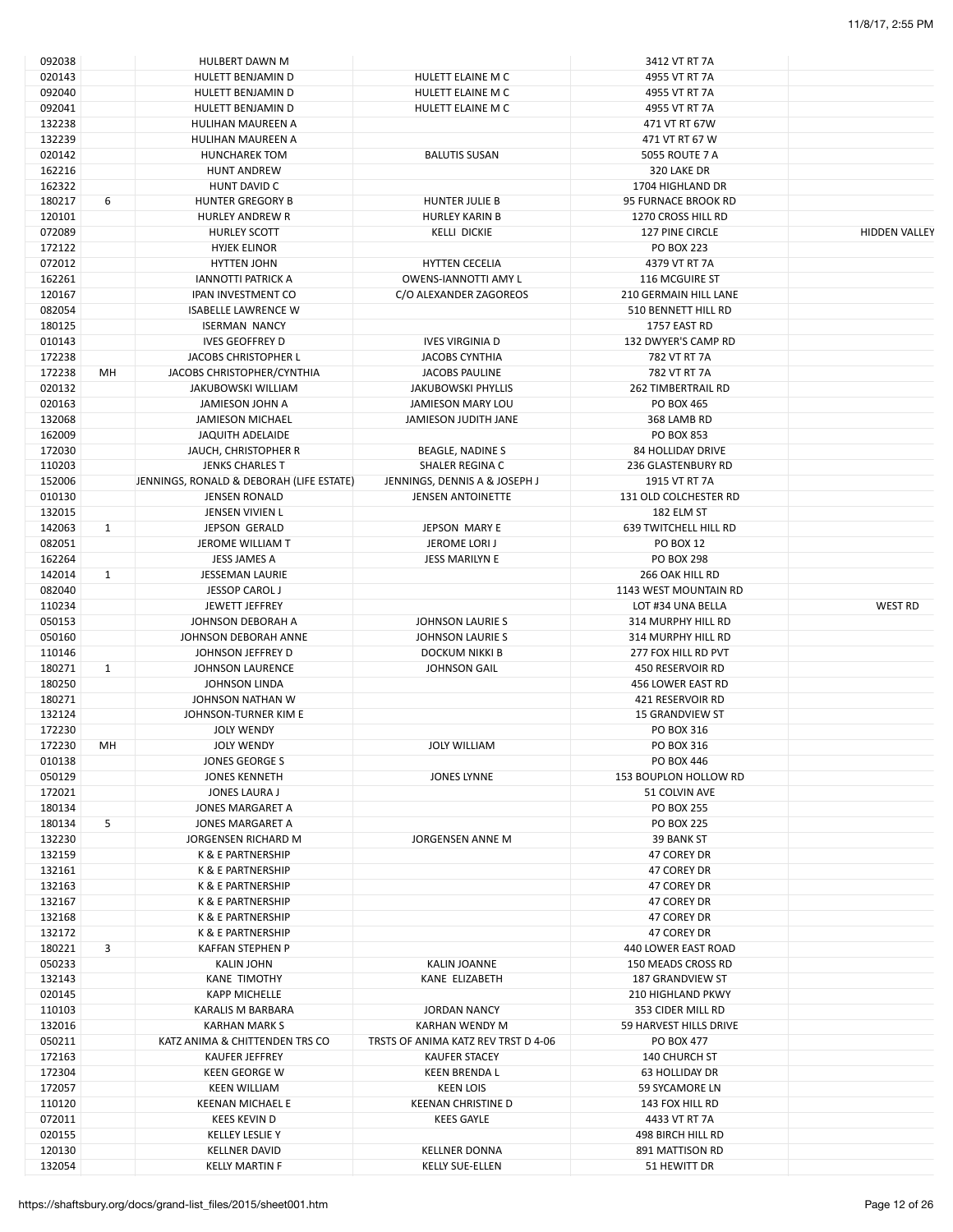| 092038 |              | <b>HULBERT DAWN M</b>                    |                                     | 3412 VT RT 7A                |                      |
|--------|--------------|------------------------------------------|-------------------------------------|------------------------------|----------------------|
| 020143 |              | HULETT BENJAMIN D                        | HULETT ELAINE M C                   | 4955 VT RT 7A                |                      |
| 092040 |              | HULETT BENJAMIN D                        | HULETT ELAINE M C                   | 4955 VT RT 7A                |                      |
| 092041 |              | HULETT BENJAMIN D                        | HULETT ELAINE M C                   | 4955 VT RT 7A                |                      |
| 132238 |              | HULIHAN MAUREEN A                        |                                     | 471 VT RT 67W                |                      |
| 132239 |              | HULIHAN MAUREEN A                        |                                     | 471 VT RT 67 W               |                      |
| 020142 |              | <b>HUNCHAREK TOM</b>                     | <b>BALUTIS SUSAN</b>                | <b>5055 ROUTE 7 A</b>        |                      |
|        |              |                                          |                                     |                              |                      |
| 162216 |              | <b>HUNT ANDREW</b>                       |                                     | 320 LAKE DR                  |                      |
| 162322 |              | HUNT DAVID C                             |                                     | 1704 HIGHLAND DR             |                      |
| 180217 | 6            | <b>HUNTER GREGORY B</b>                  | <b>HUNTER JULIE B</b>               | 95 FURNACE BROOK RD          |                      |
| 120101 |              | <b>HURLEY ANDREW R</b>                   | <b>HURLEY KARIN B</b>               | 1270 CROSS HILL RD           |                      |
| 072089 |              | <b>HURLEY SCOTT</b>                      | <b>KELLI DICKIE</b>                 | 127 PINE CIRCLE              | <b>HIDDEN VALLEY</b> |
| 172122 |              | <b>HYJEK ELINOR</b>                      |                                     | <b>PO BOX 223</b>            |                      |
| 072012 |              | <b>HYTTEN JOHN</b>                       | <b>HYTTEN CECELIA</b>               | 4379 VT RT 7A                |                      |
| 162261 |              | <b>IANNOTTI PATRICK A</b>                | OWENS-IANNOTTI AMY L                | 116 MCGUIRE ST               |                      |
| 120167 |              | <b>IPAN INVESTMENT CO</b>                | C/O ALEXANDER ZAGOREOS              | 210 GERMAIN HILL LANE        |                      |
| 082054 |              | <b>ISABELLE LAWRENCE W</b>               |                                     | 510 BENNETT HILL RD          |                      |
| 180125 |              | <b>ISERMAN NANCY</b>                     |                                     | 1757 EAST RD                 |                      |
| 010143 |              | <b>IVES GEOFFREY D</b>                   | <b>IVES VIRGINIA D</b>              | 132 DWYER'S CAMP RD          |                      |
| 172238 |              | JACOBS CHRISTOPHER L                     | <b>JACOBS CYNTHIA</b>               | 782 VT RT 7A                 |                      |
| 172238 | MН           | JACOBS CHRISTOPHER/CYNTHIA               | JACOBS PAULINE                      | 782 VT RT 7A                 |                      |
| 020132 |              | <b>JAKUBOWSKI WILLIAM</b>                | <b>JAKUBOWSKI PHYLLIS</b>           | <b>262 TIMBERTRAIL RD</b>    |                      |
| 020163 |              | JAMIESON JOHN A                          | <b>JAMIESON MARY LOU</b>            | PO BOX 465                   |                      |
| 132068 |              | JAMIESON MICHAEL                         | JAMIESON JUDITH JANE                | 368 LAMB RD                  |                      |
| 162009 |              |                                          |                                     | PO BOX 853                   |                      |
|        |              | JAQUITH ADELAIDE                         |                                     |                              |                      |
| 172030 |              | JAUCH, CHRISTOPHER R                     | <b>BEAGLE, NADINE S</b>             | <b>84 HOLLIDAY DRIVE</b>     |                      |
| 110203 |              | <b>JENKS CHARLES T</b>                   | SHALER REGINA C                     | 236 GLASTENBURY RD           |                      |
| 152006 |              | JENNINGS, RONALD & DEBORAH (LIFE ESTATE) | JENNINGS, DENNIS A & JOSEPH J       | 1915 VT RT 7A                |                      |
| 010130 |              | <b>JENSEN RONALD</b>                     | <b>JENSEN ANTOINETTE</b>            | 131 OLD COLCHESTER RD        |                      |
| 132015 |              | JENSEN VIVIEN L                          |                                     | 182 ELM ST                   |                      |
| 142063 | $\mathbf{1}$ | JEPSON GERALD                            | JEPSON MARY E                       | <b>639 TWITCHELL HILL RD</b> |                      |
| 082051 |              | JEROME WILLIAM T                         | JEROME LORI J                       | <b>PO BOX 12</b>             |                      |
| 162264 |              | JESS JAMES A                             | JESS MARILYN E                      | <b>PO BOX 298</b>            |                      |
| 142014 | $\mathbf{1}$ | <b>JESSEMAN LAURIE</b>                   |                                     | 266 OAK HILL RD              |                      |
| 082040 |              | JESSOP CAROL J                           |                                     | 1143 WEST MOUNTAIN RD        |                      |
| 110234 |              | JEWETT JEFFREY                           |                                     | LOT #34 UNA BELLA            | <b>WEST RD</b>       |
| 050153 |              | JOHNSON DEBORAH A                        | JOHNSON LAURIE S                    | 314 MURPHY HILL RD           |                      |
| 050160 |              | JOHNSON DEBORAH ANNE                     | <b>JOHNSON LAURIE S</b>             | 314 MURPHY HILL RD           |                      |
| 110146 |              | JOHNSON JEFFREY D                        | DOCKUM NIKKI B                      | 277 FOX HILL RD PVT          |                      |
| 180271 | $\mathbf{1}$ | JOHNSON LAURENCE                         | <b>JOHNSON GAIL</b>                 | 450 RESERVOIR RD             |                      |
| 180250 |              |                                          |                                     | 456 LOWER EAST RD            |                      |
|        |              | <b>JOHNSON LINDA</b>                     |                                     |                              |                      |
| 180271 |              | JOHNSON NATHAN W                         |                                     | 421 RESERVOIR RD             |                      |
| 132124 |              | JOHNSON-TURNER KIM E                     |                                     | <b>15 GRANDVIEW ST</b>       |                      |
| 172230 |              | <b>JOLY WENDY</b>                        |                                     | PO BOX 316                   |                      |
| 172230 | MН           | <b>JOLY WENDY</b>                        | <b>JOLY WILLIAM</b>                 | PO BOX 316                   |                      |
| 010138 |              | JONES GEORGE S                           |                                     | PO BOX 446                   |                      |
| 050129 |              | <b>JONES KENNETH</b>                     | JONES LYNNE                         | 153 BOUPLON HOLLOW RD        |                      |
| 172021 |              | JONES LAURA J                            |                                     | 51 COLVIN AVE                |                      |
| 180134 |              | JONES MARGARET A                         |                                     | <b>PO BOX 255</b>            |                      |
| 180134 | 5            | JONES MARGARET A                         |                                     | <b>PO BOX 225</b>            |                      |
| 132230 |              | JORGENSEN RICHARD M                      | JORGENSEN ANNE M                    | 39 BANK ST                   |                      |
| 132159 |              | K & E PARTNERSHIP                        |                                     | 47 COREY DR                  |                      |
| 132161 |              | K & E PARTNERSHIP                        |                                     | 47 COREY DR                  |                      |
| 132163 |              | K & E PARTNERSHIP                        |                                     | 47 COREY DR                  |                      |
| 132167 |              | K & E PARTNERSHIP                        |                                     | 47 COREY DR                  |                      |
| 132168 |              | K & E PARTNERSHIP                        |                                     | 47 COREY DR                  |                      |
| 132172 |              | K & E PARTNERSHIP                        |                                     | 47 COREY DR                  |                      |
| 180221 | 3            | <b>KAFFAN STEPHEN P</b>                  |                                     | 440 LOWER EAST ROAD          |                      |
|        |              |                                          |                                     |                              |                      |
| 050233 |              | <b>KALIN JOHN</b>                        | <b>KALIN JOANNE</b>                 | 150 MEADS CROSS RD           |                      |
| 132143 |              | <b>KANE TIMOTHY</b>                      | KANE ELIZABETH                      | <b>187 GRANDVIEW ST</b>      |                      |
| 020145 |              | <b>KAPP MICHELLE</b>                     |                                     | <b>210 HIGHLAND PKWY</b>     |                      |
| 110103 |              | KARALIS M BARBARA                        | <b>JORDAN NANCY</b>                 | 353 CIDER MILL RD            |                      |
| 132016 |              | <b>KARHAN MARK S</b>                     | KARHAN WENDY M                      | 59 HARVEST HILLS DRIVE       |                      |
| 050211 |              | KATZ ANIMA & CHITTENDEN TRS CO           | TRSTS OF ANIMA KATZ REV TRST D 4-06 | PO BOX 477                   |                      |
| 172163 |              | <b>KAUFER JEFFREY</b>                    | <b>KAUFER STACEY</b>                | <b>140 CHURCH ST</b>         |                      |
| 172304 |              | <b>KEEN GEORGE W</b>                     | <b>KEEN BRENDA L</b>                | <b>63 HOLLIDAY DR</b>        |                      |
| 172057 |              | KEEN WILLIAM                             | <b>KEEN LOIS</b>                    | 59 SYCAMORE LN               |                      |
| 110120 |              | <b>KEENAN MICHAEL E</b>                  | <b>KEENAN CHRISTINE D</b>           | 143 FOX HILL RD              |                      |
| 072011 |              | <b>KEES KEVIN D</b>                      | <b>KEES GAYLE</b>                   | 4433 VT RT 7A                |                      |
| 020155 |              | <b>KELLEY LESLIE Y</b>                   |                                     | 498 BIRCH HILL RD            |                      |
| 120130 |              | <b>KELLNER DAVID</b>                     | <b>KELLNER DONNA</b>                | 891 MATTISON RD              |                      |
| 132054 |              | <b>KELLY MARTIN F</b>                    | KELLY SUE-ELLEN                     | 51 HEWITT DR                 |                      |
|        |              |                                          |                                     |                              |                      |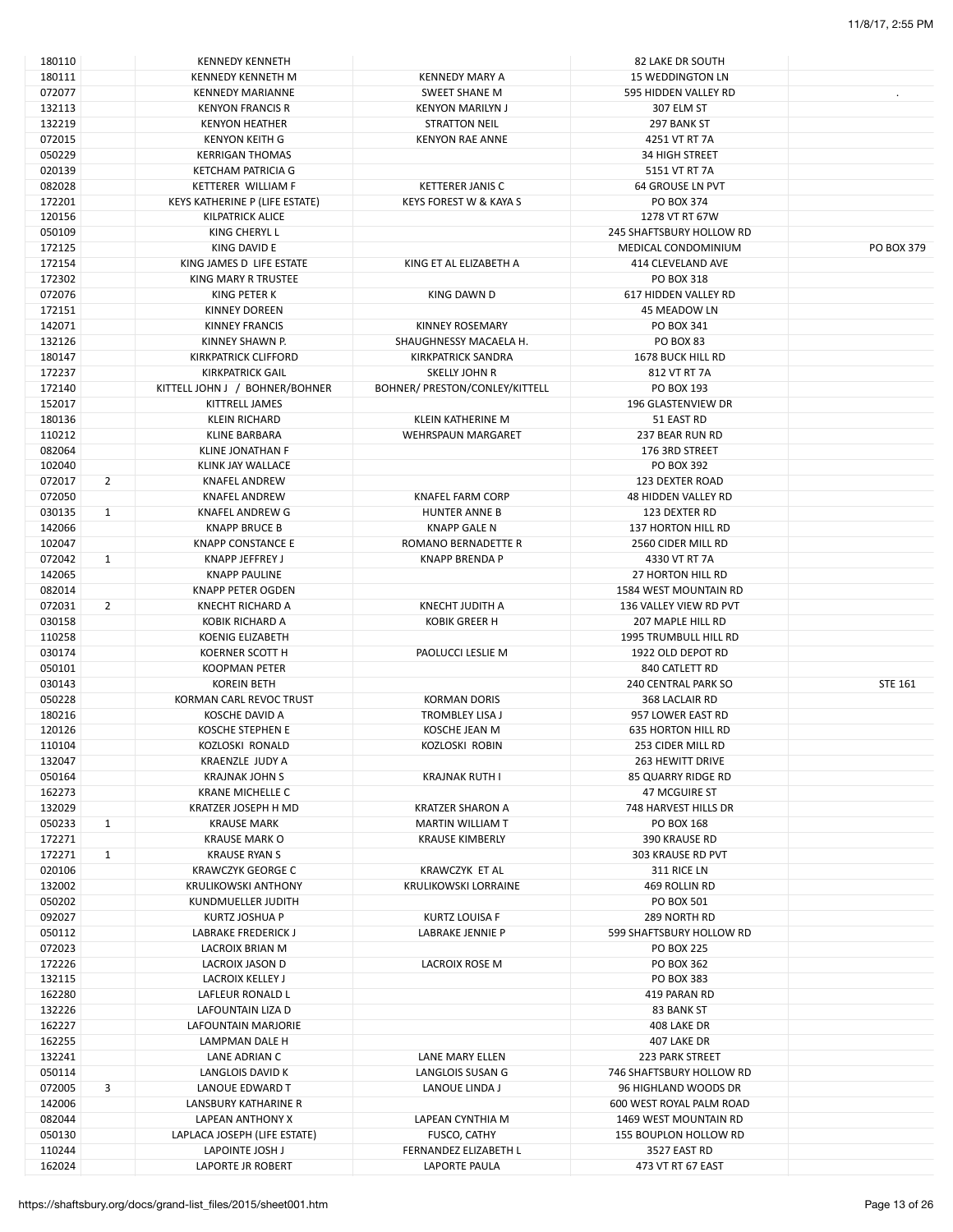| 180110 |                | <b>KENNEDY KENNETH</b>         |                                | 82 LAKE DR SOUTH             |                |
|--------|----------------|--------------------------------|--------------------------------|------------------------------|----------------|
| 180111 |                | <b>KENNEDY KENNETH M</b>       | <b>KENNEDY MARY A</b>          | <b>15 WEDDINGTON LN</b>      |                |
| 072077 |                | <b>KENNEDY MARIANNE</b>        | <b>SWEET SHANE M</b>           | 595 HIDDEN VALLEY RD         |                |
| 132113 |                | <b>KENYON FRANCIS R</b>        | <b>KENYON MARILYN J</b>        | 307 ELM ST                   |                |
| 132219 |                | <b>KENYON HEATHER</b>          | <b>STRATTON NEIL</b>           | 297 BANK ST                  |                |
| 072015 |                | <b>KENYON KEITH G</b>          | <b>KENYON RAE ANNE</b>         | 4251 VT RT 7A                |                |
| 050229 |                | <b>KERRIGAN THOMAS</b>         |                                | <b>34 HIGH STREET</b>        |                |
| 020139 |                | KETCHAM PATRICIA G             |                                | 5151 VT RT 7A                |                |
|        |                |                                |                                |                              |                |
| 082028 |                | KETTERER WILLIAM F             | <b>KETTERER JANIS C</b>        | <b>64 GROUSE LN PVT</b>      |                |
| 172201 |                | KEYS KATHERINE P (LIFE ESTATE) | KEYS FOREST W & KAYA S         | PO BOX 374                   |                |
| 120156 |                | KILPATRICK ALICE               |                                | 1278 VT RT 67W               |                |
| 050109 |                | KING CHERYL L                  |                                | 245 SHAFTSBURY HOLLOW RD     |                |
| 172125 |                | KING DAVID E                   |                                | MEDICAL CONDOMINIUM          | PO BOX 379     |
| 172154 |                | KING JAMES D LIFE ESTATE       | KING ET AL ELIZABETH A         | <b>414 CLEVELAND AVE</b>     |                |
| 172302 |                | <b>KING MARY R TRUSTEE</b>     |                                | PO BOX 318                   |                |
| 072076 |                | KING PETER K                   | KING DAWN D                    | 617 HIDDEN VALLEY RD         |                |
| 172151 |                | KINNEY DOREEN                  |                                | 45 MEADOW LN                 |                |
| 142071 |                | <b>KINNEY FRANCIS</b>          | <b>KINNEY ROSEMARY</b>         | PO BOX 341                   |                |
| 132126 |                | KINNEY SHAWN P.                | SHAUGHNESSY MACAELA H.         | PO BOX 83                    |                |
|        |                |                                |                                |                              |                |
| 180147 |                | KIRKPATRICK CLIFFORD           | KIRKPATRICK SANDRA             | 1678 BUCK HILL RD            |                |
| 172237 |                | <b>KIRKPATRICK GAIL</b>        | SKELLY JOHN R                  | 812 VT RT 7A                 |                |
| 172140 |                | KITTELL JOHN J / BOHNER/BOHNER | BOHNER/ PRESTON/CONLEY/KITTELL | PO BOX 193                   |                |
| 152017 |                | KITTRELL JAMES                 |                                | 196 GLASTENVIEW DR           |                |
| 180136 |                | <b>KLEIN RICHARD</b>           | KLEIN KATHERINE M              | 51 EAST RD                   |                |
| 110212 |                | <b>KLINE BARBARA</b>           | <b>WEHRSPAUN MARGARET</b>      | 237 BEAR RUN RD              |                |
| 082064 |                | <b>KLINE JONATHAN F</b>        |                                | 176 3RD STREET               |                |
| 102040 |                | KLINK JAY WALLACE              |                                | PO BOX 392                   |                |
| 072017 | $\overline{2}$ | <b>KNAFEL ANDREW</b>           |                                | 123 DEXTER ROAD              |                |
| 072050 |                | <b>KNAFEL ANDREW</b>           | <b>KNAFEL FARM CORP</b>        | <b>48 HIDDEN VALLEY RD</b>   |                |
| 030135 |                |                                |                                | 123 DEXTER RD                |                |
|        | $\mathbf{1}$   | KNAFEL ANDREW G                | <b>HUNTER ANNE B</b>           |                              |                |
| 142066 |                | <b>KNAPP BRUCE B</b>           | <b>KNAPP GALE N</b>            | 137 HORTON HILL RD           |                |
| 102047 |                | <b>KNAPP CONSTANCE E</b>       | ROMANO BERNADETTE R            | 2560 CIDER MILL RD           |                |
| 072042 | $\mathbf{1}$   | <b>KNAPP JEFFREY J</b>         | <b>KNAPP BRENDA P</b>          | 4330 VT RT 7A                |                |
| 142065 |                | <b>KNAPP PAULINE</b>           |                                | 27 HORTON HILL RD            |                |
| 082014 |                | KNAPP PETER OGDEN              |                                | <b>1584 WEST MOUNTAIN RD</b> |                |
| 072031 | $\overline{2}$ | <b>KNECHT RICHARD A</b>        | <b>KNECHT JUDITH A</b>         | 136 VALLEY VIEW RD PVT       |                |
| 030158 |                | KOBIK RICHARD A                | KOBIK GREER H                  | 207 MAPLE HILL RD            |                |
| 110258 |                | <b>KOENIG ELIZABETH</b>        |                                | 1995 TRUMBULL HILL RD        |                |
| 030174 |                | KOERNER SCOTT H                | PAOLUCCI LESLIE M              | 1922 OLD DEPOT RD            |                |
| 050101 |                | <b>KOOPMAN PETER</b>           |                                | 840 CATLETT RD               |                |
|        |                |                                |                                |                              |                |
| 030143 |                | <b>KOREIN BETH</b>             |                                | <b>240 CENTRAL PARK SO</b>   | <b>STE 161</b> |
| 050228 |                | KORMAN CARL REVOC TRUST        | <b>KORMAN DORIS</b>            | 368 LACLAIR RD               |                |
| 180216 |                | KOSCHE DAVID A                 | <b>TROMBLEY LISA J</b>         | 957 LOWER EAST RD            |                |
| 120126 |                | KOSCHE STEPHEN E               | KOSCHE JEAN M                  | <b>635 HORTON HILL RD</b>    |                |
| 110104 |                | KOZLOSKI RONALD                | <b>KOZLOSKI ROBIN</b>          | 253 CIDER MILL RD            |                |
| 132047 |                | KRAENZLE JUDY A                |                                | 263 HEWITT DRIVE             |                |
| 050164 |                | <b>KRAJNAK JOHN S</b>          | <b>KRAJNAK RUTH I</b>          | 85 QUARRY RIDGE RD           |                |
| 162273 |                | <b>KRANE MICHELLE C</b>        |                                | <b>47 MCGUIRE ST</b>         |                |
| 132029 |                | KRATZER JOSEPH H MD            | <b>KRATZER SHARON A</b>        | 748 HARVEST HILLS DR         |                |
| 050233 | $\mathbf{1}$   | <b>KRAUSE MARK</b>             | <b>MARTIN WILLIAM T</b>        | PO BOX 168                   |                |
| 172271 |                | <b>KRAUSE MARK O</b>           | <b>KRAUSE KIMBERLY</b>         | 390 KRAUSE RD                |                |
|        |                |                                |                                |                              |                |
| 172271 | $\mathbf{1}$   | KRAUSE RYAN S                  |                                | 303 KRAUSE RD PVT            |                |
| 020106 |                | <b>KRAWCZYK GEORGE C</b>       | KRAWCZYK ET AL                 | 311 RICE LN                  |                |
| 132002 |                | <b>KRULIKOWSKI ANTHONY</b>     | KRULIKOWSKI LORRAINE           | 469 ROLLIN RD                |                |
| 050202 |                | KUNDMUELLER JUDITH             |                                | PO BOX 501                   |                |
| 092027 |                | KURTZ JOSHUA P                 | KURTZ LOUISA F                 | 289 NORTH RD                 |                |
| 050112 |                | <b>LABRAKE FREDERICK J</b>     | LABRAKE JENNIE P               | 599 SHAFTSBURY HOLLOW RD     |                |
| 072023 |                | LACROIX BRIAN M                |                                | <b>PO BOX 225</b>            |                |
| 172226 |                | LACROIX JASON D                | LACROIX ROSE M                 | PO BOX 362                   |                |
| 132115 |                | LACROIX KELLEY J               |                                | PO BOX 383                   |                |
| 162280 |                | LAFLEUR RONALD L               |                                | 419 PARAN RD                 |                |
|        |                |                                |                                |                              |                |
| 132226 |                | LAFOUNTAIN LIZA D              |                                | 83 BANK ST                   |                |
| 162227 |                | LAFOUNTAIN MARJORIE            |                                | 408 LAKE DR                  |                |
| 162255 |                | LAMPMAN DALE H                 |                                | 407 LAKE DR                  |                |
| 132241 |                | LANE ADRIAN C                  | LANE MARY ELLEN                | 223 PARK STREET              |                |
| 050114 |                | LANGLOIS DAVID K               | LANGLOIS SUSAN G               | 746 SHAFTSBURY HOLLOW RD     |                |
| 072005 | 3              | LANOUE EDWARD T                | LANOUE LINDA J                 | 96 HIGHLAND WOODS DR         |                |
| 142006 |                | LANSBURY KATHARINE R           |                                | 600 WEST ROYAL PALM ROAD     |                |
| 082044 |                | LAPEAN ANTHONY X               | LAPEAN CYNTHIA M               | 1469 WEST MOUNTAIN RD        |                |
| 050130 |                |                                |                                | 155 BOUPLON HOLLOW RD        |                |
|        |                | LAPLACA JOSEPH (LIFE ESTATE)   | FUSCO, CATHY                   |                              |                |
| 110244 |                | LAPOINTE JOSH J                | FERNANDEZ ELIZABETH L          | 3527 EAST RD                 |                |
| 162024 |                | <b>LAPORTE JR ROBERT</b>       | LAPORTE PAULA                  | 473 VT RT 67 EAST            |                |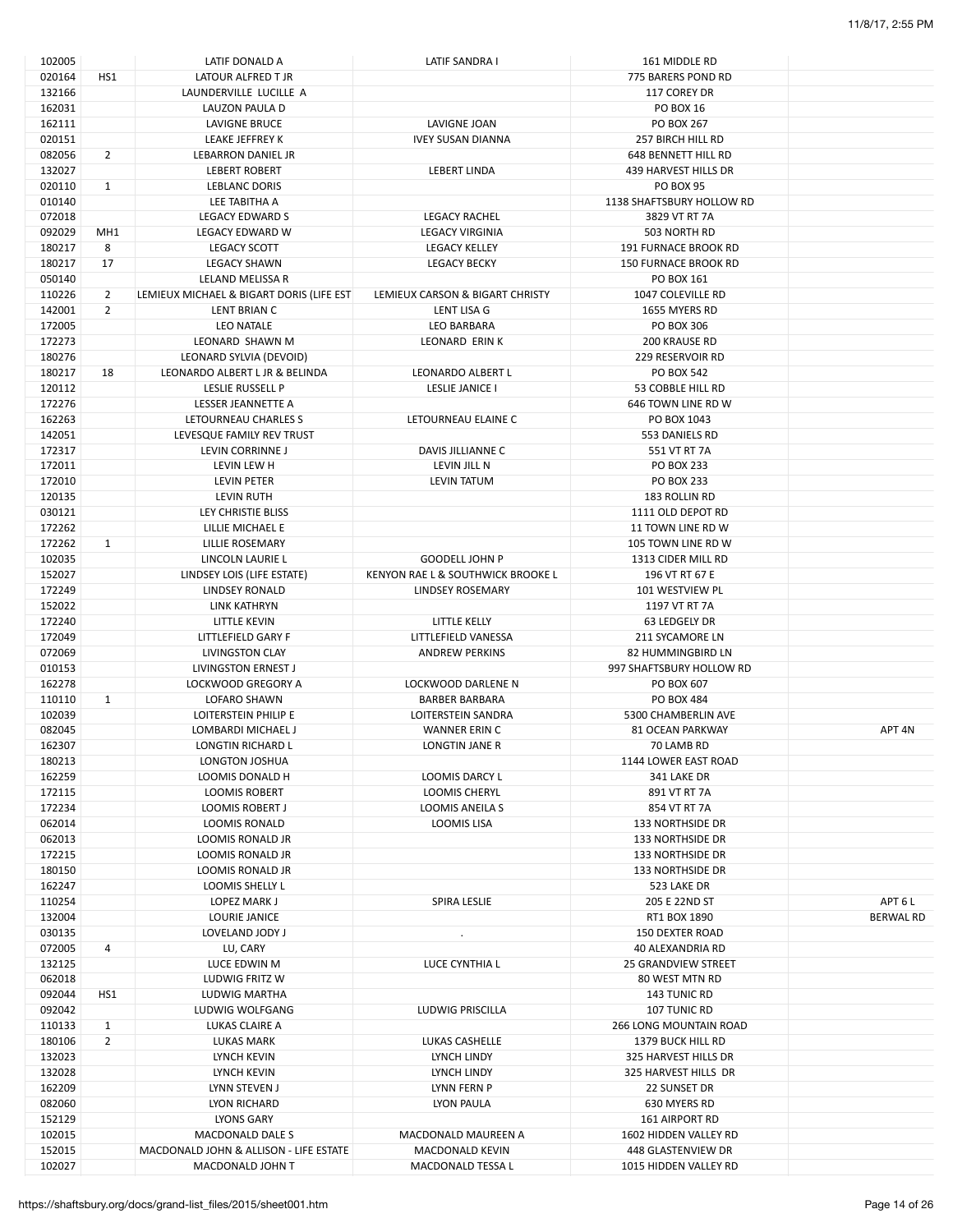| 102005 |                 | LATIF DONALD A                           | LATIF SANDRA I                    | 161 MIDDLE RD                 |                   |
|--------|-----------------|------------------------------------------|-----------------------------------|-------------------------------|-------------------|
| 020164 | HS1             | LATOUR ALFRED T JR                       |                                   | 775 BARERS POND RD            |                   |
| 132166 |                 | LAUNDERVILLE LUCILLE A                   |                                   | 117 COREY DR                  |                   |
| 162031 |                 | LAUZON PAULA D                           |                                   | <b>PO BOX 16</b>              |                   |
| 162111 |                 | <b>LAVIGNE BRUCE</b>                     | LAVIGNE JOAN                      | <b>PO BOX 267</b>             |                   |
| 020151 |                 | LEAKE JEFFREY K                          | <b>IVEY SUSAN DIANNA</b>          | 257 BIRCH HILL RD             |                   |
| 082056 | $\overline{2}$  | LEBARRON DANIEL JR                       |                                   | 648 BENNETT HILL RD           |                   |
| 132027 |                 | <b>LEBERT ROBERT</b>                     | <b>LEBERT LINDA</b>               | 439 HARVEST HILLS DR          |                   |
| 020110 | $\mathbf{1}$    | <b>LEBLANC DORIS</b>                     |                                   | <b>PO BOX 95</b>              |                   |
| 010140 |                 | LEE TABITHA A                            |                                   | 1138 SHAFTSBURY HOLLOW RD     |                   |
| 072018 |                 | <b>LEGACY EDWARD S</b>                   | <b>LEGACY RACHEL</b>              | 3829 VT RT 7A                 |                   |
| 092029 | MH <sub>1</sub> | LEGACY EDWARD W                          | <b>LEGACY VIRGINIA</b>            | 503 NORTH RD                  |                   |
| 180217 | 8               | <b>LEGACY SCOTT</b>                      | <b>LEGACY KELLEY</b>              | 191 FURNACE BROOK RD          |                   |
| 180217 | 17              | <b>LEGACY SHAWN</b>                      | <b>LEGACY BECKY</b>               | <b>150 FURNACE BROOK RD</b>   |                   |
| 050140 |                 | <b>LELAND MELISSA R</b>                  |                                   | PO BOX 161                    |                   |
| 110226 | 2               | LEMIEUX MICHAEL & BIGART DORIS (LIFE EST | LEMIEUX CARSON & BIGART CHRISTY   | 1047 COLEVILLE RD             |                   |
|        | $\overline{2}$  |                                          |                                   |                               |                   |
| 142001 |                 | LENT BRIAN C                             | LENT LISA G                       | 1655 MYERS RD                 |                   |
| 172005 |                 | LEO NATALE                               | LEO BARBARA                       | PO BOX 306                    |                   |
| 172273 |                 | LEONARD SHAWN M                          | LEONARD ERIN K                    | 200 KRAUSE RD                 |                   |
| 180276 |                 | LEONARD SYLVIA (DEVOID)                  |                                   | <b>229 RESERVOIR RD</b>       |                   |
| 180217 | 18              | LEONARDO ALBERT L JR & BELINDA           | LEONARDO ALBERT L                 | PO BOX 542                    |                   |
| 120112 |                 | LESLIE RUSSELL P                         | LESLIE JANICE I                   | 53 COBBLE HILL RD             |                   |
| 172276 |                 | LESSER JEANNETTE A                       |                                   | 646 TOWN LINE RD W            |                   |
| 162263 |                 | LETOURNEAU CHARLES S                     | LETOURNEAU ELAINE C               | PO BOX 1043                   |                   |
| 142051 |                 | LEVESQUE FAMILY REV TRUST                |                                   | 553 DANIELS RD                |                   |
| 172317 |                 | LEVIN CORRINNE J                         | DAVIS JILLIANNE C                 | 551 VT RT 7A                  |                   |
| 172011 |                 | LEVIN LEW H                              | LEVIN JILL N                      | PO BOX 233                    |                   |
| 172010 |                 | LEVIN PETER                              | LEVIN TATUM                       | <b>PO BOX 233</b>             |                   |
| 120135 |                 | <b>LEVIN RUTH</b>                        |                                   | 183 ROLLIN RD                 |                   |
| 030121 |                 | LEY CHRISTIE BLISS                       |                                   | 1111 OLD DEPOT RD             |                   |
| 172262 |                 | LILLIE MICHAEL E                         |                                   | 11 TOWN LINE RD W             |                   |
| 172262 | $\mathbf{1}$    | LILLIE ROSEMARY                          |                                   | 105 TOWN LINE RD W            |                   |
| 102035 |                 | LINCOLN LAURIE L                         | <b>GOODELL JOHN P</b>             | 1313 CIDER MILL RD            |                   |
| 152027 |                 | LINDSEY LOIS (LIFE ESTATE)               | KENYON RAE L & SOUTHWICK BROOKE L | 196 VT RT 67 E                |                   |
| 172249 |                 | <b>LINDSEY RONALD</b>                    | LINDSEY ROSEMARY                  | 101 WESTVIEW PL               |                   |
| 152022 |                 | LINK KATHRYN                             |                                   | 1197 VT RT 7A                 |                   |
| 172240 |                 | LITTLE KEVIN                             | LITTLE KELLY                      | 63 LEDGELY DR                 |                   |
| 172049 |                 | LITTLEFIELD GARY F                       | LITTLEFIELD VANESSA               | 211 SYCAMORE LN               |                   |
| 072069 |                 | LIVINGSTON CLAY                          | <b>ANDREW PERKINS</b>             | 82 HUMMINGBIRD LN             |                   |
| 010153 |                 | LIVINGSTON ERNEST J                      |                                   | 997 SHAFTSBURY HOLLOW RD      |                   |
| 162278 |                 | LOCKWOOD GREGORY A                       | <b>LOCKWOOD DARLENE N</b>         | PO BOX 607                    |                   |
| 110110 | $\mathbf{1}$    | <b>LOFARO SHAWN</b>                      | <b>BARBER BARBARA</b>             | PO BOX 484                    |                   |
|        |                 |                                          | <b>LOITERSTEIN SANDRA</b>         | 5300 CHAMBERLIN AVE           |                   |
| 102039 |                 | LOITERSTEIN PHILIP E                     |                                   |                               |                   |
| 082045 |                 | LOMBARDI MICHAEL J                       | <b>WANNER ERIN C</b>              | <b>81 OCEAN PARKWAY</b>       | APT <sub>4N</sub> |
| 162307 |                 | LONGTIN RICHARD L                        | LONGTIN JANE R                    | 70 LAMB RD                    |                   |
| 180213 |                 | LONGTON JOSHUA                           |                                   | 1144 LOWER EAST ROAD          |                   |
| 162259 |                 | LOOMIS DONALD H                          | <b>LOOMIS DARCY L</b>             | 341 LAKE DR                   |                   |
| 172115 |                 | <b>LOOMIS ROBERT</b>                     | LOOMIS CHERYL                     | 891 VT RT 7A                  |                   |
| 172234 |                 | LOOMIS ROBERT J                          | LOOMIS ANEILA S                   | 854 VT RT 7A                  |                   |
| 062014 |                 | LOOMIS RONALD                            | LOOMIS LISA                       | 133 NORTHSIDE DR              |                   |
| 062013 |                 | LOOMIS RONALD JR                         |                                   | <b>133 NORTHSIDE DR</b>       |                   |
| 172215 |                 | LOOMIS RONALD JR                         |                                   | 133 NORTHSIDE DR              |                   |
| 180150 |                 | LOOMIS RONALD JR                         |                                   | 133 NORTHSIDE DR              |                   |
| 162247 |                 | <b>LOOMIS SHELLY L</b>                   |                                   | 523 LAKE DR                   |                   |
| 110254 |                 | LOPEZ MARK J                             | SPIRA LESLIE                      | 205 E 22ND ST                 | APT 6 L           |
| 132004 |                 | LOURIE JANICE                            |                                   | RT1 BOX 1890                  | <b>BERWAL RD</b>  |
| 030135 |                 | LOVELAND JODY J                          | $\cdot$                           | <b>150 DEXTER ROAD</b>        |                   |
| 072005 | 4               | LU, CARY                                 |                                   | <b>40 ALEXANDRIA RD</b>       |                   |
| 132125 |                 | LUCE EDWIN M                             | LUCE CYNTHIA L                    | <b>25 GRANDVIEW STREET</b>    |                   |
| 062018 |                 | LUDWIG FRITZ W                           |                                   | 80 WEST MTN RD                |                   |
| 092044 | HS1             | LUDWIG MARTHA                            |                                   | 143 TUNIC RD                  |                   |
| 092042 |                 | LUDWIG WOLFGANG                          | LUDWIG PRISCILLA                  | 107 TUNIC RD                  |                   |
| 110133 | $\mathbf{1}$    | LUKAS CLAIRE A                           |                                   | <b>266 LONG MOUNTAIN ROAD</b> |                   |
| 180106 | $\overline{2}$  | LUKAS MARK                               | LUKAS CASHELLE                    | 1379 BUCK HILL RD             |                   |
| 132023 |                 | LYNCH KEVIN                              | LYNCH LINDY                       | 325 HARVEST HILLS DR          |                   |
| 132028 |                 | LYNCH KEVIN                              | LYNCH LINDY                       | 325 HARVEST HILLS DR          |                   |
| 162209 |                 | LYNN STEVEN J                            | LYNN FERN P                       | 22 SUNSET DR                  |                   |
| 082060 |                 | LYON RICHARD                             | LYON PAULA                        | 630 MYERS RD                  |                   |
| 152129 |                 | LYONS GARY                               |                                   | <b>161 AIRPORT RD</b>         |                   |
| 102015 |                 | MACDONALD DALE S                         | MACDONALD MAUREEN A               | 1602 HIDDEN VALLEY RD         |                   |
| 152015 |                 | MACDONALD JOHN & ALLISON - LIFE ESTATE   | MACDONALD KEVIN                   | 448 GLASTENVIEW DR            |                   |
| 102027 |                 | MACDONALD JOHN T                         | MACDONALD TESSA L                 | 1015 HIDDEN VALLEY RD         |                   |
|        |                 |                                          |                                   |                               |                   |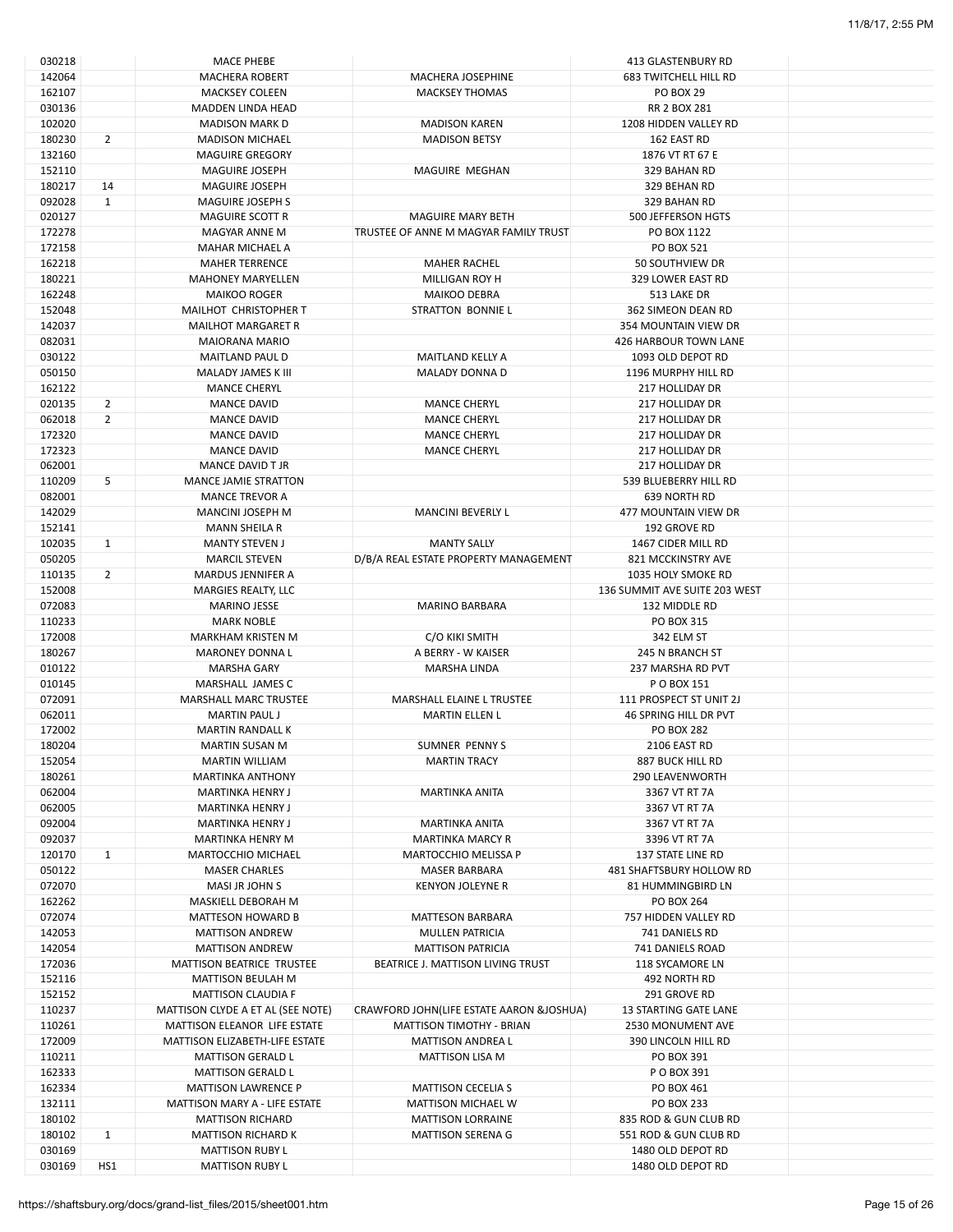| 142064<br><b>MACHERA ROBERT</b><br>MACHERA JOSEPHINE<br>162107<br><b>MACKSEY COLEEN</b><br><b>MACKSEY THOMAS</b><br>030136<br><b>MADDEN LINDA HEAD</b><br>102020<br><b>MADISON MARK D</b><br><b>MADISON KAREN</b><br>180230<br>$\overline{2}$<br><b>MADISON MICHAEL</b><br><b>MADISON BETSY</b><br>132160<br><b>MAGUIRE GREGORY</b><br>152110<br><b>MAGUIRE JOSEPH</b><br>MAGUIRE MEGHAN<br>180217<br>14<br><b>MAGUIRE JOSEPH</b><br>$\mathbf{1}$<br>092028<br><b>MAGUIRE JOSEPH S</b><br>020127<br><b>MAGUIRE SCOTT R</b><br><b>MAGUIRE MARY BETH</b><br>172278<br>TRUSTEE OF ANNE M MAGYAR FAMILY TRUST<br>MAGYAR ANNE M<br>172158<br>MAHAR MICHAEL A<br>162218<br><b>MAHER TERRENCE</b><br><b>MAHER RACHEL</b><br>180221<br><b>MAHONEY MARYELLEN</b><br>MILLIGAN ROY H<br>162248<br><b>MAIKOO ROGER</b><br><b>MAIKOO DEBRA</b><br>152048<br>MAILHOT CHRISTOPHER T<br>STRATTON BONNIE L<br>142037<br><b>MAILHOT MARGARET R</b><br>082031<br><b>MAIORANA MARIO</b><br>030122<br><b>MAITLAND PAUL D</b><br>MAITLAND KELLY A<br>050150<br>MALADY DONNA D<br>MALADY JAMES K III<br>162122<br><b>MANCE CHERYL</b><br>020135<br>$\overline{2}$<br><b>MANCE DAVID</b><br><b>MANCE CHERYL</b><br>$\overline{2}$<br>062018<br><b>MANCE DAVID</b><br><b>MANCE CHERYL</b><br>172320<br><b>MANCE DAVID</b><br><b>MANCE CHERYL</b><br>172323<br><b>MANCE DAVID</b><br><b>MANCE CHERYL</b><br>062001<br>MANCE DAVID T JR | <b>683 TWITCHELL HILL RD</b><br><b>PO BOX 29</b><br>RR 2 BOX 281<br>1208 HIDDEN VALLEY RD<br>162 EAST RD<br>1876 VT RT 67 E<br>329 BAHAN RD<br>329 BEHAN RD<br>329 BAHAN RD<br>500 JEFFERSON HGTS<br>PO BOX 1122<br>PO BOX 521<br>50 SOUTHVIEW DR<br>329 LOWER EAST RD<br>513 LAKE DR<br>362 SIMEON DEAN RD<br>354 MOUNTAIN VIEW DR<br>426 HARBOUR TOWN LANE<br>1093 OLD DEPOT RD<br>1196 MURPHY HILL RD<br>217 HOLLIDAY DR<br>217 HOLLIDAY DR |
|--------------------------------------------------------------------------------------------------------------------------------------------------------------------------------------------------------------------------------------------------------------------------------------------------------------------------------------------------------------------------------------------------------------------------------------------------------------------------------------------------------------------------------------------------------------------------------------------------------------------------------------------------------------------------------------------------------------------------------------------------------------------------------------------------------------------------------------------------------------------------------------------------------------------------------------------------------------------------------------------------------------------------------------------------------------------------------------------------------------------------------------------------------------------------------------------------------------------------------------------------------------------------------------------------------------------------------------------------------------------------------------------------------------|------------------------------------------------------------------------------------------------------------------------------------------------------------------------------------------------------------------------------------------------------------------------------------------------------------------------------------------------------------------------------------------------------------------------------------------------|
|                                                                                                                                                                                                                                                                                                                                                                                                                                                                                                                                                                                                                                                                                                                                                                                                                                                                                                                                                                                                                                                                                                                                                                                                                                                                                                                                                                                                              |                                                                                                                                                                                                                                                                                                                                                                                                                                                |
|                                                                                                                                                                                                                                                                                                                                                                                                                                                                                                                                                                                                                                                                                                                                                                                                                                                                                                                                                                                                                                                                                                                                                                                                                                                                                                                                                                                                              |                                                                                                                                                                                                                                                                                                                                                                                                                                                |
|                                                                                                                                                                                                                                                                                                                                                                                                                                                                                                                                                                                                                                                                                                                                                                                                                                                                                                                                                                                                                                                                                                                                                                                                                                                                                                                                                                                                              |                                                                                                                                                                                                                                                                                                                                                                                                                                                |
|                                                                                                                                                                                                                                                                                                                                                                                                                                                                                                                                                                                                                                                                                                                                                                                                                                                                                                                                                                                                                                                                                                                                                                                                                                                                                                                                                                                                              |                                                                                                                                                                                                                                                                                                                                                                                                                                                |
|                                                                                                                                                                                                                                                                                                                                                                                                                                                                                                                                                                                                                                                                                                                                                                                                                                                                                                                                                                                                                                                                                                                                                                                                                                                                                                                                                                                                              |                                                                                                                                                                                                                                                                                                                                                                                                                                                |
|                                                                                                                                                                                                                                                                                                                                                                                                                                                                                                                                                                                                                                                                                                                                                                                                                                                                                                                                                                                                                                                                                                                                                                                                                                                                                                                                                                                                              |                                                                                                                                                                                                                                                                                                                                                                                                                                                |
|                                                                                                                                                                                                                                                                                                                                                                                                                                                                                                                                                                                                                                                                                                                                                                                                                                                                                                                                                                                                                                                                                                                                                                                                                                                                                                                                                                                                              |                                                                                                                                                                                                                                                                                                                                                                                                                                                |
|                                                                                                                                                                                                                                                                                                                                                                                                                                                                                                                                                                                                                                                                                                                                                                                                                                                                                                                                                                                                                                                                                                                                                                                                                                                                                                                                                                                                              |                                                                                                                                                                                                                                                                                                                                                                                                                                                |
|                                                                                                                                                                                                                                                                                                                                                                                                                                                                                                                                                                                                                                                                                                                                                                                                                                                                                                                                                                                                                                                                                                                                                                                                                                                                                                                                                                                                              |                                                                                                                                                                                                                                                                                                                                                                                                                                                |
|                                                                                                                                                                                                                                                                                                                                                                                                                                                                                                                                                                                                                                                                                                                                                                                                                                                                                                                                                                                                                                                                                                                                                                                                                                                                                                                                                                                                              |                                                                                                                                                                                                                                                                                                                                                                                                                                                |
|                                                                                                                                                                                                                                                                                                                                                                                                                                                                                                                                                                                                                                                                                                                                                                                                                                                                                                                                                                                                                                                                                                                                                                                                                                                                                                                                                                                                              |                                                                                                                                                                                                                                                                                                                                                                                                                                                |
|                                                                                                                                                                                                                                                                                                                                                                                                                                                                                                                                                                                                                                                                                                                                                                                                                                                                                                                                                                                                                                                                                                                                                                                                                                                                                                                                                                                                              |                                                                                                                                                                                                                                                                                                                                                                                                                                                |
|                                                                                                                                                                                                                                                                                                                                                                                                                                                                                                                                                                                                                                                                                                                                                                                                                                                                                                                                                                                                                                                                                                                                                                                                                                                                                                                                                                                                              |                                                                                                                                                                                                                                                                                                                                                                                                                                                |
|                                                                                                                                                                                                                                                                                                                                                                                                                                                                                                                                                                                                                                                                                                                                                                                                                                                                                                                                                                                                                                                                                                                                                                                                                                                                                                                                                                                                              |                                                                                                                                                                                                                                                                                                                                                                                                                                                |
|                                                                                                                                                                                                                                                                                                                                                                                                                                                                                                                                                                                                                                                                                                                                                                                                                                                                                                                                                                                                                                                                                                                                                                                                                                                                                                                                                                                                              |                                                                                                                                                                                                                                                                                                                                                                                                                                                |
|                                                                                                                                                                                                                                                                                                                                                                                                                                                                                                                                                                                                                                                                                                                                                                                                                                                                                                                                                                                                                                                                                                                                                                                                                                                                                                                                                                                                              |                                                                                                                                                                                                                                                                                                                                                                                                                                                |
|                                                                                                                                                                                                                                                                                                                                                                                                                                                                                                                                                                                                                                                                                                                                                                                                                                                                                                                                                                                                                                                                                                                                                                                                                                                                                                                                                                                                              |                                                                                                                                                                                                                                                                                                                                                                                                                                                |
|                                                                                                                                                                                                                                                                                                                                                                                                                                                                                                                                                                                                                                                                                                                                                                                                                                                                                                                                                                                                                                                                                                                                                                                                                                                                                                                                                                                                              |                                                                                                                                                                                                                                                                                                                                                                                                                                                |
|                                                                                                                                                                                                                                                                                                                                                                                                                                                                                                                                                                                                                                                                                                                                                                                                                                                                                                                                                                                                                                                                                                                                                                                                                                                                                                                                                                                                              |                                                                                                                                                                                                                                                                                                                                                                                                                                                |
|                                                                                                                                                                                                                                                                                                                                                                                                                                                                                                                                                                                                                                                                                                                                                                                                                                                                                                                                                                                                                                                                                                                                                                                                                                                                                                                                                                                                              |                                                                                                                                                                                                                                                                                                                                                                                                                                                |
|                                                                                                                                                                                                                                                                                                                                                                                                                                                                                                                                                                                                                                                                                                                                                                                                                                                                                                                                                                                                                                                                                                                                                                                                                                                                                                                                                                                                              |                                                                                                                                                                                                                                                                                                                                                                                                                                                |
|                                                                                                                                                                                                                                                                                                                                                                                                                                                                                                                                                                                                                                                                                                                                                                                                                                                                                                                                                                                                                                                                                                                                                                                                                                                                                                                                                                                                              |                                                                                                                                                                                                                                                                                                                                                                                                                                                |
|                                                                                                                                                                                                                                                                                                                                                                                                                                                                                                                                                                                                                                                                                                                                                                                                                                                                                                                                                                                                                                                                                                                                                                                                                                                                                                                                                                                                              |                                                                                                                                                                                                                                                                                                                                                                                                                                                |
|                                                                                                                                                                                                                                                                                                                                                                                                                                                                                                                                                                                                                                                                                                                                                                                                                                                                                                                                                                                                                                                                                                                                                                                                                                                                                                                                                                                                              |                                                                                                                                                                                                                                                                                                                                                                                                                                                |
|                                                                                                                                                                                                                                                                                                                                                                                                                                                                                                                                                                                                                                                                                                                                                                                                                                                                                                                                                                                                                                                                                                                                                                                                                                                                                                                                                                                                              | 217 HOLLIDAY DR                                                                                                                                                                                                                                                                                                                                                                                                                                |
|                                                                                                                                                                                                                                                                                                                                                                                                                                                                                                                                                                                                                                                                                                                                                                                                                                                                                                                                                                                                                                                                                                                                                                                                                                                                                                                                                                                                              | 217 HOLLIDAY DR                                                                                                                                                                                                                                                                                                                                                                                                                                |
|                                                                                                                                                                                                                                                                                                                                                                                                                                                                                                                                                                                                                                                                                                                                                                                                                                                                                                                                                                                                                                                                                                                                                                                                                                                                                                                                                                                                              | 217 HOLLIDAY DR                                                                                                                                                                                                                                                                                                                                                                                                                                |
|                                                                                                                                                                                                                                                                                                                                                                                                                                                                                                                                                                                                                                                                                                                                                                                                                                                                                                                                                                                                                                                                                                                                                                                                                                                                                                                                                                                                              | 217 HOLLIDAY DR                                                                                                                                                                                                                                                                                                                                                                                                                                |
|                                                                                                                                                                                                                                                                                                                                                                                                                                                                                                                                                                                                                                                                                                                                                                                                                                                                                                                                                                                                                                                                                                                                                                                                                                                                                                                                                                                                              |                                                                                                                                                                                                                                                                                                                                                                                                                                                |
| 110209<br>5<br><b>MANCE JAMIE STRATTON</b>                                                                                                                                                                                                                                                                                                                                                                                                                                                                                                                                                                                                                                                                                                                                                                                                                                                                                                                                                                                                                                                                                                                                                                                                                                                                                                                                                                   | 539 BLUEBERRY HILL RD                                                                                                                                                                                                                                                                                                                                                                                                                          |
| 082001<br><b>MANCE TREVOR A</b>                                                                                                                                                                                                                                                                                                                                                                                                                                                                                                                                                                                                                                                                                                                                                                                                                                                                                                                                                                                                                                                                                                                                                                                                                                                                                                                                                                              | <b>639 NORTH RD</b>                                                                                                                                                                                                                                                                                                                                                                                                                            |
| 142029<br><b>MANCINI BEVERLY L</b><br><b>MANCINI JOSEPH M</b>                                                                                                                                                                                                                                                                                                                                                                                                                                                                                                                                                                                                                                                                                                                                                                                                                                                                                                                                                                                                                                                                                                                                                                                                                                                                                                                                                | 477 MOUNTAIN VIEW DR                                                                                                                                                                                                                                                                                                                                                                                                                           |
| 152141<br><b>MANN SHEILA R</b>                                                                                                                                                                                                                                                                                                                                                                                                                                                                                                                                                                                                                                                                                                                                                                                                                                                                                                                                                                                                                                                                                                                                                                                                                                                                                                                                                                               | 192 GROVE RD                                                                                                                                                                                                                                                                                                                                                                                                                                   |
| 102035<br>$\mathbf{1}$<br><b>MANTY STEVEN J</b><br><b>MANTY SALLY</b>                                                                                                                                                                                                                                                                                                                                                                                                                                                                                                                                                                                                                                                                                                                                                                                                                                                                                                                                                                                                                                                                                                                                                                                                                                                                                                                                        | 1467 CIDER MILL RD                                                                                                                                                                                                                                                                                                                                                                                                                             |
| 050205<br>D/B/A REAL ESTATE PROPERTY MANAGEMENT<br><b>MARCIL STEVEN</b>                                                                                                                                                                                                                                                                                                                                                                                                                                                                                                                                                                                                                                                                                                                                                                                                                                                                                                                                                                                                                                                                                                                                                                                                                                                                                                                                      | 821 MCCKINSTRY AVE                                                                                                                                                                                                                                                                                                                                                                                                                             |
| $\overline{2}$<br>110135<br>MARDUS JENNIFER A                                                                                                                                                                                                                                                                                                                                                                                                                                                                                                                                                                                                                                                                                                                                                                                                                                                                                                                                                                                                                                                                                                                                                                                                                                                                                                                                                                | 1035 HOLY SMOKE RD                                                                                                                                                                                                                                                                                                                                                                                                                             |
| 152008<br>MARGIES REALTY, LLC                                                                                                                                                                                                                                                                                                                                                                                                                                                                                                                                                                                                                                                                                                                                                                                                                                                                                                                                                                                                                                                                                                                                                                                                                                                                                                                                                                                | 136 SUMMIT AVE SUITE 203 WEST                                                                                                                                                                                                                                                                                                                                                                                                                  |
| 072083<br><b>MARINO BARBARA</b><br><b>MARINO JESSE</b>                                                                                                                                                                                                                                                                                                                                                                                                                                                                                                                                                                                                                                                                                                                                                                                                                                                                                                                                                                                                                                                                                                                                                                                                                                                                                                                                                       | 132 MIDDLE RD                                                                                                                                                                                                                                                                                                                                                                                                                                  |
| 110233<br><b>MARK NOBLE</b>                                                                                                                                                                                                                                                                                                                                                                                                                                                                                                                                                                                                                                                                                                                                                                                                                                                                                                                                                                                                                                                                                                                                                                                                                                                                                                                                                                                  | PO BOX 315                                                                                                                                                                                                                                                                                                                                                                                                                                     |
| 172008                                                                                                                                                                                                                                                                                                                                                                                                                                                                                                                                                                                                                                                                                                                                                                                                                                                                                                                                                                                                                                                                                                                                                                                                                                                                                                                                                                                                       |                                                                                                                                                                                                                                                                                                                                                                                                                                                |
| MARKHAM KRISTEN M<br>C/O KIKI SMITH                                                                                                                                                                                                                                                                                                                                                                                                                                                                                                                                                                                                                                                                                                                                                                                                                                                                                                                                                                                                                                                                                                                                                                                                                                                                                                                                                                          | 342 ELM ST                                                                                                                                                                                                                                                                                                                                                                                                                                     |
| 180267<br><b>MARONEY DONNA L</b><br>A BERRY - W KAISER                                                                                                                                                                                                                                                                                                                                                                                                                                                                                                                                                                                                                                                                                                                                                                                                                                                                                                                                                                                                                                                                                                                                                                                                                                                                                                                                                       | 245 N BRANCH ST                                                                                                                                                                                                                                                                                                                                                                                                                                |
| 010122<br><b>MARSHA GARY</b><br><b>MARSHA LINDA</b>                                                                                                                                                                                                                                                                                                                                                                                                                                                                                                                                                                                                                                                                                                                                                                                                                                                                                                                                                                                                                                                                                                                                                                                                                                                                                                                                                          | 237 MARSHA RD PVT                                                                                                                                                                                                                                                                                                                                                                                                                              |
| 010145<br>MARSHALL JAMES C                                                                                                                                                                                                                                                                                                                                                                                                                                                                                                                                                                                                                                                                                                                                                                                                                                                                                                                                                                                                                                                                                                                                                                                                                                                                                                                                                                                   | P O BOX 151                                                                                                                                                                                                                                                                                                                                                                                                                                    |
| 072091<br><b>MARSHALL MARC TRUSTEE</b><br>MARSHALL ELAINE L TRUSTEE                                                                                                                                                                                                                                                                                                                                                                                                                                                                                                                                                                                                                                                                                                                                                                                                                                                                                                                                                                                                                                                                                                                                                                                                                                                                                                                                          | 111 PROSPECT ST UNIT 2J                                                                                                                                                                                                                                                                                                                                                                                                                        |
| 062011<br><b>MARTIN PAUL J</b><br>MARTIN ELLEN L                                                                                                                                                                                                                                                                                                                                                                                                                                                                                                                                                                                                                                                                                                                                                                                                                                                                                                                                                                                                                                                                                                                                                                                                                                                                                                                                                             | <b>46 SPRING HILL DR PVT</b>                                                                                                                                                                                                                                                                                                                                                                                                                   |
| 172002<br><b>MARTIN RANDALL K</b>                                                                                                                                                                                                                                                                                                                                                                                                                                                                                                                                                                                                                                                                                                                                                                                                                                                                                                                                                                                                                                                                                                                                                                                                                                                                                                                                                                            | <b>PO BOX 282</b>                                                                                                                                                                                                                                                                                                                                                                                                                              |
| 180204<br><b>MARTIN SUSAN M</b><br>SUMNER PENNY S                                                                                                                                                                                                                                                                                                                                                                                                                                                                                                                                                                                                                                                                                                                                                                                                                                                                                                                                                                                                                                                                                                                                                                                                                                                                                                                                                            | 2106 EAST RD                                                                                                                                                                                                                                                                                                                                                                                                                                   |
| 152054<br><b>MARTIN WILLIAM</b><br><b>MARTIN TRACY</b>                                                                                                                                                                                                                                                                                                                                                                                                                                                                                                                                                                                                                                                                                                                                                                                                                                                                                                                                                                                                                                                                                                                                                                                                                                                                                                                                                       | 887 BUCK HILL RD                                                                                                                                                                                                                                                                                                                                                                                                                               |
| 180261<br><b>MARTINKA ANTHONY</b>                                                                                                                                                                                                                                                                                                                                                                                                                                                                                                                                                                                                                                                                                                                                                                                                                                                                                                                                                                                                                                                                                                                                                                                                                                                                                                                                                                            | <b>290 LEAVENWORTH</b>                                                                                                                                                                                                                                                                                                                                                                                                                         |
| 062004<br><b>MARTINKA HENRY J</b><br><b>MARTINKA ANITA</b>                                                                                                                                                                                                                                                                                                                                                                                                                                                                                                                                                                                                                                                                                                                                                                                                                                                                                                                                                                                                                                                                                                                                                                                                                                                                                                                                                   | 3367 VT RT 7A                                                                                                                                                                                                                                                                                                                                                                                                                                  |
|                                                                                                                                                                                                                                                                                                                                                                                                                                                                                                                                                                                                                                                                                                                                                                                                                                                                                                                                                                                                                                                                                                                                                                                                                                                                                                                                                                                                              |                                                                                                                                                                                                                                                                                                                                                                                                                                                |
|                                                                                                                                                                                                                                                                                                                                                                                                                                                                                                                                                                                                                                                                                                                                                                                                                                                                                                                                                                                                                                                                                                                                                                                                                                                                                                                                                                                                              |                                                                                                                                                                                                                                                                                                                                                                                                                                                |
| 062005<br><b>MARTINKA HENRY J</b>                                                                                                                                                                                                                                                                                                                                                                                                                                                                                                                                                                                                                                                                                                                                                                                                                                                                                                                                                                                                                                                                                                                                                                                                                                                                                                                                                                            | 3367 VT RT 7A                                                                                                                                                                                                                                                                                                                                                                                                                                  |
| 092004<br>MARTINKA HENRY J<br>MARTINKA ANITA                                                                                                                                                                                                                                                                                                                                                                                                                                                                                                                                                                                                                                                                                                                                                                                                                                                                                                                                                                                                                                                                                                                                                                                                                                                                                                                                                                 | 3367 VT RT 7A                                                                                                                                                                                                                                                                                                                                                                                                                                  |
| 092037<br><b>MARTINKA HENRY M</b><br><b>MARTINKA MARCY R</b>                                                                                                                                                                                                                                                                                                                                                                                                                                                                                                                                                                                                                                                                                                                                                                                                                                                                                                                                                                                                                                                                                                                                                                                                                                                                                                                                                 | 3396 VT RT 7A                                                                                                                                                                                                                                                                                                                                                                                                                                  |
| 120170<br>$\mathbf{1}$<br><b>MARTOCCHIO MICHAEL</b><br><b>MARTOCCHIO MELISSA P</b>                                                                                                                                                                                                                                                                                                                                                                                                                                                                                                                                                                                                                                                                                                                                                                                                                                                                                                                                                                                                                                                                                                                                                                                                                                                                                                                           | 137 STATE LINE RD                                                                                                                                                                                                                                                                                                                                                                                                                              |
| 050122<br><b>MASER CHARLES</b><br><b>MASER BARBARA</b>                                                                                                                                                                                                                                                                                                                                                                                                                                                                                                                                                                                                                                                                                                                                                                                                                                                                                                                                                                                                                                                                                                                                                                                                                                                                                                                                                       | 481 SHAFTSBURY HOLLOW RD                                                                                                                                                                                                                                                                                                                                                                                                                       |
| 072070<br>MASI JR JOHN S<br><b>KENYON JOLEYNE R</b>                                                                                                                                                                                                                                                                                                                                                                                                                                                                                                                                                                                                                                                                                                                                                                                                                                                                                                                                                                                                                                                                                                                                                                                                                                                                                                                                                          | 81 HUMMINGBIRD LN                                                                                                                                                                                                                                                                                                                                                                                                                              |
| 162262<br>MASKIELL DEBORAH M                                                                                                                                                                                                                                                                                                                                                                                                                                                                                                                                                                                                                                                                                                                                                                                                                                                                                                                                                                                                                                                                                                                                                                                                                                                                                                                                                                                 | <b>PO BOX 264</b>                                                                                                                                                                                                                                                                                                                                                                                                                              |
| 072074<br><b>MATTESON HOWARD B</b><br><b>MATTESON BARBARA</b>                                                                                                                                                                                                                                                                                                                                                                                                                                                                                                                                                                                                                                                                                                                                                                                                                                                                                                                                                                                                                                                                                                                                                                                                                                                                                                                                                | 757 HIDDEN VALLEY RD                                                                                                                                                                                                                                                                                                                                                                                                                           |
|                                                                                                                                                                                                                                                                                                                                                                                                                                                                                                                                                                                                                                                                                                                                                                                                                                                                                                                                                                                                                                                                                                                                                                                                                                                                                                                                                                                                              | 741 DANIELS RD                                                                                                                                                                                                                                                                                                                                                                                                                                 |
| 142053<br><b>MATTISON ANDREW</b><br>MULLEN PATRICIA                                                                                                                                                                                                                                                                                                                                                                                                                                                                                                                                                                                                                                                                                                                                                                                                                                                                                                                                                                                                                                                                                                                                                                                                                                                                                                                                                          |                                                                                                                                                                                                                                                                                                                                                                                                                                                |
| 142054<br><b>MATTISON ANDREW</b><br><b>MATTISON PATRICIA</b>                                                                                                                                                                                                                                                                                                                                                                                                                                                                                                                                                                                                                                                                                                                                                                                                                                                                                                                                                                                                                                                                                                                                                                                                                                                                                                                                                 | 741 DANIELS ROAD                                                                                                                                                                                                                                                                                                                                                                                                                               |
| 172036<br>MATTISON BEATRICE TRUSTEE<br>BEATRICE J. MATTISON LIVING TRUST                                                                                                                                                                                                                                                                                                                                                                                                                                                                                                                                                                                                                                                                                                                                                                                                                                                                                                                                                                                                                                                                                                                                                                                                                                                                                                                                     | 118 SYCAMORE LN                                                                                                                                                                                                                                                                                                                                                                                                                                |
| 152116<br><b>MATTISON BEULAH M</b>                                                                                                                                                                                                                                                                                                                                                                                                                                                                                                                                                                                                                                                                                                                                                                                                                                                                                                                                                                                                                                                                                                                                                                                                                                                                                                                                                                           | 492 NORTH RD                                                                                                                                                                                                                                                                                                                                                                                                                                   |
| 152152<br><b>MATTISON CLAUDIA F</b>                                                                                                                                                                                                                                                                                                                                                                                                                                                                                                                                                                                                                                                                                                                                                                                                                                                                                                                                                                                                                                                                                                                                                                                                                                                                                                                                                                          | 291 GROVE RD                                                                                                                                                                                                                                                                                                                                                                                                                                   |
| 110237<br>MATTISON CLYDE A ET AL (SEE NOTE)<br>CRAWFORD JOHN (LIFE ESTATE AARON & JOSHUA)                                                                                                                                                                                                                                                                                                                                                                                                                                                                                                                                                                                                                                                                                                                                                                                                                                                                                                                                                                                                                                                                                                                                                                                                                                                                                                                    | 13 STARTING GATE LANE                                                                                                                                                                                                                                                                                                                                                                                                                          |
| 110261<br>MATTISON TIMOTHY - BRIAN<br>MATTISON ELEANOR LIFE ESTATE                                                                                                                                                                                                                                                                                                                                                                                                                                                                                                                                                                                                                                                                                                                                                                                                                                                                                                                                                                                                                                                                                                                                                                                                                                                                                                                                           | 2530 MONUMENT AVE                                                                                                                                                                                                                                                                                                                                                                                                                              |
| 172009<br>MATTISON ELIZABETH-LIFE ESTATE<br><b>MATTISON ANDREA L</b>                                                                                                                                                                                                                                                                                                                                                                                                                                                                                                                                                                                                                                                                                                                                                                                                                                                                                                                                                                                                                                                                                                                                                                                                                                                                                                                                         | 390 LINCOLN HILL RD                                                                                                                                                                                                                                                                                                                                                                                                                            |
| 110211<br><b>MATTISON GERALD L</b><br><b>MATTISON LISA M</b>                                                                                                                                                                                                                                                                                                                                                                                                                                                                                                                                                                                                                                                                                                                                                                                                                                                                                                                                                                                                                                                                                                                                                                                                                                                                                                                                                 | PO BOX 391                                                                                                                                                                                                                                                                                                                                                                                                                                     |
| 162333<br><b>MATTISON GERALD L</b>                                                                                                                                                                                                                                                                                                                                                                                                                                                                                                                                                                                                                                                                                                                                                                                                                                                                                                                                                                                                                                                                                                                                                                                                                                                                                                                                                                           | P O BOX 391                                                                                                                                                                                                                                                                                                                                                                                                                                    |
|                                                                                                                                                                                                                                                                                                                                                                                                                                                                                                                                                                                                                                                                                                                                                                                                                                                                                                                                                                                                                                                                                                                                                                                                                                                                                                                                                                                                              |                                                                                                                                                                                                                                                                                                                                                                                                                                                |
| 162334<br><b>MATTISON CECELIA S</b><br><b>MATTISON LAWRENCE P</b>                                                                                                                                                                                                                                                                                                                                                                                                                                                                                                                                                                                                                                                                                                                                                                                                                                                                                                                                                                                                                                                                                                                                                                                                                                                                                                                                            | PO BOX 461                                                                                                                                                                                                                                                                                                                                                                                                                                     |
| 132111<br>MATTISON MARY A - LIFE ESTATE<br><b>MATTISON MICHAEL W</b>                                                                                                                                                                                                                                                                                                                                                                                                                                                                                                                                                                                                                                                                                                                                                                                                                                                                                                                                                                                                                                                                                                                                                                                                                                                                                                                                         | <b>PO BOX 233</b>                                                                                                                                                                                                                                                                                                                                                                                                                              |
| 180102<br><b>MATTISON RICHARD</b><br><b>MATTISON LORRAINE</b>                                                                                                                                                                                                                                                                                                                                                                                                                                                                                                                                                                                                                                                                                                                                                                                                                                                                                                                                                                                                                                                                                                                                                                                                                                                                                                                                                | 835 ROD & GUN CLUB RD                                                                                                                                                                                                                                                                                                                                                                                                                          |
| 180102<br>$\mathbf{1}$<br><b>MATTISON RICHARD K</b><br><b>MATTISON SERENA G</b>                                                                                                                                                                                                                                                                                                                                                                                                                                                                                                                                                                                                                                                                                                                                                                                                                                                                                                                                                                                                                                                                                                                                                                                                                                                                                                                              | 551 ROD & GUN CLUB RD                                                                                                                                                                                                                                                                                                                                                                                                                          |
| 030169<br><b>MATTISON RUBY L</b><br>030169<br>HS1<br><b>MATTISON RUBY L</b>                                                                                                                                                                                                                                                                                                                                                                                                                                                                                                                                                                                                                                                                                                                                                                                                                                                                                                                                                                                                                                                                                                                                                                                                                                                                                                                                  | 1480 OLD DEPOT RD<br>1480 OLD DEPOT RD                                                                                                                                                                                                                                                                                                                                                                                                         |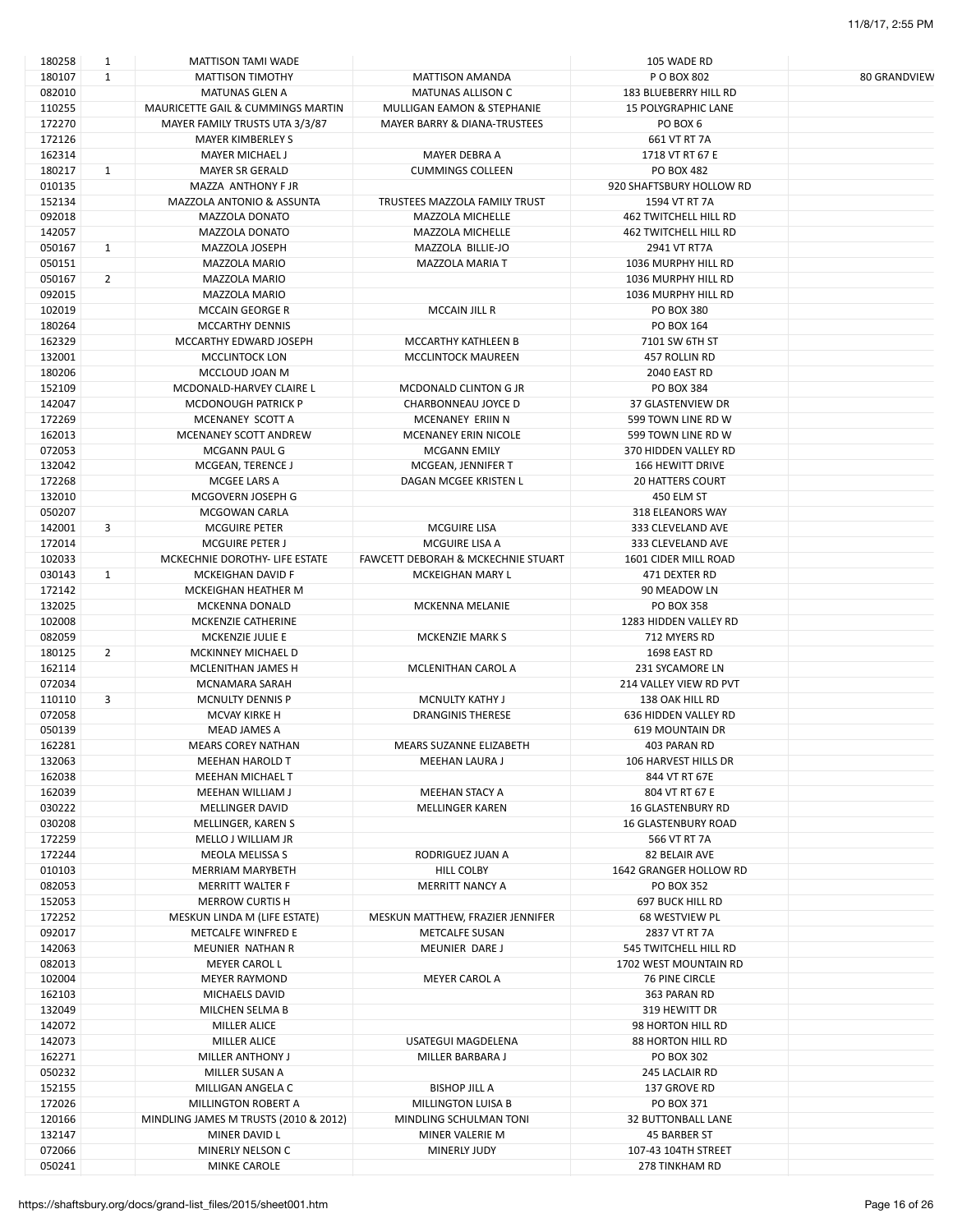| 180258 | 1              | MATTISON TAMI WADE                    |                                    | 105 WADE RD                  |                     |
|--------|----------------|---------------------------------------|------------------------------------|------------------------------|---------------------|
| 180107 | $\mathbf{1}$   | <b>MATTISON TIMOTHY</b>               | <b>MATTISON AMANDA</b>             | P O BOX 802                  | <b>80 GRANDVIEW</b> |
| 082010 |                | <b>MATUNAS GLEN A</b>                 | <b>MATUNAS ALLISON C</b>           | 183 BLUEBERRY HILL RD        |                     |
| 110255 |                | MAURICETTE GAIL & CUMMINGS MARTIN     | MULLIGAN EAMON & STEPHANIE         | <b>15 POLYGRAPHIC LANE</b>   |                     |
|        |                |                                       |                                    |                              |                     |
| 172270 |                | MAYER FAMILY TRUSTS UTA 3/3/87        | MAYER BARRY & DIANA-TRUSTEES       | PO BOX 6                     |                     |
| 172126 |                | <b>MAYER KIMBERLEY S</b>              |                                    | 661 VT RT 7A                 |                     |
| 162314 |                | <b>MAYER MICHAEL J</b>                | MAYER DEBRA A                      | 1718 VT RT 67 E              |                     |
| 180217 | $\mathbf{1}$   | MAYER SR GERALD                       | <b>CUMMINGS COLLEEN</b>            | <b>PO BOX 482</b>            |                     |
| 010135 |                | MAZZA ANTHONY F JR                    |                                    | 920 SHAFTSBURY HOLLOW RD     |                     |
| 152134 |                | MAZZOLA ANTONIO & ASSUNTA             | TRUSTEES MAZZOLA FAMILY TRUST      | 1594 VT RT 7A                |                     |
|        |                |                                       |                                    |                              |                     |
| 092018 |                | <b>MAZZOLA DONATO</b>                 | MAZZOLA MICHELLE                   | <b>462 TWITCHELL HILL RD</b> |                     |
| 142057 |                | <b>MAZZOLA DONATO</b>                 | MAZZOLA MICHELLE                   | <b>462 TWITCHELL HILL RD</b> |                     |
| 050167 | $\mathbf{1}$   | MAZZOLA JOSEPH                        | MAZZOLA BILLIE-JO                  | 2941 VT RT7A                 |                     |
| 050151 |                | MAZZOLA MARIO                         | MAZZOLA MARIA T                    | 1036 MURPHY HILL RD          |                     |
| 050167 | $\overline{2}$ | <b>MAZZOLA MARIO</b>                  |                                    | 1036 MURPHY HILL RD          |                     |
| 092015 |                | MAZZOLA MARIO                         |                                    | 1036 MURPHY HILL RD          |                     |
| 102019 |                | <b>MCCAIN GEORGE R</b>                | MCCAIN JILL R                      | PO BOX 380                   |                     |
| 180264 |                | <b>MCCARTHY DENNIS</b>                |                                    | PO BOX 164                   |                     |
|        |                |                                       |                                    |                              |                     |
| 162329 |                | MCCARTHY EDWARD JOSEPH                | MCCARTHY KATHLEEN B                | 7101 SW 6TH ST               |                     |
| 132001 |                | MCCLINTOCK LON                        | <b>MCCLINTOCK MAUREEN</b>          | 457 ROLLIN RD                |                     |
| 180206 |                | MCCLOUD JOAN M                        |                                    | 2040 EAST RD                 |                     |
| 152109 |                | MCDONALD-HARVEY CLAIRE L              | MCDONALD CLINTON G JR              | PO BOX 384                   |                     |
| 142047 |                | <b>MCDONOUGH PATRICK P</b>            | CHARBONNEAU JOYCE D                | 37 GLASTENVIEW DR            |                     |
| 172269 |                | MCENANEY SCOTT A                      | MCENANEY ERIIN N                   | 599 TOWN LINE RD W           |                     |
|        |                | MCENANEY SCOTT ANDREW                 |                                    | 599 TOWN LINE RD W           |                     |
| 162013 |                |                                       | MCENANEY ERIN NICOLE               |                              |                     |
| 072053 |                | MCGANN PAUL G                         | <b>MCGANN EMILY</b>                | 370 HIDDEN VALLEY RD         |                     |
| 132042 |                | MCGEAN, TERENCE J                     | MCGEAN, JENNIFER T                 | <b>166 HEWITT DRIVE</b>      |                     |
| 172268 |                | MCGEE LARS A                          | DAGAN MCGEE KRISTEN L              | <b>20 HATTERS COURT</b>      |                     |
| 132010 |                | MCGOVERN JOSEPH G                     |                                    | 450 ELM ST                   |                     |
| 050207 |                | MCGOWAN CARLA                         |                                    | 318 ELEANORS WAY             |                     |
| 142001 | 3              | <b>MCGUIRE PETER</b>                  | <b>MCGUIRE LISA</b>                | 333 CLEVELAND AVE            |                     |
| 172014 |                |                                       |                                    |                              |                     |
|        |                | <b>MCGUIRE PETER J</b>                | MCGUIRE LISA A                     | 333 CLEVELAND AVE            |                     |
| 102033 |                | MCKECHNIE DOROTHY- LIFE ESTATE        | FAWCETT DEBORAH & MCKECHNIE STUART | 1601 CIDER MILL ROAD         |                     |
| 030143 | $\mathbf{1}$   | MCKEIGHAN DAVID F                     | MCKEIGHAN MARY L                   | 471 DEXTER RD                |                     |
| 172142 |                | MCKEIGHAN HEATHER M                   |                                    | 90 MEADOW LN                 |                     |
| 132025 |                | MCKENNA DONALD                        | MCKENNA MELANIE                    | <b>PO BOX 358</b>            |                     |
| 102008 |                | MCKENZIE CATHERINE                    |                                    | 1283 HIDDEN VALLEY RD        |                     |
| 082059 |                | MCKENZIE JULIE E                      | <b>MCKENZIE MARK S</b>             | 712 MYERS RD                 |                     |
| 180125 | $\overline{2}$ | MCKINNEY MICHAEL D                    |                                    | 1698 EAST RD                 |                     |
|        |                |                                       |                                    |                              |                     |
| 162114 |                | MCLENITHAN JAMES H                    | MCLENITHAN CAROL A                 | 231 SYCAMORE LN              |                     |
| 072034 |                | <b>MCNAMARA SARAH</b>                 |                                    | 214 VALLEY VIEW RD PVT       |                     |
| 110110 | 3              | <b>MCNULTY DENNIS P</b>               | <b>MCNULTY KATHY J</b>             | 138 OAK HILL RD              |                     |
| 072058 |                | MCVAY KIRKE H                         | <b>DRANGINIS THERESE</b>           | 636 HIDDEN VALLEY RD         |                     |
| 050139 |                | <b>MEAD JAMES A</b>                   |                                    | <b>619 MOUNTAIN DR</b>       |                     |
| 162281 |                | <b>MEARS COREY NATHAN</b>             | MEARS SUZANNE ELIZABETH            | 403 PARAN RD                 |                     |
| 132063 |                | <b>MEEHAN HAROLD T</b>                | MEEHAN LAURA J                     | 106 HARVEST HILLS DR         |                     |
|        |                |                                       |                                    |                              |                     |
| 162038 |                | <b>MEEHAN MICHAEL T</b>               |                                    | 844 VT RT 67E                |                     |
| 162039 |                | MEEHAN WILLIAM J                      | MEEHAN STACY A                     | 804 VT RT 67 E               |                     |
| 030222 |                | MELLINGER DAVID                       | MELLINGER KAREN                    | <b>16 GLASTENBURY RD</b>     |                     |
| 030208 |                | MELLINGER, KAREN S                    |                                    | <b>16 GLASTENBURY ROAD</b>   |                     |
| 172259 |                | MELLO J WILLIAM JR                    |                                    | 566 VT RT 7A                 |                     |
| 172244 |                | MEOLA MELISSA S                       | RODRIGUEZ JUAN A                   | 82 BELAIR AVE                |                     |
| 010103 |                | <b>MERRIAM MARYBETH</b>               | HILL COLBY                         | 1642 GRANGER HOLLOW RD       |                     |
|        |                |                                       |                                    |                              |                     |
| 082053 |                | MERRITT WALTER F                      | MERRITT NANCY A                    | <b>PO BOX 352</b>            |                     |
| 152053 |                | <b>MERROW CURTIS H</b>                |                                    | 697 BUCK HILL RD             |                     |
| 172252 |                | MESKUN LINDA M (LIFE ESTATE)          | MESKUN MATTHEW, FRAZIER JENNIFER   | 68 WESTVIEW PL               |                     |
| 092017 |                | METCALFE WINFRED E                    | <b>METCALFE SUSAN</b>              | 2837 VT RT 7A                |                     |
| 142063 |                | MEUNIER NATHAN R                      | MEUNIER DARE J                     | 545 TWITCHELL HILL RD        |                     |
| 082013 |                | <b>MEYER CAROL L</b>                  |                                    | 1702 WEST MOUNTAIN RD        |                     |
| 102004 |                | <b>MEYER RAYMOND</b>                  | <b>MEYER CAROL A</b>               | <b>76 PINE CIRCLE</b>        |                     |
|        |                |                                       |                                    |                              |                     |
| 162103 |                | MICHAELS DAVID                        |                                    | 363 PARAN RD                 |                     |
| 132049 |                | MILCHEN SELMA B                       |                                    | 319 HEWITT DR                |                     |
| 142072 |                | <b>MILLER ALICE</b>                   |                                    | 98 HORTON HILL RD            |                     |
| 142073 |                | <b>MILLER ALICE</b>                   | USATEGUI MAGDELENA                 | <b>88 HORTON HILL RD</b>     |                     |
| 162271 |                | MILLER ANTHONY J                      | MILLER BARBARA J                   | PO BOX 302                   |                     |
| 050232 |                | MILLER SUSAN A                        |                                    | 245 LACLAIR RD               |                     |
| 152155 |                | MILLIGAN ANGELA C                     | <b>BISHOP JILL A</b>               | 137 GROVE RD                 |                     |
|        |                |                                       |                                    |                              |                     |
| 172026 |                | MILLINGTON ROBERT A                   | MILLINGTON LUISA B                 | PO BOX 371                   |                     |
| 120166 |                | MINDLING JAMES M TRUSTS (2010 & 2012) | MINDLING SCHULMAN TONI             | <b>32 BUTTONBALL LANE</b>    |                     |
| 132147 |                | MINER DAVID L                         | MINER VALERIE M                    | 45 BARBER ST                 |                     |
| 072066 |                | MINERLY NELSON C                      | <b>MINERLY JUDY</b>                | 107-43 104TH STREET          |                     |
| 050241 |                | MINKE CAROLE                          |                                    | <b>278 TINKHAM RD</b>        |                     |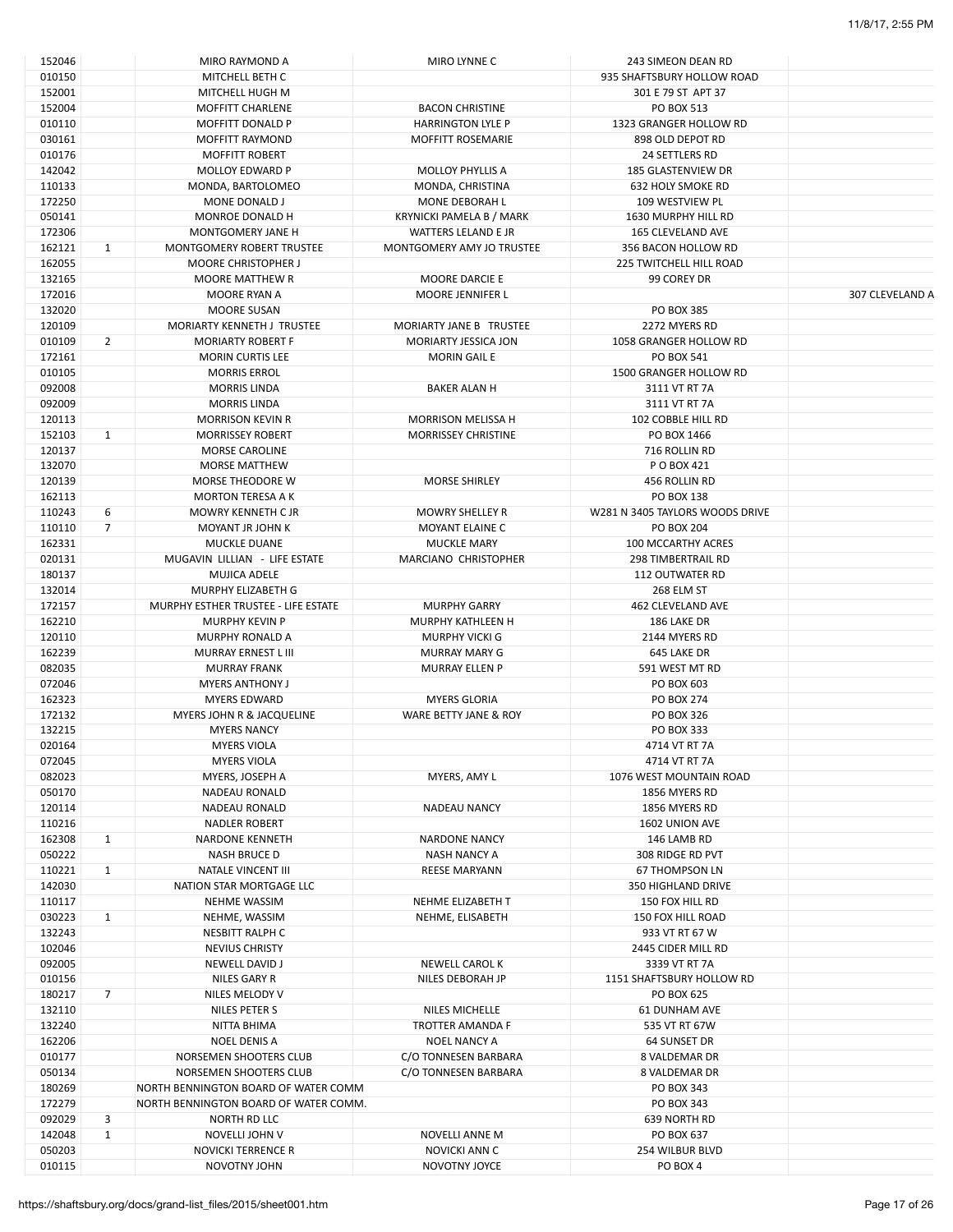| 152046 |                | MIRO RAYMOND A                        | MIRO LYNNE C               | 243 SIMEON DEAN RD              |                 |
|--------|----------------|---------------------------------------|----------------------------|---------------------------------|-----------------|
| 010150 |                | MITCHELL BETH C                       |                            | 935 SHAFTSBURY HOLLOW ROAD      |                 |
| 152001 |                | MITCHELL HUGH M                       |                            | 301 E 79 ST APT 37              |                 |
| 152004 |                | <b>MOFFITT CHARLENE</b>               | <b>BACON CHRISTINE</b>     | PO BOX 513                      |                 |
| 010110 |                | <b>MOFFITT DONALD P</b>               | <b>HARRINGTON LYLE P</b>   | 1323 GRANGER HOLLOW RD          |                 |
| 030161 |                | <b>MOFFITT RAYMOND</b>                | <b>MOFFITT ROSEMARIE</b>   | 898 OLD DEPOT RD                |                 |
| 010176 |                | <b>MOFFITT ROBERT</b>                 |                            | 24 SETTLERS RD                  |                 |
| 142042 |                | MOLLOY EDWARD P                       | <b>MOLLOY PHYLLIS A</b>    | <b>185 GLASTENVIEW DR</b>       |                 |
|        |                |                                       |                            |                                 |                 |
| 110133 |                | MONDA, BARTOLOMEO                     | MONDA, CHRISTINA           | <b>632 HOLY SMOKE RD</b>        |                 |
| 172250 |                | MONE DONALD J                         | MONE DEBORAH L             | 109 WESTVIEW PL                 |                 |
| 050141 |                | MONROE DONALD H                       | KRYNICKI PAMELA B / MARK   | 1630 MURPHY HILL RD             |                 |
| 172306 |                | MONTGOMERY JANE H                     | WATTERS LELAND E JR        | <b>165 CLEVELAND AVE</b>        |                 |
| 162121 | $\mathbf{1}$   | MONTGOMERY ROBERT TRUSTEE             | MONTGOMERY AMY JO TRUSTEE  | 356 BACON HOLLOW RD             |                 |
| 162055 |                | <b>MOORE CHRISTOPHER J</b>            |                            | <b>225 TWITCHELL HILL ROAD</b>  |                 |
| 132165 |                | <b>MOORE MATTHEW R</b>                | MOORE DARCIE E             | 99 COREY DR                     |                 |
| 172016 |                | MOORE RYAN A                          | MOORE JENNIFER L           |                                 | 307 CLEVELAND A |
| 132020 |                | <b>MOORE SUSAN</b>                    |                            | <b>PO BOX 385</b>               |                 |
| 120109 |                | MORIARTY KENNETH J TRUSTEE            | MORIARTY JANE B TRUSTEE    | 2272 MYERS RD                   |                 |
| 010109 | $\overline{2}$ | <b>MORIARTY ROBERT F</b>              | MORIARTY JESSICA JON       | 1058 GRANGER HOLLOW RD          |                 |
| 172161 |                | <b>MORIN CURTIS LEE</b>               | <b>MORIN GAIL E</b>        | PO BOX 541                      |                 |
|        |                |                                       |                            |                                 |                 |
| 010105 |                | <b>MORRIS ERROL</b>                   |                            | 1500 GRANGER HOLLOW RD          |                 |
| 092008 |                | <b>MORRIS LINDA</b>                   | <b>BAKER ALAN H</b>        | 3111 VT RT 7A                   |                 |
| 092009 |                | <b>MORRIS LINDA</b>                   |                            | 3111 VT RT 7A                   |                 |
| 120113 |                | <b>MORRISON KEVIN R</b>               | MORRISON MELISSA H         | 102 COBBLE HILL RD              |                 |
| 152103 | $\mathbf{1}$   | <b>MORRISSEY ROBERT</b>               | <b>MORRISSEY CHRISTINE</b> | PO BOX 1466                     |                 |
| 120137 |                | <b>MORSE CAROLINE</b>                 |                            | 716 ROLLIN RD                   |                 |
| 132070 |                | MORSE MATTHEW                         |                            | P O BOX 421                     |                 |
| 120139 |                | MORSE THEODORE W                      | <b>MORSE SHIRLEY</b>       | 456 ROLLIN RD                   |                 |
| 162113 |                | <b>MORTON TERESA A K</b>              |                            | <b>PO BOX 138</b>               |                 |
| 110243 | 6              | MOWRY KENNETH C JR                    | <b>MOWRY SHELLEY R</b>     | W281 N 3405 TAYLORS WOODS DRIVE |                 |
|        | $\overline{7}$ |                                       |                            |                                 |                 |
| 110110 |                | MOYANT JR JOHN K                      | MOYANT ELAINE C            | <b>PO BOX 204</b>               |                 |
| 162331 |                | <b>MUCKLE DUANE</b>                   | <b>MUCKLE MARY</b>         | 100 MCCARTHY ACRES              |                 |
| 020131 |                | MUGAVIN LILLIAN - LIFE ESTATE         | MARCIANO CHRISTOPHER       | 298 TIMBERTRAIL RD              |                 |
| 180137 |                | MUJICA ADELE                          |                            | 112 OUTWATER RD                 |                 |
| 132014 |                | MURPHY ELIZABETH G                    |                            | 268 ELM ST                      |                 |
| 172157 |                | MURPHY ESTHER TRUSTEE - LIFE ESTATE   | <b>MURPHY GARRY</b>        | 462 CLEVELAND AVE               |                 |
| 162210 |                | <b>MURPHY KEVIN P</b>                 | MURPHY KATHLEEN H          | 186 LAKE DR                     |                 |
| 120110 |                | <b>MURPHY RONALD A</b>                | <b>MURPHY VICKI G</b>      | 2144 MYERS RD                   |                 |
| 162239 |                | MURRAY ERNEST L III                   | <b>MURRAY MARY G</b>       | 645 LAKE DR                     |                 |
| 082035 |                | <b>MURRAY FRANK</b>                   | <b>MURRAY ELLEN P</b>      | 591 WEST MT RD                  |                 |
| 072046 |                | <b>MYERS ANTHONY J</b>                |                            | PO BOX 603                      |                 |
|        |                | <b>MYERS EDWARD</b>                   |                            | <b>PO BOX 274</b>               |                 |
| 162323 |                |                                       | <b>MYERS GLORIA</b>        |                                 |                 |
| 172132 |                | MYERS JOHN R & JACQUELINE             | WARE BETTY JANE & ROY      | PO BOX 326                      |                 |
| 132215 |                | <b>MYERS NANCY</b>                    |                            | PO BOX 333                      |                 |
| 020164 |                | <b>MYERS VIOLA</b>                    |                            | 4714 VT RT 7A                   |                 |
| 072045 |                | <b>MYERS VIOLA</b>                    |                            | 4714 VT RT 7A                   |                 |
| 082023 |                | MYERS, JOSEPH A                       | MYERS, AMY L               | 1076 WEST MOUNTAIN ROAD         |                 |
| 050170 |                | <b>NADEAU RONALD</b>                  |                            | 1856 MYERS RD                   |                 |
| 120114 |                | <b>NADEAU RONALD</b>                  | <b>NADEAU NANCY</b>        | 1856 MYERS RD                   |                 |
| 110216 |                | <b>NADLER ROBERT</b>                  |                            | 1602 UNION AVE                  |                 |
| 162308 | $\mathbf{1}$   | <b>NARDONE KENNETH</b>                | <b>NARDONE NANCY</b>       | 146 LAMB RD                     |                 |
| 050222 |                | <b>NASH BRUCE D</b>                   | NASH NANCY A               | 308 RIDGE RD PVT                |                 |
|        |                |                                       |                            |                                 |                 |
| 110221 | $\mathbf{1}$   | NATALE VINCENT III                    | <b>REESE MARYANN</b>       | 67 THOMPSON LN                  |                 |
| 142030 |                | NATION STAR MORTGAGE LLC              |                            | <b>350 HIGHLAND DRIVE</b>       |                 |
| 110117 |                | <b>NEHME WASSIM</b>                   | NEHME ELIZABETH T          | 150 FOX HILL RD                 |                 |
| 030223 | $\mathbf{1}$   | NEHME, WASSIM                         | NEHME, ELISABETH           | 150 FOX HILL ROAD               |                 |
| 132243 |                | <b>NESBITT RALPH C</b>                |                            | 933 VT RT 67 W                  |                 |
| 102046 |                | <b>NEVIUS CHRISTY</b>                 |                            | 2445 CIDER MILL RD              |                 |
| 092005 |                | NEWELL DAVID J                        | NEWELL CAROL K             | 3339 VT RT 7A                   |                 |
| 010156 |                | NILES GARY R                          | NILES DEBORAH JP           | 1151 SHAFTSBURY HOLLOW RD       |                 |
| 180217 | $\overline{7}$ | NILES MELODY V                        |                            | PO BOX 625                      |                 |
| 132110 |                | NILES PETER S                         | NILES MICHELLE             | <b>61 DUNHAM AVE</b>            |                 |
| 132240 |                |                                       | TROTTER AMANDA F           | 535 VT RT 67W                   |                 |
|        |                | NITTA BHIMA                           |                            |                                 |                 |
| 162206 |                | NOEL DENIS A                          | <b>NOEL NANCY A</b>        | 64 SUNSET DR                    |                 |
| 010177 |                | NORSEMEN SHOOTERS CLUB                | C/O TONNESEN BARBARA       | 8 VALDEMAR DR                   |                 |
| 050134 |                | NORSEMEN SHOOTERS CLUB                | C/O TONNESEN BARBARA       | 8 VALDEMAR DR                   |                 |
| 180269 |                | NORTH BENNINGTON BOARD OF WATER COMM  |                            | PO BOX 343                      |                 |
| 172279 |                | NORTH BENNINGTON BOARD OF WATER COMM. |                            | PO BOX 343                      |                 |
| 092029 | 3              | NORTH RD LLC                          |                            | 639 NORTH RD                    |                 |
| 142048 | $\mathbf{1}$   | NOVELLI JOHN V                        | NOVELLI ANNE M             | PO BOX 637                      |                 |
| 050203 |                | <b>NOVICKI TERRENCE R</b>             | NOVICKI ANN C              | 254 WILBUR BLVD                 |                 |
| 010115 |                | NOVOTNY JOHN                          | NOVOTNY JOYCE              | PO BOX 4                        |                 |
|        |                |                                       |                            |                                 |                 |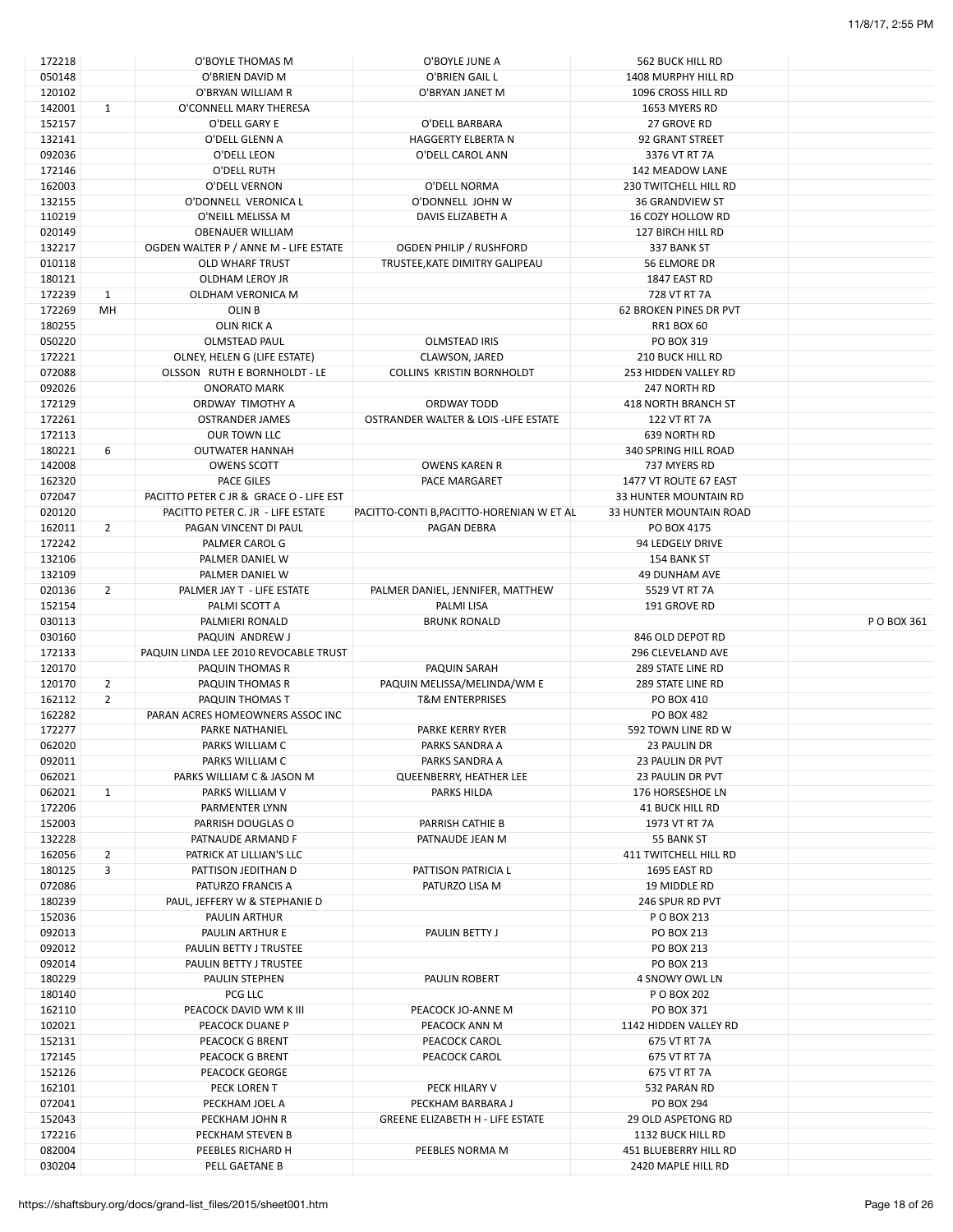| 172218 |                | O'BOYLE THOMAS M                        | O'BOYLE JUNE A                            | <b>562 BUCK HILL RD</b>       |             |
|--------|----------------|-----------------------------------------|-------------------------------------------|-------------------------------|-------------|
| 050148 |                | O'BRIEN DAVID M                         | O'BRIEN GAIL L                            | 1408 MURPHY HILL RD           |             |
| 120102 |                | O'BRYAN WILLIAM R                       | O'BRYAN JANET M                           | 1096 CROSS HILL RD            |             |
| 142001 | $\mathbf{1}$   | O'CONNELL MARY THERESA                  |                                           | 1653 MYERS RD                 |             |
|        |                |                                         |                                           |                               |             |
| 152157 |                | O'DELL GARY E                           | O'DELL BARBARA                            | 27 GROVE RD                   |             |
| 132141 |                | O'DELL GLENN A                          | HAGGERTY ELBERTA N                        | 92 GRANT STREET               |             |
| 092036 |                | O'DELL LEON                             | O'DELL CAROL ANN                          | 3376 VT RT 7A                 |             |
| 172146 |                | O'DELL RUTH                             |                                           | 142 MEADOW LANE               |             |
| 162003 |                | O'DELL VERNON                           | O'DELL NORMA                              | 230 TWITCHELL HILL RD         |             |
| 132155 |                | O'DONNELL VERONICA L                    | O'DONNELL JOHN W                          | <b>36 GRANDVIEW ST</b>        |             |
| 110219 |                | O'NEILL MELISSA M                       | DAVIS ELIZABETH A                         | 16 COZY HOLLOW RD             |             |
| 020149 |                | <b>OBENAUER WILLIAM</b>                 |                                           | 127 BIRCH HILL RD             |             |
|        |                |                                         |                                           |                               |             |
| 132217 |                | OGDEN WALTER P / ANNE M - LIFE ESTATE   | <b>OGDEN PHILIP / RUSHFORD</b>            | 337 BANK ST                   |             |
| 010118 |                | <b>OLD WHARF TRUST</b>                  | TRUSTEE, KATE DIMITRY GALIPEAU            | 56 ELMORE DR                  |             |
| 180121 |                | OLDHAM LEROY JR                         |                                           | 1847 EAST RD                  |             |
| 172239 | $\mathbf{1}$   | OLDHAM VERONICA M                       |                                           | 728 VT RT 7A                  |             |
| 172269 | MH             | OLIN <sub>B</sub>                       |                                           | <b>62 BROKEN PINES DR PVT</b> |             |
| 180255 |                | <b>OLIN RICK A</b>                      |                                           | <b>RR1 BOX 60</b>             |             |
| 050220 |                | <b>OLMSTEAD PAUL</b>                    | <b>OLMSTEAD IRIS</b>                      | PO BOX 319                    |             |
| 172221 |                | OLNEY, HELEN G (LIFE ESTATE)            | CLAWSON, JARED                            | 210 BUCK HILL RD              |             |
|        |                |                                         |                                           |                               |             |
| 072088 |                | OLSSON RUTH E BORNHOLDT - LE            | COLLINS KRISTIN BORNHOLDT                 | 253 HIDDEN VALLEY RD          |             |
| 092026 |                | <b>ONORATO MARK</b>                     |                                           | 247 NORTH RD                  |             |
| 172129 |                | ORDWAY TIMOTHY A                        | ORDWAY TODD                               | 418 NORTH BRANCH ST           |             |
| 172261 |                | <b>OSTRANDER JAMES</b>                  | OSTRANDER WALTER & LOIS -LIFE ESTATE      | 122 VT RT 7A                  |             |
| 172113 |                | OUR TOWN LLC                            |                                           | 639 NORTH RD                  |             |
| 180221 | 6              | <b>OUTWATER HANNAH</b>                  |                                           | <b>340 SPRING HILL ROAD</b>   |             |
| 142008 |                | <b>OWENS SCOTT</b>                      | <b>OWENS KAREN R</b>                      | 737 MYERS RD                  |             |
|        |                | <b>PACE GILES</b>                       |                                           | 1477 VT ROUTE 67 EAST         |             |
| 162320 |                |                                         | PACE MARGARET                             |                               |             |
| 072047 |                | PACITTO PETER C JR & GRACE O - LIFE EST |                                           | 33 HUNTER MOUNTAIN RD         |             |
| 020120 |                | PACITTO PETER C. JR - LIFE ESTATE       | PACITTO-CONTI B, PACITTO-HORENIAN W ET AL | 33 HUNTER MOUNTAIN ROAD       |             |
| 162011 | 2              | PAGAN VINCENT DI PAUL                   | PAGAN DEBRA                               | PO BOX 4175                   |             |
| 172242 |                | PALMER CAROL G                          |                                           | 94 LEDGELY DRIVE              |             |
| 132106 |                | PALMER DANIEL W                         |                                           | 154 BANK ST                   |             |
| 132109 |                | PALMER DANIEL W                         |                                           | 49 DUNHAM AVE                 |             |
| 020136 | 2              | PALMER JAY T - LIFE ESTATE              |                                           | 5529 VT RT 7A                 |             |
|        |                | PALMI SCOTT A                           | PALMER DANIEL, JENNIFER, MATTHEW          |                               |             |
| 152154 |                |                                         | PALMI LISA                                | 191 GROVE RD                  |             |
|        |                |                                         |                                           |                               |             |
| 030113 |                | PALMIERI RONALD                         | <b>BRUNK RONALD</b>                       |                               | P O BOX 361 |
| 030160 |                | PAQUIN ANDREW J                         |                                           | 846 OLD DEPOT RD              |             |
| 172133 |                | PAQUIN LINDA LEE 2010 REVOCABLE TRUST   |                                           | 296 CLEVELAND AVE             |             |
| 120170 |                | PAQUIN THOMAS R                         | PAQUIN SARAH                              | 289 STATE LINE RD             |             |
|        |                |                                         |                                           |                               |             |
| 120170 | $\overline{2}$ | PAQUIN THOMAS R                         | PAQUIN MELISSA/MELINDA/WM E               | <b>289 STATE LINE RD</b>      |             |
| 162112 | $\overline{2}$ | PAQUIN THOMAS T                         | <b>T&amp;M ENTERPRISES</b>                | PO BOX 410                    |             |
| 162282 |                | PARAN ACRES HOMEOWNERS ASSOC INC        |                                           | <b>PO BOX 482</b>             |             |
| 172277 |                | PARKE NATHANIEL                         | PARKE KERRY RYER                          | 592 TOWN LINE RD W            |             |
| 062020 |                | PARKS WILLIAM C                         | PARKS SANDRA A                            | 23 PAULIN DR                  |             |
| 092011 |                | PARKS WILLIAM C                         | PARKS SANDRA A                            | 23 PAULIN DR PVT              |             |
| 062021 |                | PARKS WILLIAM C & JASON M               | QUEENBERRY, HEATHER LEE                   | 23 PAULIN DR PVT              |             |
| 062021 | 1              | PARKS WILLIAM V                         | PARKS HILDA                               | 176 HORSESHOE LN              |             |
| 172206 |                | PARMENTER LYNN                          |                                           | <b>41 BUCK HILL RD</b>        |             |
| 152003 |                | PARRISH DOUGLAS O                       | PARRISH CATHIE B                          | 1973 VT RT 7A                 |             |
|        |                |                                         |                                           |                               |             |
| 132228 |                | PATNAUDE ARMAND F                       | PATNAUDE JEAN M                           | 55 BANK ST                    |             |
| 162056 | 2              | PATRICK AT LILLIAN'S LLC                |                                           | 411 TWITCHELL HILL RD         |             |
| 180125 | 3              | PATTISON JEDITHAN D                     | PATTISON PATRICIA L                       | 1695 EAST RD                  |             |
| 072086 |                | PATURZO FRANCIS A                       | PATURZO LISA M                            | 19 MIDDLE RD                  |             |
| 180239 |                | PAUL, JEFFERY W & STEPHANIE D           |                                           | 246 SPUR RD PVT               |             |
| 152036 |                | PAULIN ARTHUR                           |                                           | P O BOX 213                   |             |
| 092013 |                | PAULIN ARTHUR E                         | PAULIN BETTY J                            | PO BOX 213                    |             |
|        |                |                                         |                                           |                               |             |
| 092012 |                | PAULIN BETTY J TRUSTEE                  |                                           | PO BOX 213                    |             |
| 092014 |                | PAULIN BETTY J TRUSTEE                  |                                           | PO BOX 213                    |             |
| 180229 |                | PAULIN STEPHEN                          | PAULIN ROBERT                             | 4 SNOWY OWL LN                |             |
| 180140 |                | PCG LLC                                 |                                           | P O BOX 202                   |             |
| 162110 |                | PEACOCK DAVID WM K III                  | PEACOCK JO-ANNE M                         | PO BOX 371                    |             |
| 102021 |                | PEACOCK DUANE P                         | PEACOCK ANN M                             | 1142 HIDDEN VALLEY RD         |             |
| 152131 |                | PEACOCK G BRENT                         | PEACOCK CAROL                             | 675 VT RT 7A                  |             |
| 172145 |                | PEACOCK G BRENT                         | PEACOCK CAROL                             | 675 VT RT 7A                  |             |
|        |                |                                         |                                           |                               |             |
| 152126 |                | PEACOCK GEORGE                          |                                           | 675 VT RT 7A                  |             |
| 162101 |                | PECK LOREN T                            | PECK HILARY V                             | 532 PARAN RD                  |             |
| 072041 |                | PECKHAM JOEL A                          | PECKHAM BARBARA J                         | PO BOX 294                    |             |
| 152043 |                | PECKHAM JOHN R                          | <b>GREENE ELIZABETH H - LIFE ESTATE</b>   | 29 OLD ASPETONG RD            |             |
| 172216 |                | PECKHAM STEVEN B                        |                                           | 1132 BUCK HILL RD             |             |
| 082004 |                | PEEBLES RICHARD H                       | PEEBLES NORMA M                           | 451 BLUEBERRY HILL RD         |             |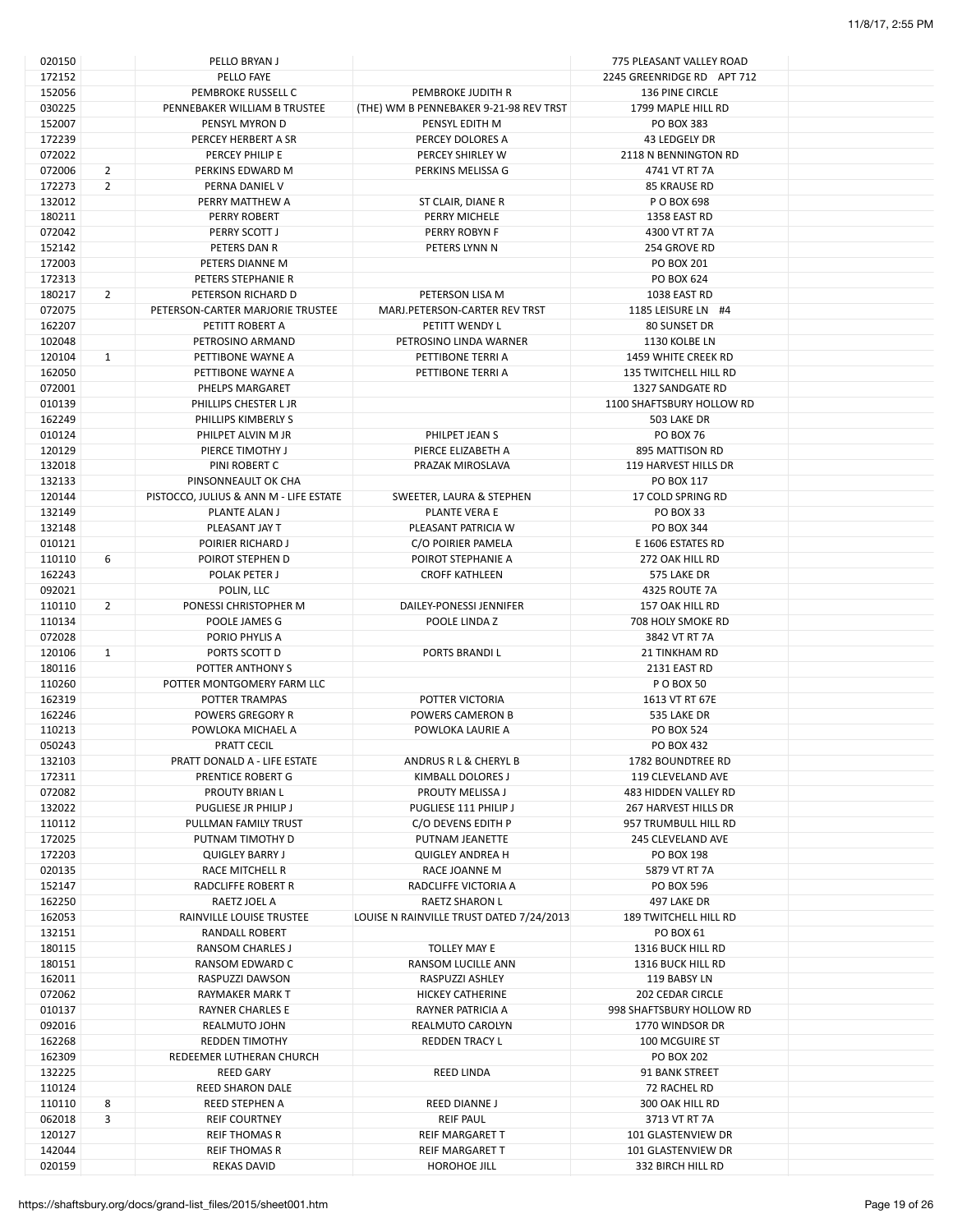| 020150 |                | PELLO BRYAN J                          |                                          | 775 PLEASANT VALLEY ROAD     |  |
|--------|----------------|----------------------------------------|------------------------------------------|------------------------------|--|
| 172152 |                | PELLO FAYE                             |                                          | 2245 GREENRIDGE RD APT 712   |  |
| 152056 |                | PEMBROKE RUSSELL C                     | PEMBROKE JUDITH R                        | 136 PINE CIRCLE              |  |
| 030225 |                | PENNEBAKER WILLIAM B TRUSTEE           | (THE) WM B PENNEBAKER 9-21-98 REV TRST   | 1799 MAPLE HILL RD           |  |
|        |                |                                        |                                          |                              |  |
| 152007 |                | PENSYL MYRON D                         | PENSYL EDITH M                           | PO BOX 383                   |  |
| 172239 |                | PERCEY HERBERT A SR                    | PERCEY DOLORES A                         | 43 LEDGELY DR                |  |
| 072022 |                | PERCEY PHILIP E                        | PERCEY SHIRLEY W                         | 2118 N BENNINGTON RD         |  |
| 072006 | $\overline{2}$ | PERKINS EDWARD M                       | PERKINS MELISSA G                        | 4741 VT RT 7A                |  |
| 172273 | $\overline{2}$ | PERNA DANIEL V                         |                                          | 85 KRAUSE RD                 |  |
| 132012 |                | PERRY MATTHEW A                        |                                          | P O BOX 698                  |  |
|        |                |                                        | ST CLAIR, DIANE R                        |                              |  |
| 180211 |                | <b>PERRY ROBERT</b>                    | PERRY MICHELE                            | 1358 EAST RD                 |  |
| 072042 |                | PERRY SCOTT J                          | PERRY ROBYN F                            | 4300 VT RT 7A                |  |
| 152142 |                | PETERS DAN R                           | PETERS LYNN N                            | 254 GROVE RD                 |  |
| 172003 |                | PETERS DIANNE M                        |                                          | <b>PO BOX 201</b>            |  |
| 172313 |                | PETERS STEPHANIE R                     |                                          | PO BOX 624                   |  |
|        |                |                                        |                                          |                              |  |
| 180217 | $\overline{2}$ | PETERSON RICHARD D                     | PETERSON LISA M                          | 1038 EAST RD                 |  |
| 072075 |                | PETERSON-CARTER MARJORIE TRUSTEE       | MARJ.PETERSON-CARTER REV TRST            | 1185 LEISURE LN #4           |  |
| 162207 |                | PETITT ROBERT A                        | PETITT WENDY L                           | 80 SUNSET DR                 |  |
| 102048 |                | PETROSINO ARMAND                       | PETROSINO LINDA WARNER                   | 1130 KOLBE LN                |  |
| 120104 | $\mathbf{1}$   | PETTIBONE WAYNE A                      | PETTIBONE TERRI A                        | 1459 WHITE CREEK RD          |  |
| 162050 |                | PETTIBONE WAYNE A                      | PETTIBONE TERRI A                        | <b>135 TWITCHELL HILL RD</b> |  |
|        |                |                                        |                                          |                              |  |
| 072001 |                | PHELPS MARGARET                        |                                          | 1327 SANDGATE RD             |  |
| 010139 |                | PHILLIPS CHESTER L JR                  |                                          | 1100 SHAFTSBURY HOLLOW RD    |  |
| 162249 |                | PHILLIPS KIMBERLY S                    |                                          | 503 LAKE DR                  |  |
| 010124 |                | PHILPET ALVIN M JR                     | PHILPET JEAN S                           | <b>PO BOX 76</b>             |  |
| 120129 |                | PIERCE TIMOTHY J                       | PIERCE ELIZABETH A                       | 895 MATTISON RD              |  |
| 132018 |                | PINI ROBERT C                          | PRAZAK MIROSLAVA                         | 119 HARVEST HILLS DR         |  |
|        |                |                                        |                                          |                              |  |
| 132133 |                | PINSONNEAULT OK CHA                    |                                          | PO BOX 117                   |  |
| 120144 |                | PISTOCCO, JULIUS & ANN M - LIFE ESTATE | SWEETER, LAURA & STEPHEN                 | 17 COLD SPRING RD            |  |
| 132149 |                | PLANTE ALAN J                          | PLANTE VERA E                            | PO BOX 33                    |  |
| 132148 |                | PLEASANT JAY T                         | PLEASANT PATRICIA W                      | PO BOX 344                   |  |
| 010121 |                | POIRIER RICHARD J                      | C/O POIRIER PAMELA                       | E 1606 ESTATES RD            |  |
|        |                |                                        |                                          |                              |  |
| 110110 | 6              | POIROT STEPHEN D                       | POIROT STEPHANIE A                       | 272 OAK HILL RD              |  |
| 162243 |                | POLAK PETER J                          | <b>CROFF KATHLEEN</b>                    | 575 LAKE DR                  |  |
| 092021 |                | POLIN, LLC                             |                                          | 4325 ROUTE 7A                |  |
| 110110 | $\overline{2}$ | PONESSI CHRISTOPHER M                  | DAILEY-PONESSI JENNIFER                  | 157 OAK HILL RD              |  |
| 110134 |                | POOLE JAMES G                          | POOLE LINDA Z                            | 708 HOLY SMOKE RD            |  |
|        |                |                                        |                                          |                              |  |
| 072028 |                | PORIO PHYLIS A                         |                                          | 3842 VT RT 7A                |  |
| 120106 | 1              | PORTS SCOTT D                          | PORTS BRANDIL                            | <b>21 TINKHAM RD</b>         |  |
| 180116 |                | POTTER ANTHONY S                       |                                          | 2131 EAST RD                 |  |
| 110260 |                | POTTER MONTGOMERY FARM LLC             |                                          | P O BOX 50                   |  |
| 162319 |                | POTTER TRAMPAS                         | POTTER VICTORIA                          | 1613 VT RT 67E               |  |
|        |                |                                        |                                          |                              |  |
| 162246 |                | POWERS GREGORY R                       | POWERS CAMERON B                         | 535 LAKE DR                  |  |
| 110213 |                | POWLOKA MICHAEL A                      | POWLOKA LAURIE A                         | <b>PO BOX 524</b>            |  |
| 050243 |                | PRATT CECIL                            |                                          | PO BOX 432                   |  |
| 132103 |                | PRATT DONALD A - LIFE ESTATE           | ANDRUS R L & CHERYL B                    | 1782 BOUNDTREE RD            |  |
| 172311 |                | PRENTICE ROBERT G                      | KIMBALL DOLORES J                        | 119 CLEVELAND AVE            |  |
|        |                |                                        | PROUTY MELISSA J                         |                              |  |
| 072082 |                | PROUTY BRIAN L                         |                                          | 483 HIDDEN VALLEY RD         |  |
| 132022 |                | PUGLIESE JR PHILIP J                   | PUGLIESE 111 PHILIP J                    | 267 HARVEST HILLS DR         |  |
| 110112 |                | PULLMAN FAMILY TRUST                   | C/O DEVENS EDITH P                       | 957 TRUMBULL HILL RD         |  |
| 172025 |                | PUTNAM TIMOTHY D                       | PUTNAM JEANETTE                          | 245 CLEVELAND AVE            |  |
| 172203 |                | <b>QUIGLEY BARRY J</b>                 | <b>QUIGLEY ANDREA H</b>                  | PO BOX 198                   |  |
| 020135 |                | RACE MITCHELL R                        | RACE JOANNE M                            | 5879 VT RT 7A                |  |
|        |                |                                        | RADCLIFFE VICTORIA A                     |                              |  |
| 152147 |                | RADCLIFFE ROBERT R                     |                                          | PO BOX 596                   |  |
| 162250 |                | RAETZ JOEL A                           | RAETZ SHARON L                           | 497 LAKE DR                  |  |
| 162053 |                | RAINVILLE LOUISE TRUSTEE               | LOUISE N RAINVILLE TRUST DATED 7/24/2013 | <b>189 TWITCHELL HILL RD</b> |  |
| 132151 |                | RANDALL ROBERT                         |                                          | PO BOX 61                    |  |
| 180115 |                | <b>RANSOM CHARLES J</b>                | TOLLEY MAY E                             | 1316 BUCK HILL RD            |  |
| 180151 |                | RANSOM EDWARD C                        | RANSOM LUCILLE ANN                       | 1316 BUCK HILL RD            |  |
|        |                |                                        |                                          |                              |  |
| 162011 |                | RASPUZZI DAWSON                        | RASPUZZI ASHLEY                          | 119 BABSY LN                 |  |
| 072062 |                | RAYMAKER MARK T                        | <b>HICKEY CATHERINE</b>                  | 202 CEDAR CIRCLE             |  |
| 010137 |                | <b>RAYNER CHARLES E</b>                | RAYNER PATRICIA A                        | 998 SHAFTSBURY HOLLOW RD     |  |
| 092016 |                | REALMUTO JOHN                          | REALMUTO CAROLYN                         | 1770 WINDSOR DR              |  |
| 162268 |                | <b>REDDEN TIMOTHY</b>                  | <b>REDDEN TRACY L</b>                    | 100 MCGUIRE ST               |  |
|        |                |                                        |                                          |                              |  |
| 162309 |                | REDEEMER LUTHERAN CHURCH               |                                          | <b>PO BOX 202</b>            |  |
| 132225 |                | <b>REED GARY</b>                       | REED LINDA                               | 91 BANK STREET               |  |
| 110124 |                | REED SHARON DALE                       |                                          | 72 RACHEL RD                 |  |
| 110110 | 8              | <b>REED STEPHEN A</b>                  | <b>REED DIANNE J</b>                     | 300 OAK HILL RD              |  |
| 062018 | 3              | <b>REIF COURTNEY</b>                   | <b>REIF PAUL</b>                         | 3713 VT RT 7A                |  |
|        |                |                                        |                                          |                              |  |
| 120127 |                | <b>REIF THOMAS R</b>                   | REIF MARGARET T                          | 101 GLASTENVIEW DR           |  |
| 142044 |                | <b>REIF THOMAS R</b>                   | REIF MARGARET T                          | 101 GLASTENVIEW DR           |  |
| 020159 |                | <b>REKAS DAVID</b>                     | HOROHOE JILL                             | 332 BIRCH HILL RD            |  |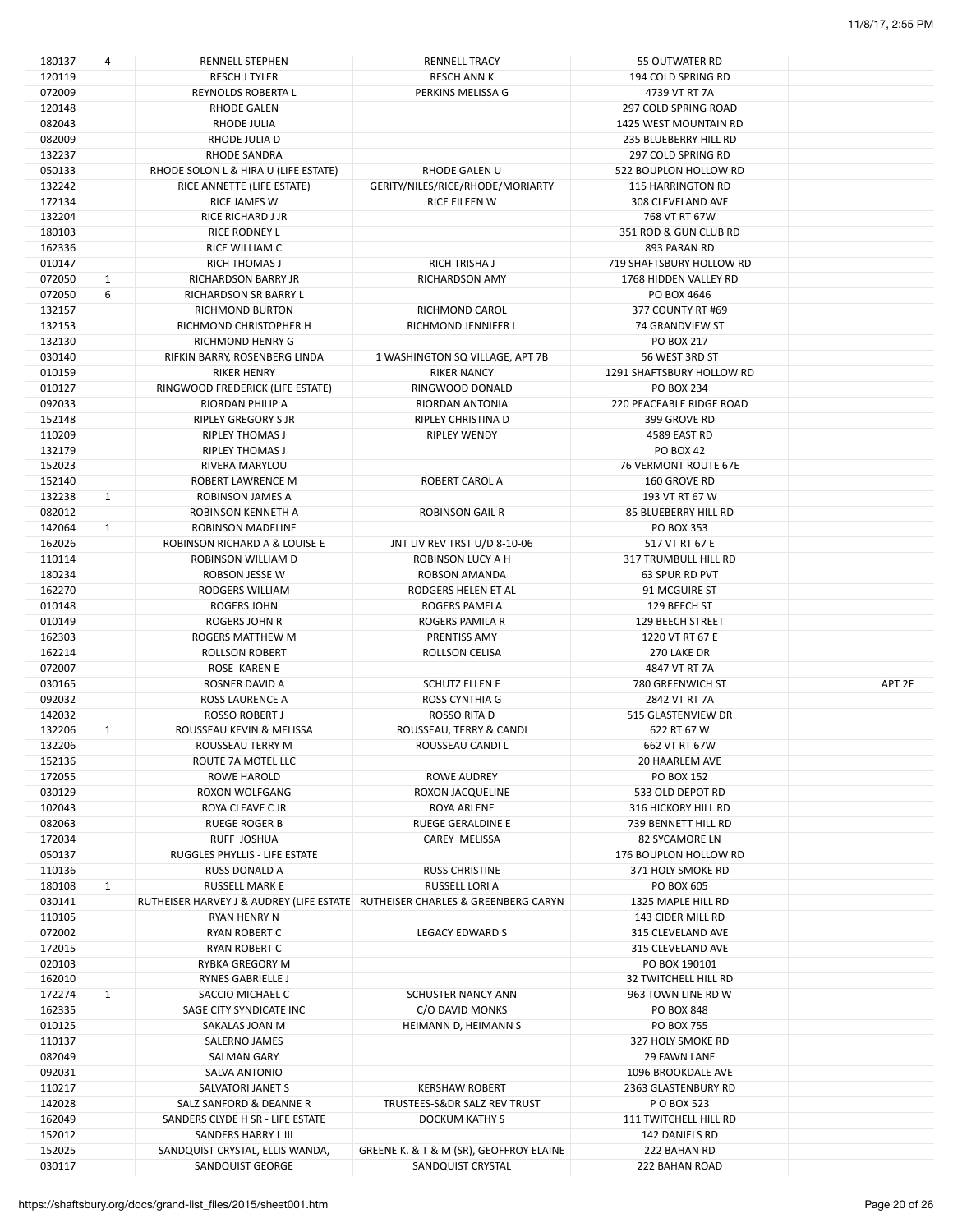| 180137 | 4            | RENNELL STEPHEN                                                                | <b>RENNELL TRACY</b>                    | 55 OUTWATER RD              |                   |
|--------|--------------|--------------------------------------------------------------------------------|-----------------------------------------|-----------------------------|-------------------|
| 120119 |              | <b>RESCH J TYLER</b>                                                           | <b>RESCH ANN K</b>                      | 194 COLD SPRING RD          |                   |
| 072009 |              | REYNOLDS ROBERTA L                                                             | PERKINS MELISSA G                       | 4739 VT RT 7A               |                   |
| 120148 |              | <b>RHODE GALEN</b>                                                             |                                         | 297 COLD SPRING ROAD        |                   |
|        |              |                                                                                |                                         |                             |                   |
| 082043 |              | RHODE JULIA                                                                    |                                         | 1425 WEST MOUNTAIN RD       |                   |
| 082009 |              | RHODE JULIA D                                                                  |                                         | 235 BLUEBERRY HILL RD       |                   |
| 132237 |              | RHODE SANDRA                                                                   |                                         | 297 COLD SPRING RD          |                   |
| 050133 |              | RHODE SOLON L & HIRA U (LIFE ESTATE)                                           | RHODE GALEN U                           | 522 BOUPLON HOLLOW RD       |                   |
| 132242 |              | RICE ANNETTE (LIFE ESTATE)                                                     | GERITY/NILES/RICE/RHODE/MORIARTY        | <b>115 HARRINGTON RD</b>    |                   |
| 172134 |              | RICE JAMES W                                                                   | RICE EILEEN W                           | 308 CLEVELAND AVE           |                   |
|        |              |                                                                                |                                         |                             |                   |
| 132204 |              | RICE RICHARD J JR                                                              |                                         | 768 VT RT 67W               |                   |
| 180103 |              | RICE RODNEY L                                                                  |                                         | 351 ROD & GUN CLUB RD       |                   |
| 162336 |              | RICE WILLIAM C                                                                 |                                         | 893 PARAN RD                |                   |
| 010147 |              | <b>RICH THOMAS J</b>                                                           | <b>RICH TRISHA J</b>                    | 719 SHAFTSBURY HOLLOW RD    |                   |
| 072050 | $\mathbf{1}$ | <b>RICHARDSON BARRY JR</b>                                                     | <b>RICHARDSON AMY</b>                   | 1768 HIDDEN VALLEY RD       |                   |
|        |              |                                                                                |                                         |                             |                   |
| 072050 | 6            | RICHARDSON SR BARRY L                                                          |                                         | PO BOX 4646                 |                   |
| 132157 |              | <b>RICHMOND BURTON</b>                                                         | RICHMOND CAROL                          | 377 COUNTY RT #69           |                   |
| 132153 |              | RICHMOND CHRISTOPHER H                                                         | RICHMOND JENNIFER L                     | 74 GRANDVIEW ST             |                   |
| 132130 |              | RICHMOND HENRY G                                                               |                                         | PO BOX 217                  |                   |
| 030140 |              | RIFKIN BARRY, ROSENBERG LINDA                                                  | 1 WASHINGTON SQ VILLAGE, APT 7B         | 56 WEST 3RD ST              |                   |
| 010159 |              | <b>RIKER HENRY</b>                                                             | <b>RIKER NANCY</b>                      | 1291 SHAFTSBURY HOLLOW RD   |                   |
|        |              |                                                                                |                                         |                             |                   |
| 010127 |              | RINGWOOD FREDERICK (LIFE ESTATE)                                               | RINGWOOD DONALD                         | <b>PO BOX 234</b>           |                   |
| 092033 |              | RIORDAN PHILIP A                                                               | <b>RIORDAN ANTONIA</b>                  | 220 PEACEABLE RIDGE ROAD    |                   |
| 152148 |              | RIPLEY GREGORY S JR                                                            | RIPLEY CHRISTINA D                      | 399 GROVE RD                |                   |
| 110209 |              | <b>RIPLEY THOMAS J</b>                                                         | RIPLEY WENDY                            | 4589 EAST RD                |                   |
| 132179 |              | <b>RIPLEY THOMAS J</b>                                                         |                                         | <b>PO BOX 42</b>            |                   |
|        |              |                                                                                |                                         |                             |                   |
| 152023 |              | RIVERA MARYLOU                                                                 |                                         | <b>76 VERMONT ROUTE 67E</b> |                   |
| 152140 |              | ROBERT LAWRENCE M                                                              | ROBERT CAROL A                          | 160 GROVE RD                |                   |
| 132238 | $\mathbf{1}$ | ROBINSON JAMES A                                                               |                                         | 193 VT RT 67 W              |                   |
| 082012 |              | ROBINSON KENNETH A                                                             | <b>ROBINSON GAIL R</b>                  | 85 BLUEBERRY HILL RD        |                   |
| 142064 | $\mathbf{1}$ | ROBINSON MADELINE                                                              |                                         | PO BOX 353                  |                   |
|        |              | ROBINSON RICHARD A & LOUISE E                                                  |                                         | 517 VT RT 67 E              |                   |
| 162026 |              |                                                                                | JNT LIV REV TRST U/D 8-10-06            |                             |                   |
| 110114 |              | ROBINSON WILLIAM D                                                             | ROBINSON LUCY A H                       | 317 TRUMBULL HILL RD        |                   |
| 180234 |              | ROBSON JESSE W                                                                 | ROBSON AMANDA                           | 63 SPUR RD PVT              |                   |
| 162270 |              | RODGERS WILLIAM                                                                | RODGERS HELEN ET AL                     | 91 MCGUIRE ST               |                   |
| 010148 |              | <b>ROGERS JOHN</b>                                                             | <b>ROGERS PAMELA</b>                    | 129 BEECH ST                |                   |
|        |              |                                                                                |                                         |                             |                   |
|        |              |                                                                                |                                         |                             |                   |
| 010149 |              | ROGERS JOHN R                                                                  | ROGERS PAMILA R                         | 129 BEECH STREET            |                   |
| 162303 |              | ROGERS MATTHEW M                                                               | PRENTISS AMY                            | 1220 VT RT 67 E             |                   |
| 162214 |              | <b>ROLLSON ROBERT</b>                                                          | ROLLSON CELISA                          | 270 LAKE DR                 |                   |
| 072007 |              | ROSE KAREN E                                                                   |                                         | 4847 VT RT 7A               |                   |
|        |              |                                                                                |                                         |                             |                   |
| 030165 |              | ROSNER DAVID A                                                                 | <b>SCHUTZ ELLEN E</b>                   | 780 GREENWICH ST            | APT <sub>2F</sub> |
| 092032 |              | <b>ROSS LAURENCE A</b>                                                         | ROSS CYNTHIA G                          | 2842 VT RT 7A               |                   |
| 142032 |              | ROSSO ROBERT J                                                                 | ROSSO RITA D                            | 515 GLASTENVIEW DR          |                   |
| 132206 | 1            | ROUSSEAU KEVIN & MELISSA                                                       | ROUSSEAU, TERRY & CANDI                 | 622 RT 67 W                 |                   |
| 132206 |              | ROUSSEAU TERRY M                                                               | ROUSSEAU CANDI L                        | 662 VT RT 67W               |                   |
| 152136 |              |                                                                                |                                         | <b>20 HAARLEM AVE</b>       |                   |
|        |              | ROUTE 7A MOTEL LLC                                                             |                                         |                             |                   |
| 172055 |              | ROWE HAROLD                                                                    | ROWE AUDREY                             | <b>PO BOX 152</b>           |                   |
| 030129 |              | ROXON WOLFGANG                                                                 | ROXON JACQUELINE                        | 533 OLD DEPOT RD            |                   |
| 102043 |              | ROYA CLEAVE C JR                                                               | ROYA ARLENE                             | 316 HICKORY HILL RD         |                   |
| 082063 |              | <b>RUEGE ROGER B</b>                                                           | <b>RUEGE GERALDINE E</b>                | 739 BENNETT HILL RD         |                   |
| 172034 |              | RUFF JOSHUA                                                                    | <b>CAREY MELISSA</b>                    | 82 SYCAMORE LN              |                   |
|        |              | RUGGLES PHYLLIS - LIFE ESTATE                                                  |                                         |                             |                   |
| 050137 |              |                                                                                |                                         | 176 BOUPLON HOLLOW RD       |                   |
| 110136 |              | <b>RUSS DONALD A</b>                                                           | <b>RUSS CHRISTINE</b>                   | 371 HOLY SMOKE RD           |                   |
| 180108 | $\mathbf{1}$ | <b>RUSSELL MARK E</b>                                                          | RUSSELL LORI A                          | PO BOX 605                  |                   |
| 030141 |              | RUTHEISER HARVEY J & AUDREY (LIFE ESTATE   RUTHEISER CHARLES & GREENBERG CARYN |                                         | 1325 MAPLE HILL RD          |                   |
| 110105 |              | RYAN HENRY N                                                                   |                                         | 143 CIDER MILL RD           |                   |
|        |              | <b>RYAN ROBERT C</b>                                                           | <b>LEGACY EDWARD S</b>                  | 315 CLEVELAND AVE           |                   |
| 072002 |              |                                                                                |                                         |                             |                   |
| 172015 |              | RYAN ROBERT C                                                                  |                                         | 315 CLEVELAND AVE           |                   |
| 020103 |              | <b>RYBKA GREGORY M</b>                                                         |                                         | PO BOX 190101               |                   |
| 162010 |              | RYNES GABRIELLE J                                                              |                                         | <b>32 TWITCHELL HILL RD</b> |                   |
| 172274 | $\mathbf{1}$ | SACCIO MICHAEL C                                                               | SCHUSTER NANCY ANN                      | 963 TOWN LINE RD W          |                   |
|        |              |                                                                                |                                         | PO BOX 848                  |                   |
| 162335 |              | SAGE CITY SYNDICATE INC                                                        | C/O DAVID MONKS                         |                             |                   |
| 010125 |              | SAKALAS JOAN M                                                                 | HEIMANN D, HEIMANN S                    | <b>PO BOX 755</b>           |                   |
| 110137 |              | SALERNO JAMES                                                                  |                                         | 327 HOLY SMOKE RD           |                   |
| 082049 |              | SALMAN GARY                                                                    |                                         | 29 FAWN LANE                |                   |
| 092031 |              | SALVA ANTONIO                                                                  |                                         | 1096 BROOKDALE AVE          |                   |
| 110217 |              | SALVATORI JANET S                                                              | <b>KERSHAW ROBERT</b>                   | 2363 GLASTENBURY RD         |                   |
|        |              |                                                                                |                                         |                             |                   |
| 142028 |              | SALZ SANFORD & DEANNE R                                                        | TRUSTEES-S&DR SALZ REV TRUST            | P O BOX 523                 |                   |
| 162049 |              | SANDERS CLYDE H SR - LIFE ESTATE                                               | DOCKUM KATHY S                          | 111 TWITCHELL HILL RD       |                   |
| 152012 |              | SANDERS HARRY L III                                                            |                                         | 142 DANIELS RD              |                   |
| 152025 |              | SANDQUIST CRYSTAL, ELLIS WANDA,                                                | GREENE K. & T & M (SR), GEOFFROY ELAINE | 222 BAHAN RD                |                   |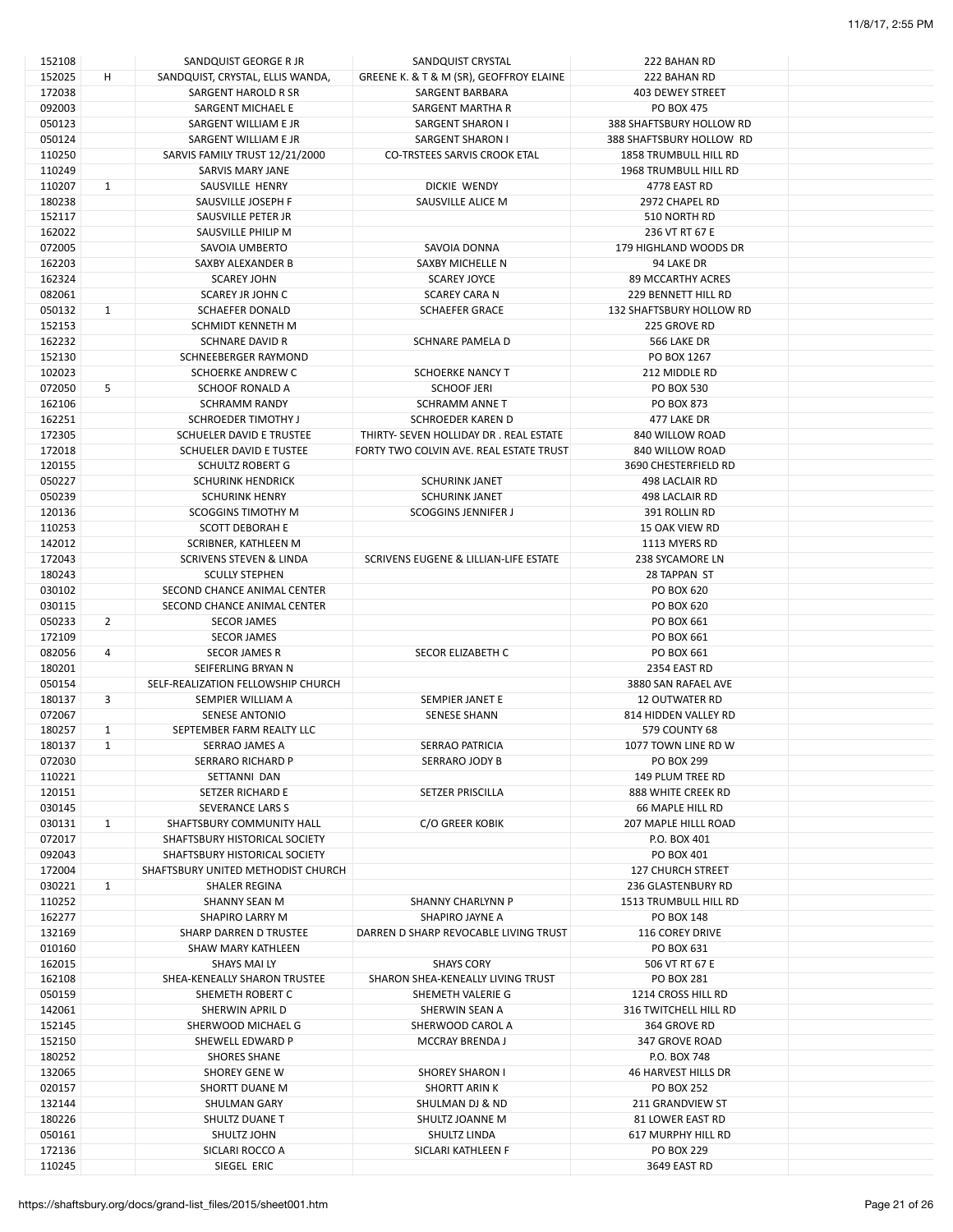| 152108 |                | SANDQUIST GEORGE R JR                                          | SANDQUIST CRYSTAL                       | 222 BAHAN RD                 |  |
|--------|----------------|----------------------------------------------------------------|-----------------------------------------|------------------------------|--|
| 152025 | H              | SANDQUIST, CRYSTAL, ELLIS WANDA,                               | GREENE K. & T & M (SR), GEOFFROY ELAINE | 222 BAHAN RD                 |  |
| 172038 |                | SARGENT HAROLD R SR                                            | SARGENT BARBARA                         | 403 DEWEY STREET             |  |
| 092003 |                | SARGENT MICHAEL E                                              | SARGENT MARTHA R                        | PO BOX 475                   |  |
| 050123 |                | SARGENT WILLIAM E JR                                           | SARGENT SHARON I                        | 388 SHAFTSBURY HOLLOW RD     |  |
| 050124 |                | SARGENT WILLIAM E JR                                           | <b>SARGENT SHARON I</b>                 | 388 SHAFTSBURY HOLLOW RD     |  |
| 110250 |                | SARVIS FAMILY TRUST 12/21/2000                                 | <b>CO-TRSTEES SARVIS CROOK ETAL</b>     | 1858 TRUMBULL HILL RD        |  |
| 110249 |                | SARVIS MARY JANE                                               |                                         | <b>1968 TRUMBULL HILL RD</b> |  |
| 110207 | 1              | SAUSVILLE HENRY                                                | DICKIE WENDY                            | 4778 EAST RD                 |  |
| 180238 |                | SAUSVILLE JOSEPH F                                             | SAUSVILLE ALICE M                       | 2972 CHAPEL RD               |  |
| 152117 |                | SAUSVILLE PETER JR                                             |                                         | 510 NORTH RD                 |  |
| 162022 |                | SAUSVILLE PHILIP M                                             |                                         | 236 VT RT 67 E               |  |
| 072005 |                | SAVOIA UMBERTO                                                 | SAVOIA DONNA                            | 179 HIGHLAND WOODS DR        |  |
| 162203 |                | SAXBY ALEXANDER B                                              | SAXBY MICHELLE N                        | 94 LAKE DR                   |  |
| 162324 |                | <b>SCAREY JOHN</b>                                             | <b>SCAREY JOYCE</b>                     | 89 MCCARTHY ACRES            |  |
| 082061 |                | SCAREY JR JOHN C                                               | <b>SCAREY CARA N</b>                    | 229 BENNETT HILL RD          |  |
| 050132 | 1              | <b>SCHAEFER DONALD</b>                                         | <b>SCHAEFER GRACE</b>                   | 132 SHAFTSBURY HOLLOW RD     |  |
| 152153 |                | SCHMIDT KENNETH M                                              |                                         | 225 GROVE RD                 |  |
| 162232 |                | <b>SCHNARE DAVID R</b>                                         | SCHNARE PAMELA D                        | 566 LAKE DR                  |  |
| 152130 |                | SCHNEEBERGER RAYMOND                                           |                                         | PO BOX 1267                  |  |
| 102023 |                | SCHOERKE ANDREW C                                              | <b>SCHOERKE NANCY T</b>                 | 212 MIDDLE RD                |  |
| 072050 | 5              | <b>SCHOOF RONALD A</b>                                         | <b>SCHOOF JERI</b>                      | <b>PO BOX 530</b>            |  |
| 162106 |                | <b>SCHRAMM RANDY</b>                                           | <b>SCHRAMM ANNE T</b>                   | <b>PO BOX 873</b>            |  |
| 162251 |                | SCHROEDER TIMOTHY J                                            | <b>SCHROEDER KAREN D</b>                | 477 LAKE DR                  |  |
| 172305 |                | SCHUELER DAVID E TRUSTEE                                       | THIRTY- SEVEN HOLLIDAY DR. REAL ESTATE  | 840 WILLOW ROAD              |  |
| 172018 |                | SCHUELER DAVID E TUSTEE                                        | FORTY TWO COLVIN AVE. REAL ESTATE TRUST | 840 WILLOW ROAD              |  |
| 120155 |                | <b>SCHULTZ ROBERT G</b>                                        |                                         | 3690 CHESTERFIELD RD         |  |
| 050227 |                | <b>SCHURINK HENDRICK</b>                                       | <b>SCHURINK JANET</b>                   | 498 LACLAIR RD               |  |
| 050239 |                | <b>SCHURINK HENRY</b>                                          | <b>SCHURINK JANET</b>                   | 498 LACLAIR RD               |  |
| 120136 |                | <b>SCOGGINS TIMOTHY M</b>                                      | <b>SCOGGINS JENNIFER J</b>              | 391 ROLLIN RD                |  |
| 110253 |                | <b>SCOTT DEBORAH E</b>                                         |                                         | <b>15 OAK VIEW RD</b>        |  |
| 142012 |                | SCRIBNER, KATHLEEN M                                           |                                         | 1113 MYERS RD                |  |
| 172043 |                | <b>SCRIVENS STEVEN &amp; LINDA</b>                             | SCRIVENS EUGENE & LILLIAN-LIFE ESTATE   | 238 SYCAMORE LN              |  |
| 180243 |                | <b>SCULLY STEPHEN</b>                                          |                                         | 28 TAPPAN ST                 |  |
| 030102 |                | SECOND CHANCE ANIMAL CENTER                                    |                                         | <b>PO BOX 620</b>            |  |
| 030115 |                | SECOND CHANCE ANIMAL CENTER                                    |                                         | PO BOX 620                   |  |
| 050233 | $\overline{2}$ | <b>SECOR JAMES</b>                                             |                                         | PO BOX 661                   |  |
| 172109 |                | <b>SECOR JAMES</b>                                             |                                         | PO BOX 661                   |  |
| 082056 | 4              | <b>SECOR JAMES R</b>                                           | SECOR ELIZABETH C                       | PO BOX 661                   |  |
| 180201 |                | SEIFERLING BRYAN N                                             |                                         | 2354 EAST RD                 |  |
| 050154 |                | SELF-REALIZATION FELLOWSHIP CHURCH                             |                                         | 3880 SAN RAFAEL AVE          |  |
| 180137 | 3              | SEMPIER WILLIAM A                                              | SEMPIER JANET E                         | <b>12 OUTWATER RD</b>        |  |
| 072067 |                | <b>SENESE ANTONIO</b>                                          | SENESE SHANN                            | 814 HIDDEN VALLEY RD         |  |
| 180257 | 1              | SEPTEMBER FARM REALTY LLC                                      |                                         | 579 COUNTY 68                |  |
| 180137 | $\mathbf{1}$   | SERRAO JAMES A                                                 | SERRAO PATRICIA                         | 1077 TOWN LINE RD W          |  |
| 072030 |                | SERRARO RICHARD P                                              | SERRARO JODY B                          | PO BOX 299                   |  |
| 110221 |                | SETTANNI DAN                                                   |                                         | 149 PLUM TREE RD             |  |
| 120151 |                | SETZER RICHARD E                                               | SETZER PRISCILLA                        | 888 WHITE CREEK RD           |  |
| 030145 |                | SEVERANCE LARS S                                               |                                         | 66 MAPLE HILL RD             |  |
|        |                |                                                                |                                         |                              |  |
| 030131 | 1              | SHAFTSBURY COMMUNITY HALL                                      | C/O GREER KOBIK                         | 207 MAPLE HILLL ROAD         |  |
| 072017 |                | SHAFTSBURY HISTORICAL SOCIETY<br>SHAFTSBURY HISTORICAL SOCIETY |                                         | P.O. BOX 401                 |  |
| 092043 |                |                                                                |                                         | PO BOX 401                   |  |
| 172004 |                | SHAFTSBURY UNITED METHODIST CHURCH                             |                                         | <b>127 CHURCH STREET</b>     |  |
| 030221 | 1              | SHALER REGINA                                                  |                                         | <b>236 GLASTENBURY RD</b>    |  |
| 110252 |                | SHANNY SEAN M                                                  | SHANNY CHARLYNN P                       | 1513 TRUMBULL HILL RD        |  |
| 162277 |                | SHAPIRO LARRY M                                                | SHAPIRO JAYNE A                         | PO BOX 148                   |  |
| 132169 |                | SHARP DARREN D TRUSTEE                                         | DARREN D SHARP REVOCABLE LIVING TRUST   | 116 COREY DRIVE              |  |
| 010160 |                | SHAW MARY KATHLEEN                                             |                                         | PO BOX 631                   |  |
| 162015 |                | SHAYS MAI LY                                                   | <b>SHAYS CORY</b>                       | 506 VT RT 67 E               |  |
| 162108 |                | SHEA-KENEALLY SHARON TRUSTEE                                   | SHARON SHEA-KENEALLY LIVING TRUST       | <b>PO BOX 281</b>            |  |
| 050159 |                | SHEMETH ROBERT C                                               | SHEMETH VALERIE G                       | 1214 CROSS HILL RD           |  |
| 142061 |                | SHERWIN APRIL D                                                | SHERWIN SEAN A                          | 316 TWITCHELL HILL RD        |  |
| 152145 |                | SHERWOOD MICHAEL G                                             | SHERWOOD CAROL A                        | 364 GROVE RD                 |  |
| 152150 |                | SHEWELL EDWARD P                                               | MCCRAY BRENDA J                         | 347 GROVE ROAD               |  |
| 180252 |                | <b>SHORES SHANE</b>                                            |                                         | P.O. BOX 748                 |  |
| 132065 |                | <b>SHOREY GENE W</b>                                           | <b>SHOREY SHARON I</b>                  | 46 HARVEST HILLS DR          |  |
| 020157 |                | SHORTT DUANE M                                                 | SHORTT ARIN K                           | PO BOX 252                   |  |
| 132144 |                | <b>SHULMAN GARY</b>                                            | SHULMAN DJ & ND                         | 211 GRANDVIEW ST             |  |
| 180226 |                | SHULTZ DUANE T                                                 | SHULTZ JOANNE M                         | 81 LOWER EAST RD             |  |
| 050161 |                | SHULTZ JOHN                                                    | SHULTZ LINDA                            | 617 MURPHY HILL RD           |  |
| 172136 |                | SICLARI ROCCO A                                                | SICLARI KATHLEEN F                      | PO BOX 229                   |  |
| 110245 |                | SIEGEL ERIC                                                    |                                         | 3649 EAST RD                 |  |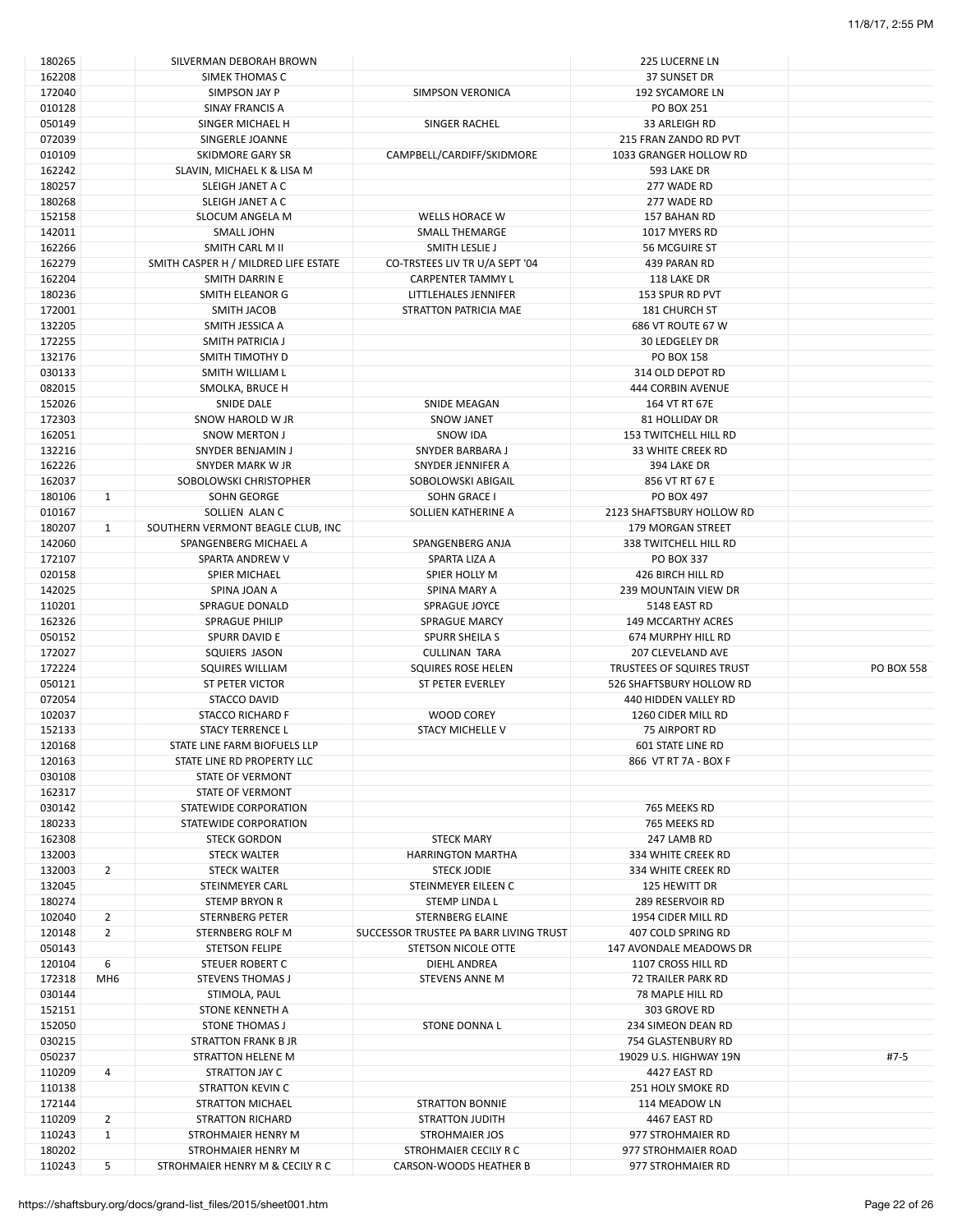| 180265 |                 | SILVERMAN DEBORAH BROWN              |                                        | <b>225 LUCERNE LN</b>            |                   |
|--------|-----------------|--------------------------------------|----------------------------------------|----------------------------------|-------------------|
| 162208 |                 | SIMEK THOMAS C                       |                                        | 37 SUNSET DR                     |                   |
| 172040 |                 | SIMPSON JAY P                        | <b>SIMPSON VERONICA</b>                | 192 SYCAMORE LN                  |                   |
| 010128 |                 | SINAY FRANCIS A                      |                                        | <b>PO BOX 251</b>                |                   |
|        |                 |                                      |                                        |                                  |                   |
| 050149 |                 | SINGER MICHAEL H                     | SINGER RACHEL                          | 33 ARLEIGH RD                    |                   |
| 072039 |                 | SINGERLE JOANNE                      |                                        | 215 FRAN ZANDO RD PVT            |                   |
| 010109 |                 | SKIDMORE GARY SR                     | CAMPBELL/CARDIFF/SKIDMORE              | 1033 GRANGER HOLLOW RD           |                   |
| 162242 |                 | SLAVIN, MICHAEL K & LISA M           |                                        | 593 LAKE DR                      |                   |
| 180257 |                 | SLEIGH JANET A C                     |                                        | 277 WADE RD                      |                   |
| 180268 |                 | SLEIGH JANET A C                     |                                        | 277 WADE RD                      |                   |
|        |                 |                                      |                                        |                                  |                   |
| 152158 |                 | <b>SLOCUM ANGELA M</b>               | WELLS HORACE W                         | 157 BAHAN RD                     |                   |
| 142011 |                 | <b>SMALL JOHN</b>                    | <b>SMALL THEMARGE</b>                  | 1017 MYERS RD                    |                   |
| 162266 |                 | SMITH CARL M II                      | SMITH LESLIE J                         | 56 MCGUIRE ST                    |                   |
| 162279 |                 | SMITH CASPER H / MILDRED LIFE ESTATE | CO-TRSTEES LIV TR U/A SEPT '04         | 439 PARAN RD                     |                   |
| 162204 |                 | SMITH DARRIN E                       | <b>CARPENTER TAMMY L</b>               | 118 LAKE DR                      |                   |
|        |                 |                                      |                                        |                                  |                   |
| 180236 |                 | SMITH ELEANOR G                      | LITTLEHALES JENNIFER                   | 153 SPUR RD PVT                  |                   |
| 172001 |                 | SMITH JACOB                          | STRATTON PATRICIA MAE                  | <b>181 CHURCH ST</b>             |                   |
| 132205 |                 | SMITH JESSICA A                      |                                        | 686 VT ROUTE 67 W                |                   |
| 172255 |                 | SMITH PATRICIA J                     |                                        | <b>30 LEDGELEY DR</b>            |                   |
| 132176 |                 | SMITH TIMOTHY D                      |                                        | PO BOX 158                       |                   |
|        |                 |                                      |                                        |                                  |                   |
| 030133 |                 | SMITH WILLIAM L                      |                                        | 314 OLD DEPOT RD                 |                   |
| 082015 |                 | SMOLKA, BRUCE H                      |                                        | 444 CORBIN AVENUE                |                   |
| 152026 |                 | SNIDE DALE                           | SNIDE MEAGAN                           | 164 VT RT 67E                    |                   |
| 172303 |                 | SNOW HAROLD W JR                     | <b>SNOW JANET</b>                      | 81 HOLLIDAY DR                   |                   |
| 162051 |                 | <b>SNOW MERTON J</b>                 | SNOW IDA                               | <b>153 TWITCHELL HILL RD</b>     |                   |
|        |                 |                                      |                                        |                                  |                   |
| 132216 |                 | SNYDER BENJAMIN J                    | SNYDER BARBARA J                       | <b>33 WHITE CREEK RD</b>         |                   |
| 162226 |                 | SNYDER MARK W JR                     | SNYDER JENNIFER A                      | 394 LAKE DR                      |                   |
| 162037 |                 | SOBOLOWSKI CHRISTOPHER               | SOBOLOWSKI ABIGAIL                     | 856 VT RT 67 E                   |                   |
| 180106 | $\mathbf{1}$    | SOHN GEORGE                          | SOHN GRACE I                           | PO BOX 497                       |                   |
| 010167 |                 | SOLLIEN ALAN C                       | SOLLIEN KATHERINE A                    | 2123 SHAFTSBURY HOLLOW RD        |                   |
| 180207 | $\mathbf{1}$    | SOUTHERN VERMONT BEAGLE CLUB, INC    |                                        | 179 MORGAN STREET                |                   |
|        |                 |                                      |                                        |                                  |                   |
| 142060 |                 | SPANGENBERG MICHAEL A                | SPANGENBERG ANJA                       | 338 TWITCHELL HILL RD            |                   |
| 172107 |                 | SPARTA ANDREW V                      | SPARTA LIZA A                          | PO BOX 337                       |                   |
| 020158 |                 | SPIER MICHAEL                        | SPIER HOLLY M                          | 426 BIRCH HILL RD                |                   |
| 142025 |                 | SPINA JOAN A                         | SPINA MARY A                           | 239 MOUNTAIN VIEW DR             |                   |
| 110201 |                 | <b>SPRAGUE DONALD</b>                | SPRAGUE JOYCE                          | 5148 EAST RD                     |                   |
|        |                 |                                      |                                        |                                  |                   |
| 162326 |                 | <b>SPRAGUE PHILIP</b>                | <b>SPRAGUE MARCY</b>                   | <b>149 MCCARTHY ACRES</b>        |                   |
| 050152 |                 | SPURR DAVID E                        | <b>SPURR SHEILA S</b>                  | 674 MURPHY HILL RD               |                   |
| 172027 |                 | SQUIERS JASON                        | <b>CULLINAN TARA</b>                   | 207 CLEVELAND AVE                |                   |
| 172224 |                 | SQUIRES WILLIAM                      | SQUIRES ROSE HELEN                     | <b>TRUSTEES OF SQUIRES TRUST</b> | <b>PO BOX 558</b> |
| 050121 |                 | ST PETER VICTOR                      | <b>ST PETER EVERLEY</b>                | 526 SHAFTSBURY HOLLOW RD         |                   |
|        |                 | STACCO DAVID                         |                                        |                                  |                   |
| 072054 |                 |                                      |                                        | 440 HIDDEN VALLEY RD             |                   |
| 102037 |                 | STACCO RICHARD F                     | <b>WOOD COREY</b>                      | 1260 CIDER MILL RD               |                   |
| 152133 |                 | <b>STACY TERRENCE L</b>              | <b>STACY MICHELLE V</b>                | 75 AIRPORT RD                    |                   |
| 120168 |                 | STATE LINE FARM BIOFUELS LLP         |                                        | <b>601 STATE LINE RD</b>         |                   |
| 120163 |                 | STATE LINE RD PROPERTY LLC           |                                        | 866 VT RT 7A - BOX F             |                   |
| 030108 |                 | STATE OF VERMONT                     |                                        |                                  |                   |
|        |                 |                                      |                                        |                                  |                   |
| 162317 |                 | <b>STATE OF VERMONT</b>              |                                        |                                  |                   |
| 030142 |                 | STATEWIDE CORPORATION                |                                        | 765 MEEKS RD                     |                   |
| 180233 |                 | STATEWIDE CORPORATION                |                                        | 765 MEEKS RD                     |                   |
| 162308 |                 | <b>STECK GORDON</b>                  | <b>STECK MARY</b>                      | 247 LAMB RD                      |                   |
| 132003 |                 | STECK WALTER                         | <b>HARRINGTON MARTHA</b>               | 334 WHITE CREEK RD               |                   |
|        |                 |                                      |                                        |                                  |                   |
| 132003 | $\overline{2}$  | <b>STECK WALTER</b>                  | <b>STECK JODIE</b>                     | 334 WHITE CREEK RD               |                   |
| 132045 |                 | <b>STEINMEYER CARL</b>               | STEINMEYER EILEEN C                    | 125 HEWITT DR                    |                   |
| 180274 |                 | <b>STEMP BRYON R</b>                 | STEMP LINDA L                          | <b>289 RESERVOIR RD</b>          |                   |
| 102040 | $\overline{2}$  | STERNBERG PETER                      | <b>STERNBERG ELAINE</b>                | 1954 CIDER MILL RD               |                   |
| 120148 | $\overline{2}$  | STERNBERG ROLF M                     | SUCCESSOR TRUSTEE PA BARR LIVING TRUST | 407 COLD SPRING RD               |                   |
|        |                 |                                      |                                        |                                  |                   |
| 050143 |                 | <b>STETSON FELIPE</b>                | STETSON NICOLE OTTE                    | 147 AVONDALE MEADOWS DR          |                   |
| 120104 | 6               | STEUER ROBERT C                      | DIEHL ANDREA                           | 1107 CROSS HILL RD               |                   |
| 172318 | MH <sub>6</sub> | <b>STEVENS THOMAS J</b>              | <b>STEVENS ANNE M</b>                  | 72 TRAILER PARK RD               |                   |
| 030144 |                 | STIMOLA, PAUL                        |                                        | 78 MAPLE HILL RD                 |                   |
| 152151 |                 | STONE KENNETH A                      |                                        | 303 GROVE RD                     |                   |
|        |                 |                                      |                                        |                                  |                   |
| 152050 |                 | <b>STONE THOMAS J</b>                | <b>STONE DONNA L</b>                   | 234 SIMEON DEAN RD               |                   |
| 030215 |                 | <b>STRATTON FRANK B JR</b>           |                                        | 754 GLASTENBURY RD               |                   |
| 050237 |                 | STRATTON HELENE M                    |                                        | 19029 U.S. HIGHWAY 19N           | $#7-5$            |
| 110209 | 4               | STRATTON JAY C                       |                                        | 4427 EAST RD                     |                   |
| 110138 |                 | STRATTON KEVIN C                     |                                        | 251 HOLY SMOKE RD                |                   |
| 172144 |                 |                                      |                                        | 114 MEADOW LN                    |                   |
|        |                 | <b>STRATTON MICHAEL</b>              | <b>STRATTON BONNIE</b>                 |                                  |                   |
| 110209 | $\overline{2}$  | <b>STRATTON RICHARD</b>              | STRATTON JUDITH                        | 4467 EAST RD                     |                   |
| 110243 | $\mathbf{1}$    | STROHMAIER HENRY M                   | <b>STROHMAIER JOS</b>                  | 977 STROHMAIER RD                |                   |
| 180202 |                 | STROHMAIER HENRY M                   | STROHMAIER CECILY R C                  | 977 STROHMAIER ROAD              |                   |
| 110243 | 5               | STROHMAIER HENRY M & CECILY R C      | CARSON-WOODS HEATHER B                 | 977 STROHMAIER RD                |                   |
|        |                 |                                      |                                        |                                  |                   |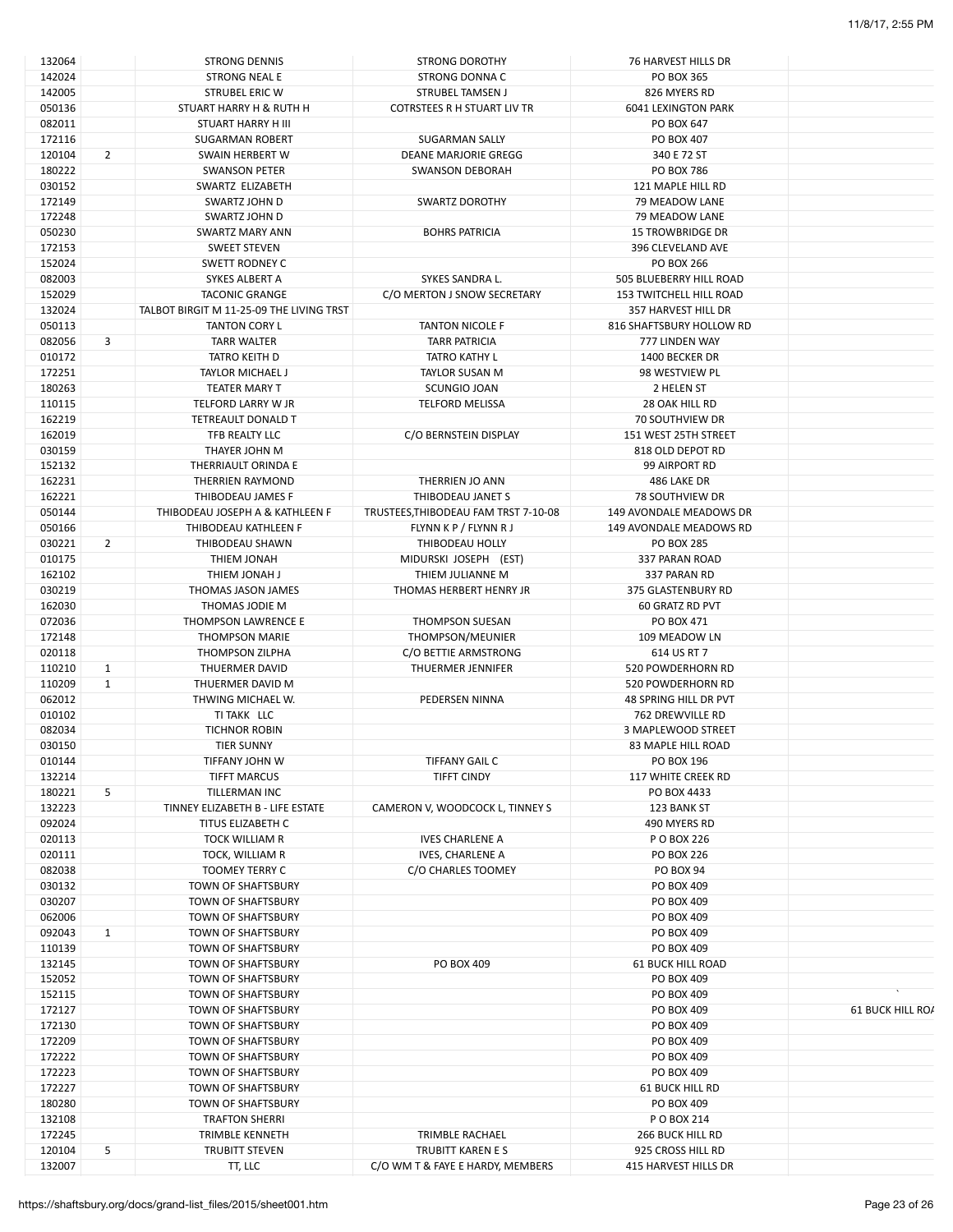| 132064 |                | <b>STRONG DENNIS</b>                     | <b>STRONG DOROTHY</b>                | 76 HARVEST HILLS DR        |                  |
|--------|----------------|------------------------------------------|--------------------------------------|----------------------------|------------------|
| 142024 |                | <b>STRONG NEAL E</b>                     | <b>STRONG DONNA C</b>                | PO BOX 365                 |                  |
| 142005 |                | <b>STRUBEL ERIC W</b>                    | STRUBEL TAMSEN J                     | 826 MYERS RD               |                  |
| 050136 |                | STUART HARRY H & RUTH H                  | COTRSTEES R H STUART LIV TR          | <b>6041 LEXINGTON PARK</b> |                  |
|        |                |                                          |                                      |                            |                  |
| 082011 |                | STUART HARRY H III                       |                                      | PO BOX 647                 |                  |
| 172116 |                | <b>SUGARMAN ROBERT</b>                   | <b>SUGARMAN SALLY</b>                | PO BOX 407                 |                  |
| 120104 | 2              | <b>SWAIN HERBERT W</b>                   | DEANE MARJORIE GREGG                 | 340 E 72 ST                |                  |
| 180222 |                | <b>SWANSON PETER</b>                     | SWANSON DEBORAH                      | PO BOX 786                 |                  |
| 030152 |                | SWARTZ ELIZABETH                         |                                      | 121 MAPLE HILL RD          |                  |
| 172149 |                | SWARTZ JOHN D                            | SWARTZ DOROTHY                       | 79 MEADOW LANE             |                  |
|        |                |                                          |                                      |                            |                  |
| 172248 |                | SWARTZ JOHN D                            |                                      | 79 MEADOW LANE             |                  |
| 050230 |                | <b>SWARTZ MARY ANN</b>                   | <b>BOHRS PATRICIA</b>                | <b>15 TROWBRIDGE DR</b>    |                  |
| 172153 |                | <b>SWEET STEVEN</b>                      |                                      | 396 CLEVELAND AVE          |                  |
| 152024 |                | SWETT RODNEY C                           |                                      | PO BOX 266                 |                  |
| 082003 |                | SYKES ALBERT A                           | SYKES SANDRA L.                      | 505 BLUEBERRY HILL ROAD    |                  |
|        |                |                                          |                                      |                            |                  |
| 152029 |                | <b>TACONIC GRANGE</b>                    | C/O MERTON J SNOW SECRETARY          | 153 TWITCHELL HILL ROAD    |                  |
| 132024 |                | TALBOT BIRGIT M 11-25-09 THE LIVING TRST |                                      | 357 HARVEST HILL DR        |                  |
| 050113 |                | <b>TANTON CORY L</b>                     | <b>TANTON NICOLE F</b>               | 816 SHAFTSBURY HOLLOW RD   |                  |
| 082056 | 3              | TARR WALTER                              | <b>TARR PATRICIA</b>                 | 777 LINDEN WAY             |                  |
| 010172 |                | TATRO KEITH D                            | <b>TATRO KATHY L</b>                 | 1400 BECKER DR             |                  |
|        |                |                                          |                                      |                            |                  |
| 172251 |                | TAYLOR MICHAEL J                         | TAYLOR SUSAN M                       | 98 WESTVIEW PL             |                  |
| 180263 |                | <b>TEATER MARY T</b>                     | SCUNGIO JOAN                         | 2 HELEN ST                 |                  |
| 110115 |                | TELFORD LARRY W JR                       | <b>TELFORD MELISSA</b>               | 28 OAK HILL RD             |                  |
| 162219 |                | <b>TETREAULT DONALD T</b>                |                                      | 70 SOUTHVIEW DR            |                  |
| 162019 |                | TFB REALTY LLC                           | C/O BERNSTEIN DISPLAY                | 151 WEST 25TH STREET       |                  |
|        |                |                                          |                                      | 818 OLD DEPOT RD           |                  |
| 030159 |                | THAYER JOHN M                            |                                      |                            |                  |
| 152132 |                | THERRIAULT ORINDA E                      |                                      | 99 AIRPORT RD              |                  |
| 162231 |                | <b>THERRIEN RAYMOND</b>                  | THERRIEN JO ANN                      | 486 LAKE DR                |                  |
| 162221 |                | THIBODEAU JAMES F                        | THIBODEAU JANET S                    | <b>78 SOUTHVIEW DR</b>     |                  |
| 050144 |                | THIBODEAU JOSEPH A & KATHLEEN F          | TRUSTEES, THIBODEAU FAM TRST 7-10-08 | 149 AVONDALE MEADOWS DR    |                  |
| 050166 |                | THIBODEAU KATHLEEN F                     | FLYNN K P / FLYNN R J                | 149 AVONDALE MEADOWS RD    |                  |
|        |                |                                          |                                      |                            |                  |
| 030221 | $\overline{2}$ | THIBODEAU SHAWN                          | THIBODEAU HOLLY                      | <b>PO BOX 285</b>          |                  |
| 010175 |                | THIEM JONAH                              | MIDURSKI JOSEPH (EST)                | 337 PARAN ROAD             |                  |
| 162102 |                | THIEM JONAH J                            | THIEM JULIANNE M                     | 337 PARAN RD               |                  |
| 030219 |                | THOMAS JASON JAMES                       | THOMAS HERBERT HENRY JR              | 375 GLASTENBURY RD         |                  |
| 162030 |                | THOMAS JODIE M                           |                                      | 60 GRATZ RD PVT            |                  |
|        |                |                                          |                                      |                            |                  |
| 072036 |                | THOMPSON LAWRENCE E                      | THOMPSON SUESAN                      | PO BOX 471                 |                  |
| 172148 |                | <b>THOMPSON MARIE</b>                    | THOMPSON/MEUNIER                     | 109 MEADOW LN              |                  |
| 020118 |                | <b>THOMPSON ZILPHA</b>                   | C/O BETTIE ARMSTRONG                 | 614 US RT 7                |                  |
| 110210 | $\mathbf{1}$   | THUERMER DAVID                           | <b>THUERMER JENNIFER</b>             | 520 POWDERHORN RD          |                  |
| 110209 | $\mathbf{1}$   | THUERMER DAVID M                         |                                      | 520 POWDERHORN RD          |                  |
|        |                |                                          |                                      |                            |                  |
| 062012 |                | THWING MICHAEL W.                        | PEDERSEN NINNA                       | 48 SPRING HILL DR PVT      |                  |
| 010102 |                | TI TAKK LLC                              |                                      | 762 DREWVILLE RD           |                  |
| 082034 |                | TICHNOR ROBIN                            |                                      | 3 MAPLEWOOD STREET         |                  |
| 030150 |                | <b>TIER SUNNY</b>                        |                                      | <b>83 MAPLE HILL ROAD</b>  |                  |
| 010144 |                | TIFFANY JOHN W                           | TIFFANY GAIL C                       | PO BOX 196                 |                  |
|        |                |                                          |                                      |                            |                  |
| 132214 |                | <b>TIFFT MARCUS</b>                      | TIFFT CINDY                          | 117 WHITE CREEK RD         |                  |
| 180221 | 5              | TILLERMAN INC                            |                                      | PO BOX 4433                |                  |
| 132223 |                | TINNEY ELIZABETH B - LIFE ESTATE         | CAMERON V, WOODCOCK L, TINNEY S      | 123 BANK ST                |                  |
| 092024 |                | TITUS ELIZABETH C                        |                                      | 490 MYERS RD               |                  |
| 020113 |                | <b>TOCK WILLIAM R</b>                    | <b>IVES CHARLENE A</b>               | P O BOX 226                |                  |
|        |                |                                          |                                      |                            |                  |
| 020111 |                | TOCK, WILLIAM R                          | <b>IVES, CHARLENE A</b>              | <b>PO BOX 226</b>          |                  |
| 082038 |                | <b>TOOMEY TERRY C</b>                    | C/O CHARLES TOOMEY                   | <b>PO BOX 94</b>           |                  |
| 030132 |                | TOWN OF SHAFTSBURY                       |                                      | PO BOX 409                 |                  |
| 030207 |                | TOWN OF SHAFTSBURY                       |                                      | PO BOX 409                 |                  |
| 062006 |                | TOWN OF SHAFTSBURY                       |                                      | PO BOX 409                 |                  |
| 092043 | 1              |                                          |                                      | PO BOX 409                 |                  |
|        |                | TOWN OF SHAFTSBURY                       |                                      |                            |                  |
| 110139 |                | TOWN OF SHAFTSBURY                       |                                      | PO BOX 409                 |                  |
| 132145 |                | TOWN OF SHAFTSBURY                       | PO BOX 409                           | <b>61 BUCK HILL ROAD</b>   |                  |
| 152052 |                | TOWN OF SHAFTSBURY                       |                                      | PO BOX 409                 |                  |
| 152115 |                | TOWN OF SHAFTSBURY                       |                                      | PO BOX 409                 |                  |
| 172127 |                | TOWN OF SHAFTSBURY                       |                                      | PO BOX 409                 | 61 BUCK HILL ROA |
|        |                |                                          |                                      |                            |                  |
| 172130 |                | TOWN OF SHAFTSBURY                       |                                      | PO BOX 409                 |                  |
| 172209 |                | TOWN OF SHAFTSBURY                       |                                      | PO BOX 409                 |                  |
| 172222 |                | TOWN OF SHAFTSBURY                       |                                      | PO BOX 409                 |                  |
| 172223 |                | TOWN OF SHAFTSBURY                       |                                      | PO BOX 409                 |                  |
| 172227 |                | TOWN OF SHAFTSBURY                       |                                      | <b>61 BUCK HILL RD</b>     |                  |
|        |                |                                          |                                      |                            |                  |
| 180280 |                | TOWN OF SHAFTSBURY                       |                                      | PO BOX 409                 |                  |
| 132108 |                | <b>TRAFTON SHERRI</b>                    |                                      | P O BOX 214                |                  |
| 172245 |                | TRIMBLE KENNETH                          | TRIMBLE RACHAEL                      | 266 BUCK HILL RD           |                  |
| 120104 | 5              | <b>TRUBITT STEVEN</b>                    | TRUBITT KAREN E S                    | 925 CROSS HILL RD          |                  |
| 132007 |                | TT, LLC                                  | C/O WM T & FAYE E HARDY, MEMBERS     | 415 HARVEST HILLS DR       |                  |
|        |                |                                          |                                      |                            |                  |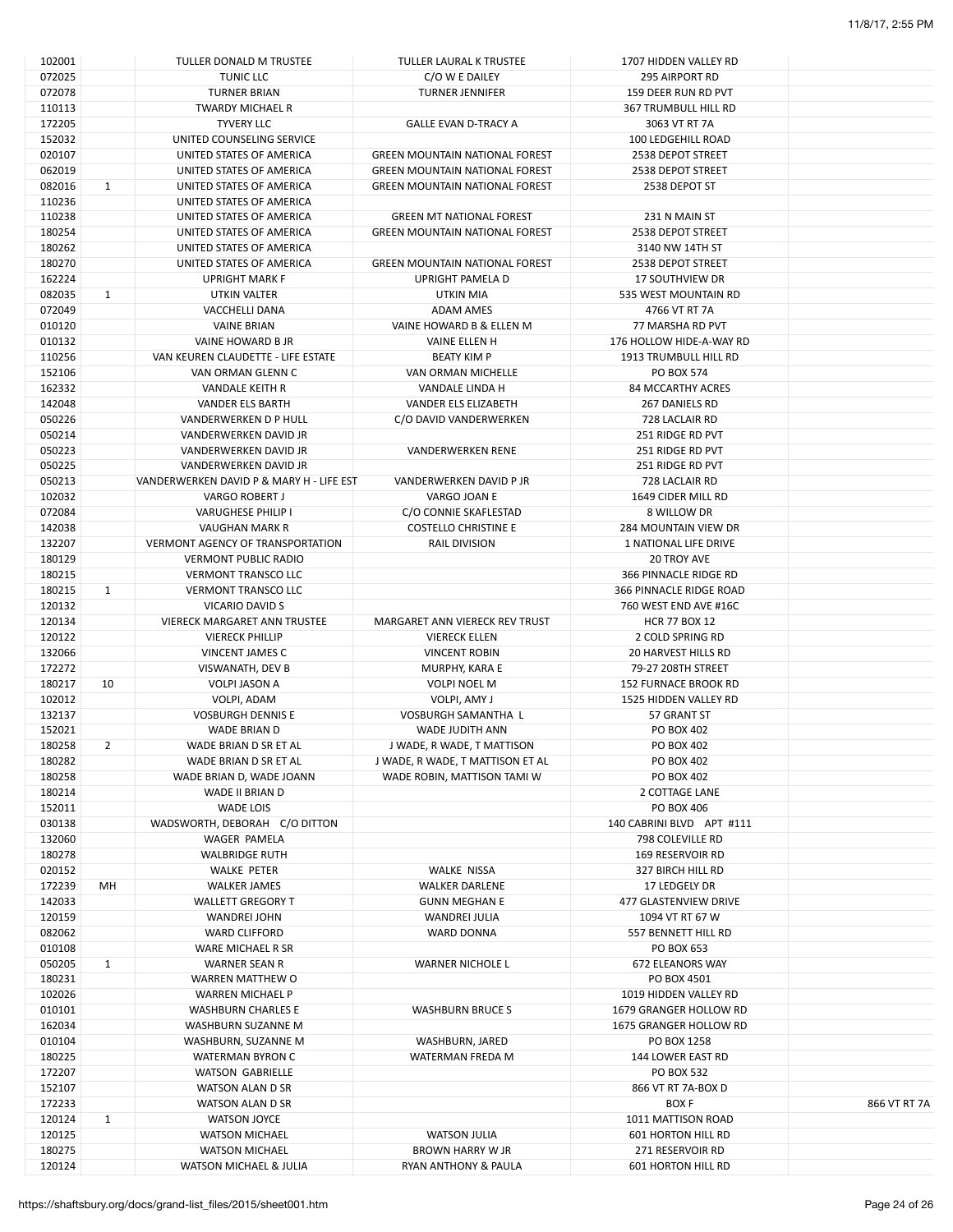| 102001 |                | TULLER DONALD M TRUSTEE                  | <b>TULLER LAURAL K TRUSTEE</b>        | 1707 HIDDEN VALLEY RD       |              |
|--------|----------------|------------------------------------------|---------------------------------------|-----------------------------|--------------|
| 072025 |                | TUNIC LLC                                | C/O W E DAILEY                        | <b>295 AIRPORT RD</b>       |              |
| 072078 |                | <b>TURNER BRIAN</b>                      | <b>TURNER JENNIFER</b>                | 159 DEER RUN RD PVT         |              |
| 110113 |                | TWARDY MICHAEL R                         |                                       | 367 TRUMBULL HILL RD        |              |
| 172205 |                | <b>TYVERY LLC</b>                        | <b>GALLE EVAN D-TRACY A</b>           | 3063 VT RT 7A               |              |
| 152032 |                | UNITED COUNSELING SERVICE                |                                       | 100 LEDGEHILL ROAD          |              |
| 020107 |                | UNITED STATES OF AMERICA                 | <b>GREEN MOUNTAIN NATIONAL FOREST</b> | 2538 DEPOT STREET           |              |
| 062019 |                |                                          |                                       |                             |              |
|        |                | UNITED STATES OF AMERICA                 | <b>GREEN MOUNTAIN NATIONAL FOREST</b> | 2538 DEPOT STREET           |              |
| 082016 | $\mathbf{1}$   | UNITED STATES OF AMERICA                 | <b>GREEN MOUNTAIN NATIONAL FOREST</b> | 2538 DEPOT ST               |              |
| 110236 |                | UNITED STATES OF AMERICA                 |                                       |                             |              |
| 110238 |                | UNITED STATES OF AMERICA                 | <b>GREEN MT NATIONAL FOREST</b>       | 231 N MAIN ST               |              |
| 180254 |                | UNITED STATES OF AMERICA                 | <b>GREEN MOUNTAIN NATIONAL FOREST</b> | 2538 DEPOT STREET           |              |
| 180262 |                | UNITED STATES OF AMERICA                 |                                       | 3140 NW 14TH ST             |              |
| 180270 |                | UNITED STATES OF AMERICA                 | <b>GREEN MOUNTAIN NATIONAL FOREST</b> | 2538 DEPOT STREET           |              |
| 162224 |                | <b>UPRIGHT MARK F</b>                    | UPRIGHT PAMELA D                      | <b>17 SOUTHVIEW DR</b>      |              |
| 082035 | $\mathbf{1}$   | UTKIN VALTER                             | UTKIN MIA                             | 535 WEST MOUNTAIN RD        |              |
| 072049 |                |                                          |                                       |                             |              |
|        |                | VACCHELLI DANA                           | <b>ADAM AMES</b>                      | 4766 VT RT 7A               |              |
| 010120 |                | <b>VAINE BRIAN</b>                       | VAINE HOWARD B & ELLEN M              | 77 MARSHA RD PVT            |              |
| 010132 |                | VAINE HOWARD B JR                        | VAINE ELLEN H                         | 176 HOLLOW HIDE-A-WAY RD    |              |
| 110256 |                | VAN KEUREN CLAUDETTE - LIFE ESTATE       | <b>BEATY KIM P</b>                    | 1913 TRUMBULL HILL RD       |              |
| 152106 |                | VAN ORMAN GLENN C                        | VAN ORMAN MICHELLE                    | <b>PO BOX 574</b>           |              |
| 162332 |                | VANDALE KEITH R                          | VANDALE LINDA H                       | <b>84 MCCARTHY ACRES</b>    |              |
| 142048 |                | VANDER ELS BARTH                         | VANDER ELS ELIZABETH                  | 267 DANIELS RD              |              |
| 050226 |                | VANDERWERKEN D P HULL                    | C/O DAVID VANDERWERKEN                | 728 LACLAIR RD              |              |
|        |                | VANDERWERKEN DAVID JR                    |                                       |                             |              |
| 050214 |                |                                          |                                       | 251 RIDGE RD PVT            |              |
| 050223 |                | VANDERWERKEN DAVID JR                    | <b>VANDERWERKEN RENE</b>              | 251 RIDGE RD PVT            |              |
| 050225 |                | VANDERWERKEN DAVID JR                    |                                       | 251 RIDGE RD PVT            |              |
| 050213 |                | VANDERWERKEN DAVID P & MARY H - LIFE EST | VANDERWERKEN DAVID P JR               | 728 LACLAIR RD              |              |
| 102032 |                | <b>VARGO ROBERT J</b>                    | VARGO JOAN E                          | 1649 CIDER MILL RD          |              |
| 072084 |                | VARUGHESE PHILIP I                       | C/O CONNIE SKAFLESTAD                 | 8 WILLOW DR                 |              |
| 142038 |                | <b>VAUGHAN MARK R</b>                    | <b>COSTELLO CHRISTINE E</b>           | 284 MOUNTAIN VIEW DR        |              |
| 132207 |                | <b>VERMONT AGENCY OF TRANSPORTATION</b>  | <b>RAIL DIVISION</b>                  | 1 NATIONAL LIFE DRIVE       |              |
| 180129 |                | <b>VERMONT PUBLIC RADIO</b>              |                                       | 20 TROY AVE                 |              |
|        |                |                                          |                                       |                             |              |
| 180215 |                | <b>VERMONT TRANSCO LLC</b>               |                                       | 366 PINNACLE RIDGE RD       |              |
| 180215 | $\mathbf{1}$   | <b>VERMONT TRANSCO LLC</b>               |                                       | 366 PINNACLE RIDGE ROAD     |              |
| 120132 |                | VICARIO DAVID S                          |                                       | 760 WEST END AVE #16C       |              |
| 120134 |                | <b>VIERECK MARGARET ANN TRUSTEE</b>      | MARGARET ANN VIERECK REV TRUST        | <b>HCR 77 BOX 12</b>        |              |
| 120122 |                | <b>VIERECK PHILLIP</b>                   | <b>VIERECK ELLEN</b>                  | 2 COLD SPRING RD            |              |
| 132066 |                | <b>VINCENT JAMES C</b>                   | <b>VINCENT ROBIN</b>                  | <b>20 HARVEST HILLS RD</b>  |              |
| 172272 |                | VISWANATH, DEV B                         | MURPHY, KARA E                        | 79-27 208TH STREET          |              |
| 180217 | 10             | <b>VOLPI JASON A</b>                     |                                       | <b>152 FURNACE BROOK RD</b> |              |
|        |                |                                          | <b>VOLPI NOEL M</b>                   |                             |              |
| 102012 |                | VOLPI, ADAM                              | VOLPI, AMY J                          | 1525 HIDDEN VALLEY RD       |              |
| 132137 |                | <b>VOSBURGH DENNIS E</b>                 | VOSBURGH SAMANTHA L                   | 57 GRANT ST                 |              |
| 152021 |                | <b>WADE BRIAN D</b>                      | WADE JUDITH ANN                       | PO BOX 402                  |              |
| 180258 | $\overline{2}$ | WADE BRIAN D SR ET AL                    | J WADE, R WADE, T MATTISON            | PO BOX 402                  |              |
| 180282 |                | WADE BRIAN D SR ET AL                    | J WADE, R WADE, T MATTISON ET AL      | PO BOX 402                  |              |
| 180258 |                | WADE BRIAN D, WADE JOANN                 | WADE ROBIN, MATTISON TAMI W           | PO BOX 402                  |              |
| 180214 |                | WADE II BRIAN D                          |                                       | 2 COTTAGE LANE              |              |
| 152011 |                | <b>WADE LOIS</b>                         |                                       | PO BOX 406                  |              |
|        |                |                                          |                                       |                             |              |
| 030138 |                | WADSWORTH, DEBORAH C/O DITTON            |                                       | 140 CABRINI BLVD APT #111   |              |
| 132060 |                | WAGER PAMELA                             |                                       | <b>798 COLEVILLE RD</b>     |              |
| 180278 |                | <b>WALBRIDGE RUTH</b>                    |                                       | 169 RESERVOIR RD            |              |
| 020152 |                | WALKE PETER                              | WALKE NISSA                           | 327 BIRCH HILL RD           |              |
| 172239 | MН             | <b>WALKER JAMES</b>                      | <b>WALKER DARLENE</b>                 | 17 LEDGELY DR               |              |
| 142033 |                | WALLETT GREGORY T                        | <b>GUNN MEGHAN E</b>                  | 477 GLASTENVIEW DRIVE       |              |
| 120159 |                | WANDREI JOHN                             | WANDREI JULIA                         | 1094 VT RT 67 W             |              |
| 082062 |                | <b>WARD CLIFFORD</b>                     | WARD DONNA                            | 557 BENNETT HILL RD         |              |
| 010108 |                | WARE MICHAEL R SR                        |                                       | PO BOX 653                  |              |
|        |                |                                          |                                       |                             |              |
| 050205 | $\mathbf{1}$   | WARNER SEAN R                            | <b>WARNER NICHOLE L</b>               | 672 ELEANORS WAY            |              |
| 180231 |                | WARREN MATTHEW O                         |                                       | PO BOX 4501                 |              |
| 102026 |                | WARREN MICHAEL P                         |                                       | 1019 HIDDEN VALLEY RD       |              |
| 010101 |                | <b>WASHBURN CHARLES E</b>                | <b>WASHBURN BRUCES</b>                | 1679 GRANGER HOLLOW RD      |              |
| 162034 |                | WASHBURN SUZANNE M                       |                                       | 1675 GRANGER HOLLOW RD      |              |
| 010104 |                | WASHBURN, SUZANNE M                      | WASHBURN, JARED                       | PO BOX 1258                 |              |
| 180225 |                | WATERMAN BYRON C                         | WATERMAN FREDA M                      | 144 LOWER EAST RD           |              |
| 172207 |                | <b>WATSON GABRIELLE</b>                  |                                       | PO BOX 532                  |              |
|        |                |                                          |                                       |                             |              |
| 152107 |                | WATSON ALAN D SR                         |                                       | 866 VT RT 7A-BOX D          |              |
| 172233 |                | WATSON ALAN D SR                         |                                       | BOX F                       | 866 VT RT 7A |
| 120124 | $\mathbf{1}$   | <b>WATSON JOYCE</b>                      |                                       | 1011 MATTISON ROAD          |              |
| 120125 |                | <b>WATSON MICHAEL</b>                    | <b>WATSON JULIA</b>                   | <b>601 HORTON HILL RD</b>   |              |
| 180275 |                | <b>WATSON MICHAEL</b>                    | BROWN HARRY W JR                      | 271 RESERVOIR RD            |              |
| 120124 |                | WATSON MICHAEL & JULIA                   | RYAN ANTHONY & PAULA                  | 601 HORTON HILL RD          |              |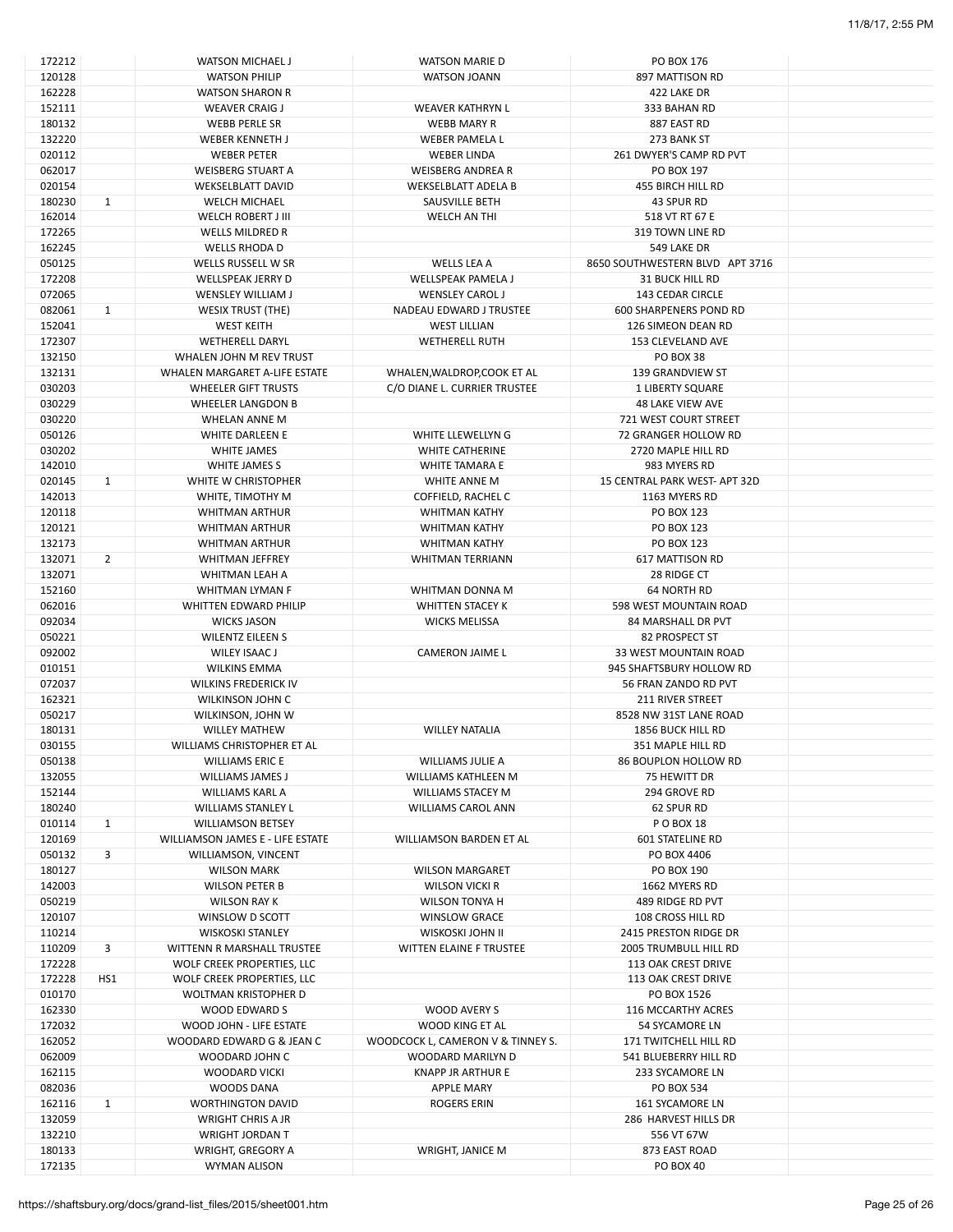| 172212 |              | WATSON MICHAEL J                  | <b>WATSON MARIE D</b>             | PO BOX 176                      |  |
|--------|--------------|-----------------------------------|-----------------------------------|---------------------------------|--|
| 120128 |              | <b>WATSON PHILIP</b>              | <b>WATSON JOANN</b>               | 897 MATTISON RD                 |  |
| 162228 |              | <b>WATSON SHARON R</b>            |                                   | 422 LAKE DR                     |  |
| 152111 |              | <b>WEAVER CRAIG J</b>             | WEAVER KATHRYN L                  | 333 BAHAN RD                    |  |
| 180132 |              | <b>WEBB PERLE SR</b>              | <b>WEBB MARY R</b>                | 887 EAST RD                     |  |
| 132220 |              | WEBER KENNETH J                   | WEBER PAMELA L                    | 273 BANK ST                     |  |
| 020112 |              | <b>WEBER PETER</b>                | <b>WEBER LINDA</b>                | 261 DWYER'S CAMP RD PVT         |  |
| 062017 |              | <b>WEISBERG STUART A</b>          | <b>WEISBERG ANDREA R</b>          | PO BOX 197                      |  |
| 020154 |              |                                   | <b>WEKSELBLATT ADELA B</b>        |                                 |  |
|        |              | <b>WEKSELBLATT DAVID</b>          |                                   | 455 BIRCH HILL RD               |  |
| 180230 | $\mathbf{1}$ | <b>WELCH MICHAEL</b>              | SAUSVILLE BETH                    | 43 SPUR RD                      |  |
| 162014 |              | WELCH ROBERT J III                | WELCH AN THI                      | 518 VT RT 67 E                  |  |
| 172265 |              | <b>WELLS MILDRED R</b>            |                                   | 319 TOWN LINE RD                |  |
| 162245 |              | WELLS RHODA D                     |                                   | 549 LAKE DR                     |  |
| 050125 |              | WELLS RUSSELL W SR                | WELLS LEA A                       | 8650 SOUTHWESTERN BLVD APT 3716 |  |
| 172208 |              | WELLSPEAK JERRY D                 | <b>WELLSPEAK PAMELA J</b>         | <b>31 BUCK HILL RD</b>          |  |
| 072065 |              | WENSLEY WILLIAM J                 | <b>WENSLEY CAROL J</b>            | 143 CEDAR CIRCLE                |  |
| 082061 | $\mathbf{1}$ | <b>WESIX TRUST (THE)</b>          | NADEAU EDWARD J TRUSTEE           | <b>600 SHARPENERS POND RD</b>   |  |
| 152041 |              | <b>WEST KEITH</b>                 | <b>WEST LILLIAN</b>               | 126 SIMEON DEAN RD              |  |
| 172307 |              | <b>WETHERELL DARYL</b>            | <b>WETHERELL RUTH</b>             | 153 CLEVELAND AVE               |  |
| 132150 |              | WHALEN JOHN M REV TRUST           |                                   | <b>PO BOX 38</b>                |  |
|        |              |                                   |                                   |                                 |  |
| 132131 |              | WHALEN MARGARET A-LIFE ESTATE     | WHALEN, WALDROP, COOK ET AL       | 139 GRANDVIEW ST                |  |
| 030203 |              | WHEELER GIFT TRUSTS               | C/O DIANE L. CURRIER TRUSTEE      | 1 LIBERTY SQUARE                |  |
| 030229 |              | <b>WHEELER LANGDON B</b>          |                                   | <b>48 LAKE VIEW AVE</b>         |  |
| 030220 |              | WHELAN ANNE M                     |                                   | 721 WEST COURT STREET           |  |
| 050126 |              | <b>WHITE DARLEEN E</b>            | WHITE LLEWELLYN G                 | 72 GRANGER HOLLOW RD            |  |
| 030202 |              | WHITE JAMES                       | <b>WHITE CATHERINE</b>            | 2720 MAPLE HILL RD              |  |
| 142010 |              | WHITE JAMES S                     | WHITE TAMARA E                    | 983 MYERS RD                    |  |
| 020145 | $\mathbf{1}$ | WHITE W CHRISTOPHER               | WHITE ANNE M                      | 15 CENTRAL PARK WEST-APT 32D    |  |
| 142013 |              | WHITE, TIMOTHY M                  | COFFIELD, RACHEL C                | 1163 MYERS RD                   |  |
| 120118 |              | <b>WHITMAN ARTHUR</b>             | <b>WHITMAN KATHY</b>              | PO BOX 123                      |  |
|        |              |                                   |                                   |                                 |  |
| 120121 |              | <b>WHITMAN ARTHUR</b>             | <b>WHITMAN KATHY</b>              | <b>PO BOX 123</b>               |  |
| 132173 |              | <b>WHITMAN ARTHUR</b>             | <b>WHITMAN KATHY</b>              | PO BOX 123                      |  |
| 132071 | 2            | <b>WHITMAN JEFFREY</b>            | <b>WHITMAN TERRIANN</b>           | 617 MATTISON RD                 |  |
| 132071 |              | WHITMAN LEAH A                    |                                   | 28 RIDGE CT                     |  |
| 152160 |              | WHITMAN LYMAN F                   | WHITMAN DONNA M                   | <b>64 NORTH RD</b>              |  |
| 062016 |              | WHITTEN EDWARD PHILIP             | WHITTEN STACEY K                  | 598 WEST MOUNTAIN ROAD          |  |
| 092034 |              | <b>WICKS JASON</b>                | <b>WICKS MELISSA</b>              | 84 MARSHALL DR PVT              |  |
| 050221 |              | <b>WILENTZ EILEEN S</b>           |                                   | 82 PROSPECT ST                  |  |
| 092002 |              | WILEY ISAAC J                     | <b>CAMERON JAIME L</b>            | 33 WEST MOUNTAIN ROAD           |  |
| 010151 |              | <b>WILKINS EMMA</b>               |                                   | 945 SHAFTSBURY HOLLOW RD        |  |
| 072037 |              | <b>WILKINS FREDERICK IV</b>       |                                   | 56 FRAN ZANDO RD PVT            |  |
|        |              |                                   |                                   |                                 |  |
| 162321 |              | <b>WILKINSON JOHN C</b>           |                                   | <b>211 RIVER STREET</b>         |  |
| 050217 |              | WILKINSON, JOHN W                 |                                   | 8528 NW 31ST LANE ROAD          |  |
| 180131 |              | <b>WILLEY MATHEW</b>              | <b>WILLEY NATALIA</b>             | <b>1856 BUCK HILL RD</b>        |  |
| 030155 |              | WILLIAMS CHRISTOPHER ET AL        |                                   | 351 MAPLE HILL RD               |  |
| 050138 |              | <b>WILLIAMS ERIC E</b>            | WILLIAMS JULIE A                  | 86 BOUPLON HOLLOW RD            |  |
| 132055 |              | <b>WILLIAMS JAMES J</b>           | WILLIAMS KATHLEEN M               | 75 HEWITT DR                    |  |
| 152144 |              | WILLIAMS KARL A                   | <b>WILLIAMS STACEY M</b>          | 294 GROVE RD                    |  |
| 180240 |              | <b>WILLIAMS STANLEY L</b>         | WILLIAMS CAROL ANN                | 62 SPUR RD                      |  |
| 010114 | $\mathbf{1}$ | <b>WILLIAMSON BETSEY</b>          |                                   | P O BOX 18                      |  |
| 120169 |              | WILLIAMSON JAMES E - LIFE ESTATE  | WILLIAMSON BARDEN ET AL           | <b>601 STATELINE RD</b>         |  |
|        | 3            |                                   |                                   |                                 |  |
| 050132 |              | WILLIAMSON, VINCENT               |                                   | PO BOX 4406                     |  |
| 180127 |              | <b>WILSON MARK</b>                | <b>WILSON MARGARET</b>            | PO BOX 190                      |  |
| 142003 |              | <b>WILSON PETER B</b>             | <b>WILSON VICKI R</b>             | 1662 MYERS RD                   |  |
| 050219 |              | WILSON RAY K                      | WILSON TONYA H                    | 489 RIDGE RD PVT                |  |
| 120107 |              | WINSLOW D SCOTT                   | <b>WINSLOW GRACE</b>              | 108 CROSS HILL RD               |  |
| 110214 |              | <b>WISKOSKI STANLEY</b>           | WISKOSKI JOHN II                  | 2415 PRESTON RIDGE DR           |  |
| 110209 | 3            | <b>WITTENN R MARSHALL TRUSTEE</b> | <b>WITTEN ELAINE F TRUSTEE</b>    | <b>2005 TRUMBULL HILL RD</b>    |  |
| 172228 |              | WOLF CREEK PROPERTIES, LLC        |                                   | 113 OAK CREST DRIVE             |  |
| 172228 | HS1          | WOLF CREEK PROPERTIES, LLC        |                                   | 113 OAK CREST DRIVE             |  |
| 010170 |              | WOLTMAN KRISTOPHER D              |                                   | PO BOX 1526                     |  |
|        |              |                                   |                                   |                                 |  |
| 162330 |              | WOOD EDWARD S                     | WOOD AVERY S                      | 116 MCCARTHY ACRES              |  |
| 172032 |              | WOOD JOHN - LIFE ESTATE           | WOOD KING ET AL                   | 54 SYCAMORE LN                  |  |
| 162052 |              | WOODARD EDWARD G & JEAN C         | WOODCOCK L, CAMERON V & TINNEY S. | 171 TWITCHELL HILL RD           |  |
| 062009 |              | WOODARD JOHN C                    | WOODARD MARILYN D                 | 541 BLUEBERRY HILL RD           |  |
| 162115 |              | <b>WOODARD VICKI</b>              | <b>KNAPP JR ARTHUR E</b>          | 233 SYCAMORE LN                 |  |
| 082036 |              | WOODS DANA                        | <b>APPLE MARY</b>                 | PO BOX 534                      |  |
| 162116 | $\mathbf{1}$ | <b>WORTHINGTON DAVID</b>          | ROGERS ERIN                       | <b>161 SYCAMORE LN</b>          |  |
| 132059 |              | <b>WRIGHT CHRIS A JR</b>          |                                   | 286 HARVEST HILLS DR            |  |
| 132210 |              | <b>WRIGHT JORDAN T</b>            |                                   | 556 VT 67W                      |  |
| 180133 |              | WRIGHT, GREGORY A                 | WRIGHT, JANICE M                  | 873 EAST ROAD                   |  |
|        |              |                                   |                                   |                                 |  |
| 172135 |              | WYMAN ALISON                      |                                   | <b>PO BOX 40</b>                |  |